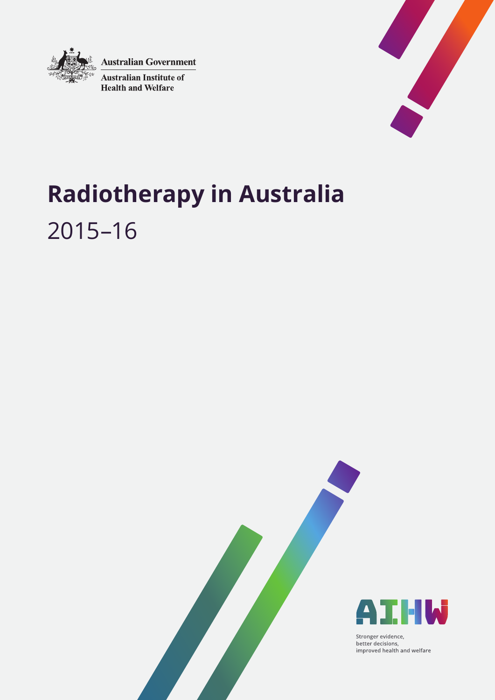

**Australian Government** 

**Australian Institute of Health and Welfare** 



# **Radiotherapy in Australia** 2015–16





Stronger evidence, better decisions, improved health and welfare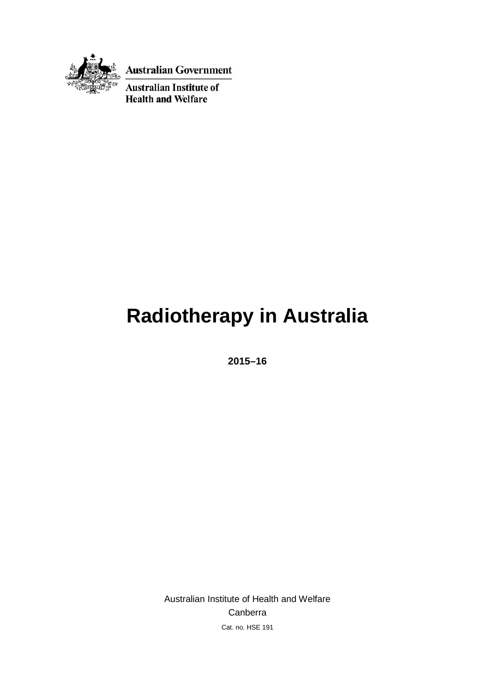

**Australian Government** 

**Australian Institute of Health and Welfare** 

# **Radiotherapy in Australia**

**2015–16**

Australian Institute of Health and Welfare Canberra Cat. no. HSE 191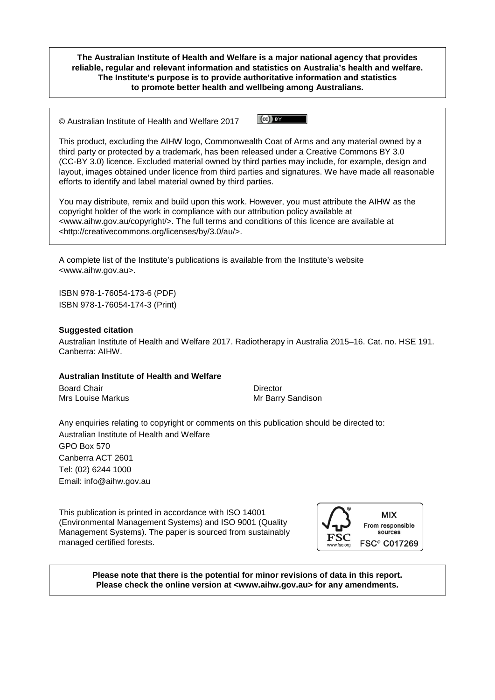**The Australian Institute of Health and Welfare is a major national agency that provides reliable, regular and relevant information and statistics on Australia's health and welfare. The Institute's purpose is to provide authoritative information and statistics to promote better health and wellbeing among Australians.**

 $\left($ cc)  $\right)$  BY © Australian Institute of Health and Welfare 2017

This product, excluding the AIHW logo, Commonwealth Coat of Arms and any material owned by a third party or protected by a trademark, has been released under a Creative Commons BY 3.0 (CC-BY 3.0) licence. Excluded material owned by third parties may include, for example, design and layout, images obtained under licence from third parties and signatures. We have made all reasonable efforts to identify and label material owned by third parties.

You may distribute, remix and build upon this work. However, you must attribute the AIHW as the copyright holder of the work in compliance with our attribution policy available at <www.aihw.gov.au/copyright/>. The full terms and conditions of this licence are available at <http://creativecommons.org/licenses/by/3.0/au/>.

A complete list of the Institute's publications is available from the Institute's website <www.aihw.gov.au>.

ISBN 978-1-76054-173-6 (PDF) ISBN 978-1-76054-174-3 (Print)

### **Suggested citation**

Australian Institute of Health and Welfare 2017. Radiotherapy in Australia 2015–16. Cat. no. HSE 191. Canberra: AIHW.

### **Australian Institute of Health and Welfare**

Board Chair **Director Director** Mrs Louise Markus Mrs Louise Markus Mrs Louise Markus Mrs Barry Sandison

Any enquiries relating to copyright or comments on this publication should be directed to: Australian Institute of Health and Welfare GPO Box 570 Canberra ACT 2601 Tel: (02) 6244 1000 Email: [info@aihw.gov.au](mailto:info@aihw.gov.au)

This publication is printed in accordance with ISO 14001 (Environmental Management Systems) and ISO 9001 (Quality Management Systems). The paper is sourced from sustainably managed certified forests.



**Please note that there is the potential for minor revisions of data in this report. Please check the online version at <www.aihw.gov.au> for any amendments.**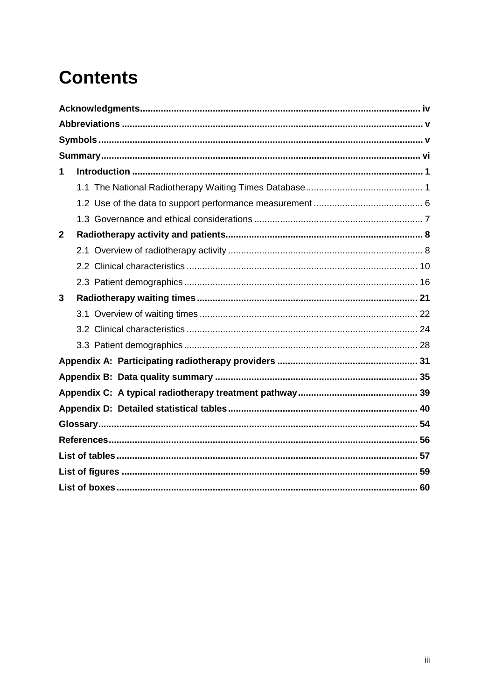# **Contents**

| 1            |  |
|--------------|--|
|              |  |
|              |  |
|              |  |
| $\mathbf{2}$ |  |
|              |  |
|              |  |
|              |  |
| 3            |  |
|              |  |
|              |  |
|              |  |
|              |  |
|              |  |
|              |  |
|              |  |
|              |  |
|              |  |
|              |  |
|              |  |
|              |  |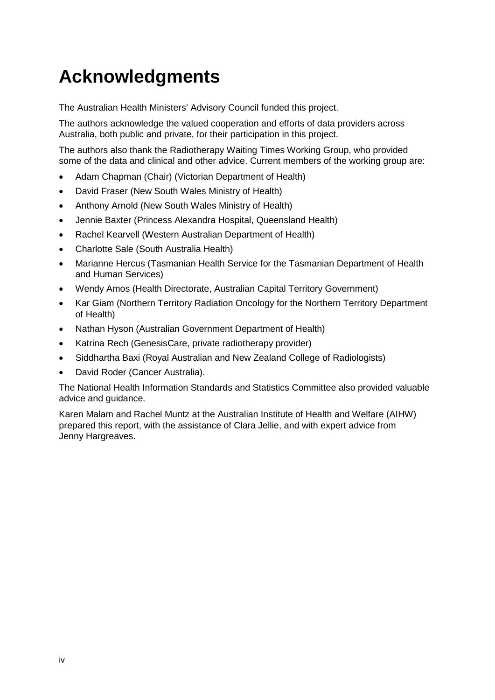# <span id="page-5-0"></span>**Acknowledgments**

The Australian Health Ministers' Advisory Council funded this project.

The authors acknowledge the valued cooperation and efforts of data providers across Australia, both public and private, for their participation in this project.

The authors also thank the Radiotherapy Waiting Times Working Group, who provided some of the data and clinical and other advice. Current members of the working group are:

- Adam Chapman (Chair) (Victorian Department of Health)
- David Fraser (New South Wales Ministry of Health)
- Anthony Arnold (New South Wales Ministry of Health)
- Jennie Baxter (Princess Alexandra Hospital, Queensland Health)
- Rachel Kearvell (Western Australian Department of Health)
- Charlotte Sale (South Australia Health)
- Marianne Hercus (Tasmanian Health Service for the Tasmanian Department of Health and Human Services)
- Wendy Amos (Health Directorate, Australian Capital Territory Government)
- Kar Giam (Northern Territory Radiation Oncology for the Northern Territory Department of Health)
- Nathan Hyson (Australian Government Department of Health)
- Katrina Rech (GenesisCare, private radiotherapy provider)
- Siddhartha Baxi (Royal Australian and New Zealand College of Radiologists)
- David Roder (Cancer Australia).

The National Health Information Standards and Statistics Committee also provided valuable advice and guidance.

Karen Malam and Rachel Muntz at the Australian Institute of Health and Welfare (AIHW) prepared this report, with the assistance of Clara Jellie, and with expert advice from Jenny Hargreaves.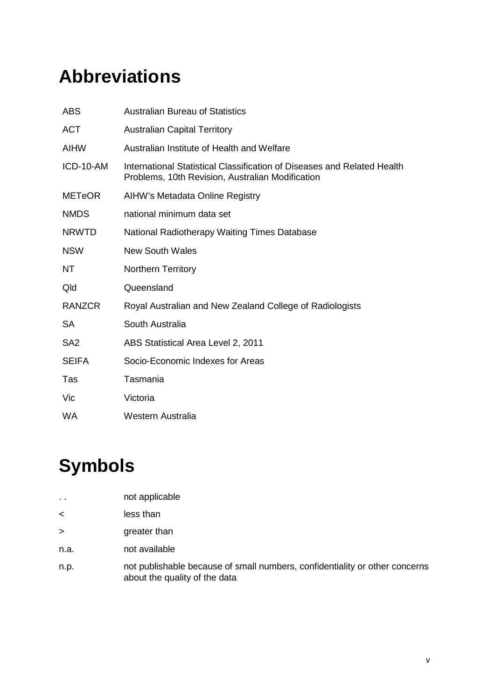# <span id="page-6-0"></span>**Abbreviations**

| <b>ABS</b>      | <b>Australian Bureau of Statistics</b>                                                                                      |
|-----------------|-----------------------------------------------------------------------------------------------------------------------------|
| <b>ACT</b>      | <b>Australian Capital Territory</b>                                                                                         |
| <b>AIHW</b>     | Australian Institute of Health and Welfare                                                                                  |
| ICD-10-AM       | International Statistical Classification of Diseases and Related Health<br>Problems, 10th Revision, Australian Modification |
| <b>METeOR</b>   | AIHW's Metadata Online Registry                                                                                             |
| <b>NMDS</b>     | national minimum data set                                                                                                   |
| <b>NRWTD</b>    | National Radiotherapy Waiting Times Database                                                                                |
| <b>NSW</b>      | <b>New South Wales</b>                                                                                                      |
| NT              | <b>Northern Territory</b>                                                                                                   |
| Qld             | Queensland                                                                                                                  |
| <b>RANZCR</b>   | Royal Australian and New Zealand College of Radiologists                                                                    |
| <b>SA</b>       | South Australia                                                                                                             |
| SA <sub>2</sub> | ABS Statistical Area Level 2, 2011                                                                                          |
| <b>SEIFA</b>    | Socio-Economic Indexes for Areas                                                                                            |
| Tas             | Tasmania                                                                                                                    |
| Vic             | Victoria                                                                                                                    |
| WA              | Western Australia                                                                                                           |

# <span id="page-6-1"></span>**Symbols**

| . . | not applicable |  |  |
|-----|----------------|--|--|
|     |                |  |  |

- < less than
- > greater than
- n.a. not available
- n.p. not publishable because of small numbers, confidentiality or other concerns about the quality of the data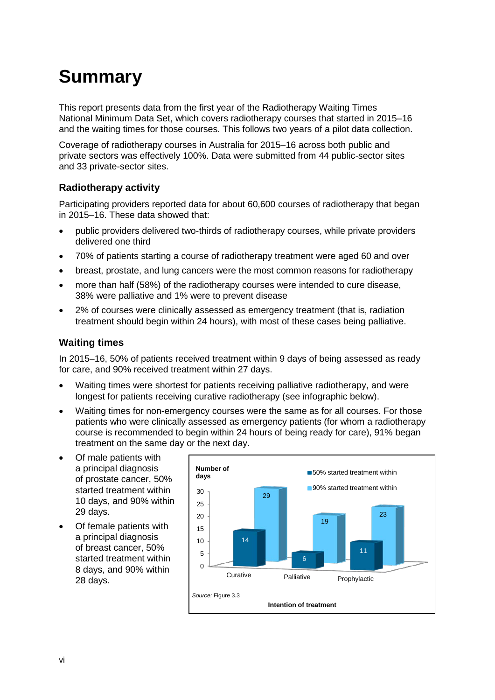# <span id="page-7-0"></span>**Summary**

This report presents data from the first year of the Radiotherapy Waiting Times National Minimum Data Set, which covers radiotherapy courses that started in 2015–16 and the waiting times for those courses. This follows two years of a pilot data collection.

Coverage of radiotherapy courses in Australia for 2015–16 across both public and private sectors was effectively 100%. Data were submitted from 44 public-sector sites and 33 private-sector sites.

### **Radiotherapy activity**

Participating providers reported data for about 60,600 courses of radiotherapy that began in 2015–16. These data showed that:

- public providers delivered two-thirds of radiotherapy courses, while private providers delivered one third
- 70% of patients starting a course of radiotherapy treatment were aged 60 and over
- breast, prostate, and lung cancers were the most common reasons for radiotherapy
- more than half (58%) of the radiotherapy courses were intended to cure disease, 38% were palliative and 1% were to prevent disease
- 2% of courses were clinically assessed as emergency treatment (that is, radiation treatment should begin within 24 hours), with most of these cases being palliative.

### **Waiting times**

In 2015–16, 50% of patients received treatment within 9 days of being assessed as ready for care, and 90% received treatment within 27 days.

- Waiting times were shortest for patients receiving palliative radiotherapy, and were longest for patients receiving curative radiotherapy (see infographic below).
- Waiting times for non-emergency courses were the same as for all courses. For those patients who were clinically assessed as emergency patients (for whom a radiotherapy course is recommended to begin within 24 hours of being ready for care), 91% began treatment on the same day or the next day.
- Of male patients with a principal diagnosis of prostate cancer, 50% started treatment within 10 days, and 90% within 29 days.
- Of female patients with a principal diagnosis of breast cancer, 50% started treatment within 8 days, and 90% within 28 days.

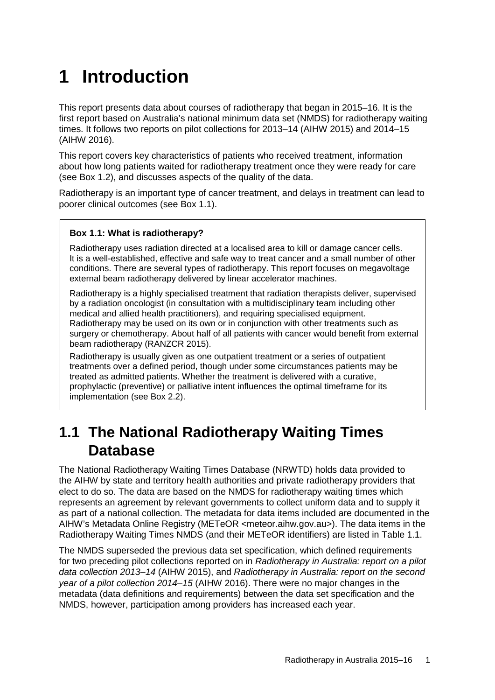# <span id="page-8-0"></span>**1 Introduction**

This report presents data about courses of radiotherapy that began in 2015–16. It is the first report based on Australia's national minimum data set (NMDS) for radiotherapy waiting times. It follows two reports on pilot collections for 2013–14 (AIHW 2015) and 2014–15 (AIHW 2016).

This report covers key characteristics of patients who received treatment, information about how long patients waited for radiotherapy treatment once they were ready for care (see [Box 1.2\)](#page-10-0), and discusses aspects of the quality of the data.

Radiotherapy is an important type of cancer treatment, and delays in treatment can lead to poorer clinical outcomes (see Box 1.1).

### <span id="page-8-2"></span>**Box 1.1: What is radiotherapy?**

Radiotherapy uses radiation directed at a localised area to kill or damage cancer cells. It is a well-established, effective and safe way to treat cancer and a small number of other conditions. There are several types of radiotherapy. This report focuses on megavoltage external beam radiotherapy delivered by linear accelerator machines.

Radiotherapy is a highly specialised treatment that radiation therapists deliver, supervised by a radiation oncologist (in consultation with a multidisciplinary team including other medical and allied health practitioners), and requiring specialised equipment. Radiotherapy may be used on its own or in conjunction with other treatments such as surgery or chemotherapy. About half of all patients with cancer would benefit from external beam radiotherapy (RANZCR 2015).

Radiotherapy is usually given as one outpatient treatment or a series of outpatient treatments over a defined period, though under some circumstances patients may be treated as admitted patients. Whether the treatment is delivered with a curative, prophylactic (preventive) or palliative intent influences the optimal timeframe for its implementation (see [Box 2.2\)](#page-17-1).

# <span id="page-8-1"></span>**1.1 The National Radiotherapy Waiting Times Database**

The National Radiotherapy Waiting Times Database (NRWTD) holds data provided to the AIHW by state and territory health authorities and private radiotherapy providers that elect to do so. The data are based on the NMDS for radiotherapy waiting times which represents an agreement by relevant governments to collect uniform data and to supply it as part of a national collection. The metadata for data items included are documented in the AIHW's Metadata Online Registry (METeOR [<meteor.aihw.gov.au>](http://meteor.aihw.gov.au/)). The data items in the Radiotherapy Waiting Times NMDS (and their METeOR identifiers) are listed in Table 1.1.

The NMDS superseded the previous data set specification, which defined requirements for two preceding pilot collections reported on in *Radiotherapy in Australia: report on a pilot data collection 2013*‒*14* (AIHW 2015), and *Radiotherapy in Australia: report on the second year of a pilot collection 2014–15* (AIHW 2016). There were no major changes in the metadata (data definitions and requirements) between the data set specification and the NMDS, however, participation among providers has increased each year.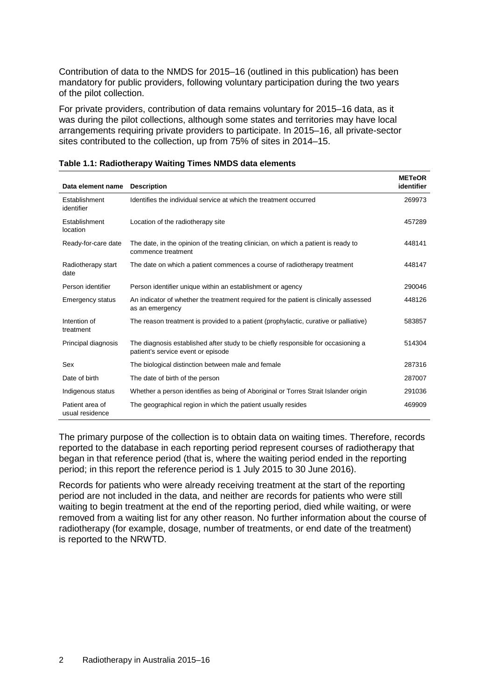Contribution of data to the NMDS for 2015–16 (outlined in this publication) has been mandatory for public providers, following voluntary participation during the two years of the pilot collection.

For private providers, contribution of data remains voluntary for 2015–16 data, as it was during the pilot collections, although some states and territories may have local arrangements requiring private providers to participate. In 2015–16, all private-sector sites contributed to the collection, up from 75% of sites in 2014–15.

|                                    |                                                                                                                         | <b>METeOR</b> |
|------------------------------------|-------------------------------------------------------------------------------------------------------------------------|---------------|
| Data element name                  | <b>Description</b>                                                                                                      | identifier    |
| Establishment<br>identifier        | Identifies the individual service at which the treatment occurred                                                       | 269973        |
| Establishment<br>location          | Location of the radiotherapy site                                                                                       | 457289        |
| Ready-for-care date                | The date, in the opinion of the treating clinician, on which a patient is ready to<br>commence treatment                | 448141        |
| Radiotherapy start<br>date         | The date on which a patient commences a course of radiotherapy treatment                                                | 448147        |
| Person identifier                  | Person identifier unique within an establishment or agency                                                              | 290046        |
| <b>Emergency status</b>            | An indicator of whether the treatment required for the patient is clinically assessed<br>as an emergency                | 448126        |
| Intention of<br>treatment          | The reason treatment is provided to a patient (prophylactic, curative or palliative)                                    | 583857        |
| Principal diagnosis                | The diagnosis established after study to be chiefly responsible for occasioning a<br>patient's service event or episode | 514304        |
| Sex                                | The biological distinction between male and female                                                                      | 287316        |
| Date of birth                      | The date of birth of the person                                                                                         | 287007        |
| Indigenous status                  | Whether a person identifies as being of Aboriginal or Torres Strait Islander origin                                     | 291036        |
| Patient area of<br>usual residence | The geographical region in which the patient usually resides                                                            | 469909        |

#### <span id="page-9-0"></span>**Table 1.1: Radiotherapy Waiting Times NMDS data elements**

The primary purpose of the collection is to obtain data on waiting times. Therefore, records reported to the database in each reporting period represent courses of radiotherapy that began in that reference period (that is, where the waiting period ended in the reporting period; in this report the reference period is 1 July 2015 to 30 June 2016).

Records for patients who were already receiving treatment at the start of the reporting period are not included in the data, and neither are records for patients who were still waiting to begin treatment at the end of the reporting period, died while waiting, or were removed from a waiting list for any other reason. No further information about the course of radiotherapy (for example, dosage, number of treatments, or end date of the treatment) is reported to the NRWTD.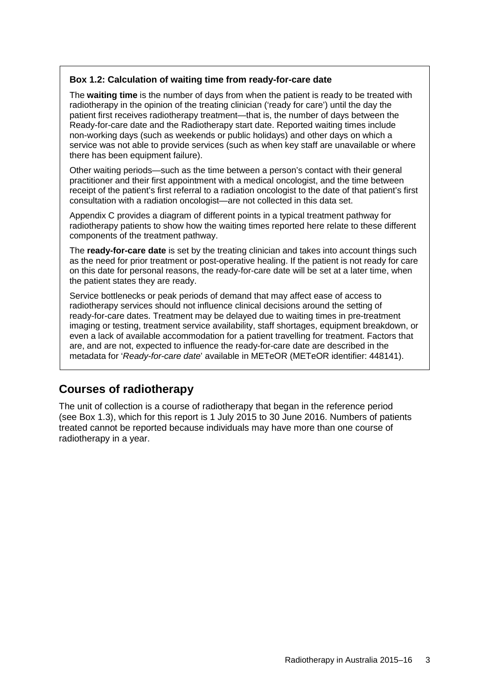### <span id="page-10-0"></span>**Box 1.2: Calculation of waiting time from ready-for-care date**

The **waiting time** is the number of days from when the patient is ready to be treated with radiotherapy in the opinion of the treating clinician ('ready for care') until the day the patient first receives radiotherapy treatment—that is, the number of days between the Ready-for-care date and the Radiotherapy start date. Reported waiting times include non-working days (such as weekends or public holidays) and other days on which a service was not able to provide services (such as when key staff are unavailable or where there has been equipment failure).

Other waiting periods—such as the time between a person's contact with their general practitioner and their first appointment with a medical oncologist, and the time between receipt of the patient's first referral to a radiation oncologist to the date of that patient's first consultation with a radiation oncologist—are not collected in this data set.

[Appendix C](#page-46-0) provides a diagram of different points in a typical treatment pathway for radiotherapy patients to show how the waiting times reported here relate to these different components of the treatment pathway.

The **ready-for-care date** is set by the treating clinician and takes into account things such as the need for prior treatment or post-operative healing. If the patient is not ready for care on this date for personal reasons, the ready-for-care date will be set at a later time, when the patient states they are ready.

Service bottlenecks or peak periods of demand that may affect ease of access to radiotherapy services should not influence clinical decisions around the setting of ready-for-care dates. Treatment may be delayed due to waiting times in pre-treatment imaging or testing, treatment service availability, staff shortages, equipment breakdown, or even a lack of available accommodation for a patient travelling for treatment. Factors that are, and are not, expected to influence the ready-for-care date are described in the metadata for '*Ready-for-care date*' available in METeOR (METeOR identifier: [448141\)](http://meteor.aihw.gov.au/content/index.phtml/itemId/448141).

## **Courses of radiotherapy**

The unit of collection is a course of radiotherapy that began in the reference period (see Box 1.3), which for this report is 1 July 2015 to 30 June 2016. Numbers of patients treated cannot be reported because individuals may have more than one course of radiotherapy in a year.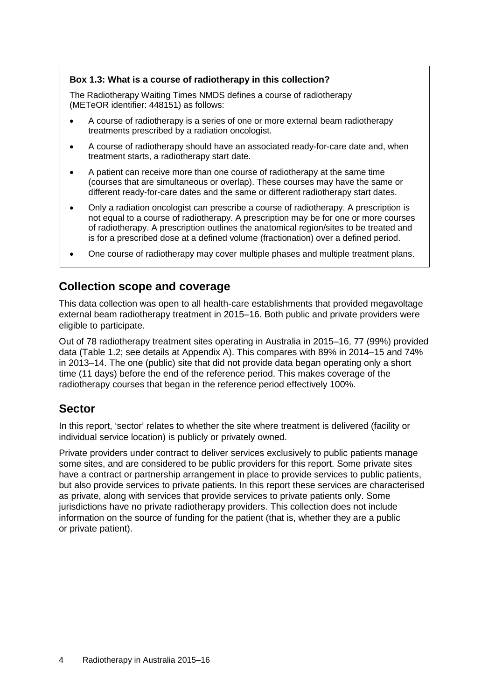### <span id="page-11-0"></span>**Box 1.3: What is a course of radiotherapy in this collection?**

The Radiotherapy Waiting Times NMDS defines a course of radiotherapy (METeOR identifier: [448151\)](http://meteor.aihw.gov.au/content/index.phtml/itemId/448151) as follows:

- A course of radiotherapy is a series of one or more external beam radiotherapy treatments prescribed by a radiation oncologist.
- A course of radiotherapy should have an associated ready-for-care date and, when treatment starts, a radiotherapy start date.
- A patient can receive more than one course of radiotherapy at the same time (courses that are simultaneous or overlap). These courses may have the same or different ready-for-care dates and the same or different radiotherapy start dates.
- Only a radiation oncologist can prescribe a course of radiotherapy. A prescription is not equal to a course of radiotherapy. A prescription may be for one or more courses of radiotherapy. A prescription outlines the anatomical region/sites to be treated and is for a prescribed dose at a defined volume (fractionation) over a defined period.
- One course of radiotherapy may cover multiple phases and multiple treatment plans.

### **Collection scope and coverage**

This data collection was open to all health-care establishments that provided megavoltage external beam radiotherapy treatment in 2015–16. Both public and private providers were eligible to participate.

Out of 78 radiotherapy treatment sites operating in Australia in 2015–16, 77 (99%) provided data (Table 1.2; see details at [Appendix A](#page-38-0)). This compares with 89% in 2014–15 and 74% in 2013–14. The one (public) site that did not provide data began operating only a short time (11 days) before the end of the reference period. This makes coverage of the radiotherapy courses that began in the reference period effectively 100%.

## **Sector**

In this report, 'sector' relates to whether the site where treatment is delivered (facility or individual service location) is publicly or privately owned.

Private providers under contract to deliver services exclusively to public patients manage some sites, and are considered to be public providers for this report. Some private sites have a contract or partnership arrangement in place to provide services to public patients, but also provide services to private patients. In this report these services are characterised as private, along with services that provide services to private patients only. Some jurisdictions have no private radiotherapy providers. This collection does not include information on the source of funding for the patient (that is, whether they are a public or private patient).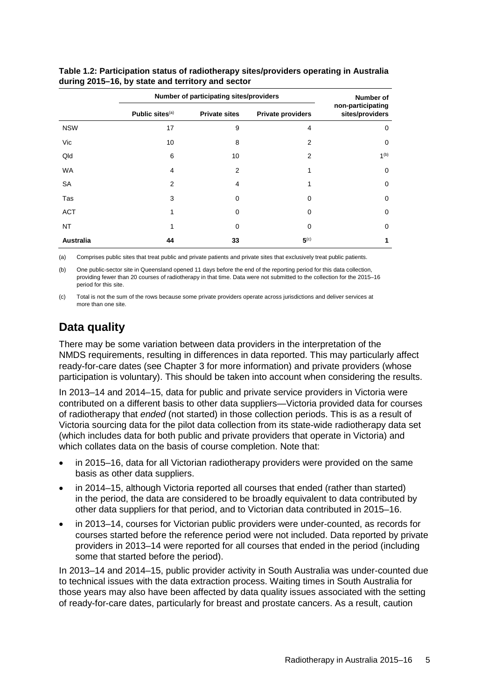|                  | Number of participating sites/providers | Number of            |                          |                                      |
|------------------|-----------------------------------------|----------------------|--------------------------|--------------------------------------|
|                  | Public sites <sup>(a)</sup>             | <b>Private sites</b> | <b>Private providers</b> | non-participating<br>sites/providers |
| <b>NSW</b>       | 17                                      | 9                    | 4                        | 0                                    |
| Vic              | 10                                      | 8                    | 2                        | 0                                    |
| Qld              | 6                                       | 10                   | 2                        | 1 <sup>(b)</sup>                     |
| <b>WA</b>        | 4                                       | 2                    | 1                        | 0                                    |
| SA               | 2                                       | 4                    | 1                        | 0                                    |
| Tas              | 3                                       | 0                    | 0                        | 0                                    |
| <b>ACT</b>       | 1                                       | 0                    | 0                        | 0                                    |
| NT               | 1                                       | 0                    | 0                        | 0                                    |
| <b>Australia</b> | 44                                      | 33                   | 5 <sup>(c)</sup>         | 1                                    |

<span id="page-12-0"></span>**Table 1.2: Participation status of radiotherapy sites/providers operating in Australia during 2015–16, by state and territory and sector**

(a) Comprises public sites that treat public and private patients and private sites that exclusively treat public patients.

(b) One public-sector site in Queensland opened 11 days before the end of the reporting period for this data collection, providing fewer than 20 courses of radiotherapy in that time. Data were not submitted to the collection for the 2015–16 period for this site.

(c) Total is not the sum of the rows because some private providers operate across jurisdictions and deliver services at more than one site.

## **Data quality**

There may be some variation between data providers in the interpretation of the NMDS requirements, resulting in differences in data reported. This may particularly affect ready-for-care dates (see Chapter 3 for more information) and private providers (whose participation is voluntary). This should be taken into account when considering the results.

In 2013–14 and 2014–15, data for public and private service providers in Victoria were contributed on a different basis to other data suppliers—Victoria provided data for courses of radiotherapy that *ended* (not started) in those collection periods. This is as a result of Victoria sourcing data for the pilot data collection from its state-wide radiotherapy data set (which includes data for both public and private providers that operate in Victoria) and which collates data on the basis of course completion. Note that:

- in 2015–16, data for all Victorian radiotherapy providers were provided on the same basis as other data suppliers.
- in 2014–15, although Victoria reported all courses that ended (rather than started) in the period, the data are considered to be broadly equivalent to data contributed by other data suppliers for that period, and to Victorian data contributed in 2015–16.
- in 2013–14, courses for Victorian public providers were under-counted, as records for courses started before the reference period were not included. Data reported by private providers in 2013–14 were reported for all courses that ended in the period (including some that started before the period).

In 2013–14 and 2014–15, public provider activity in South Australia was under-counted due to technical issues with the data extraction process. Waiting times in South Australia for those years may also have been affected by data quality issues associated with the setting of ready-for-care dates, particularly for breast and prostate cancers. As a result, caution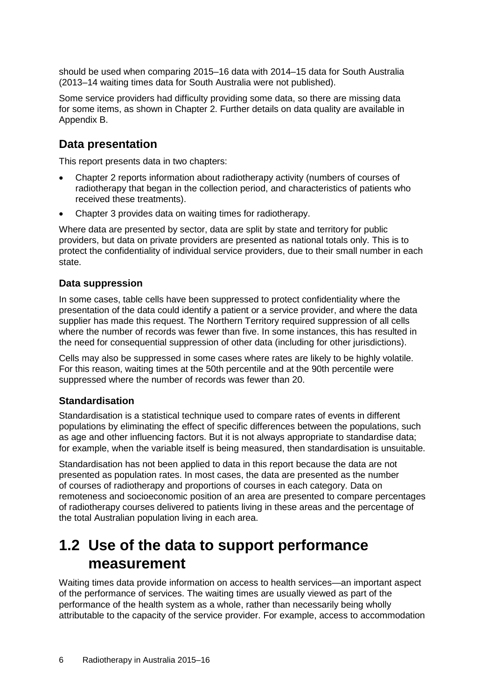should be used when comparing 2015–16 data with 2014–15 data for South Australia (2013–14 waiting times data for South Australia were not published).

Some service providers had difficulty providing some data, so there are missing data for some items, as shown in Chapter 2. Further details on data quality are available in [Appendix B](#page-42-0).

### **Data presentation**

This report presents data in two chapters:

- Chapter 2 reports information about radiotherapy activity (numbers of courses of radiotherapy that began in the collection period, and characteristics of patients who received these treatments).
- Chapter 3 provides data on waiting times for radiotherapy.

Where data are presented by sector, data are split by state and territory for public providers, but data on private providers are presented as national totals only. This is to protect the confidentiality of individual service providers, due to their small number in each state.

### **Data suppression**

In some cases, table cells have been suppressed to protect confidentiality where the presentation of the data could identify a patient or a service provider, and where the data supplier has made this request. The Northern Territory required suppression of all cells where the number of records was fewer than five. In some instances, this has resulted in the need for consequential suppression of other data (including for other jurisdictions).

Cells may also be suppressed in some cases where rates are likely to be highly volatile. For this reason, waiting times at the 50th percentile and at the 90th percentile were suppressed where the number of records was fewer than 20.

### **Standardisation**

Standardisation is a statistical technique used to compare rates of events in different populations by eliminating the effect of specific differences between the populations, such as age and other influencing factors. But it is not always appropriate to standardise data; for example, when the variable itself is being measured, then standardisation is unsuitable.

Standardisation has not been applied to data in this report because the data are not presented as population rates. In most cases, the data are presented as the number of courses of radiotherapy and proportions of courses in each category. Data on remoteness and socioeconomic position of an area are presented to compare percentages of radiotherapy courses delivered to patients living in these areas and the percentage of the total Australian population living in each area.

# <span id="page-13-0"></span>**1.2 Use of the data to support performance measurement**

Waiting times data provide information on access to health services—an important aspect of the performance of services. The waiting times are usually viewed as part of the performance of the health system as a whole, rather than necessarily being wholly attributable to the capacity of the service provider. For example, access to accommodation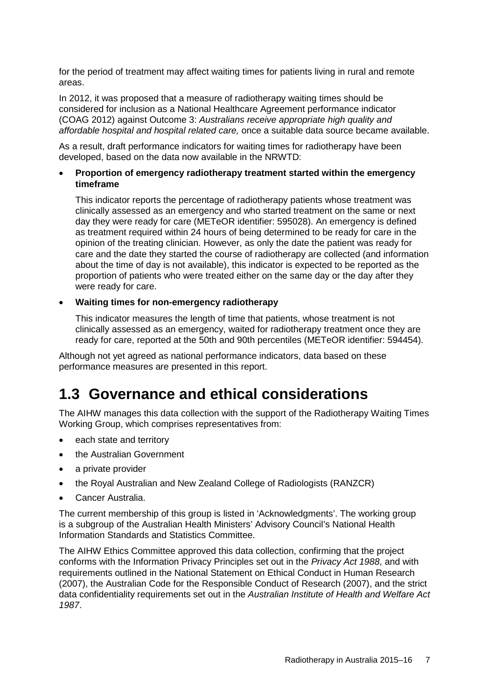for the period of treatment may affect waiting times for patients living in rural and remote areas.

In 2012, it was proposed that a measure of radiotherapy waiting times should be considered for inclusion as a National Healthcare Agreement performance indicator (COAG 2012) against Outcome 3: *Australians receive appropriate high quality and affordable hospital and hospital related care,* once a suitable data source became available.

As a result, draft performance indicators for waiting times for radiotherapy have been developed, based on the data now available in the NRWTD:

### • **Proportion of emergency radiotherapy treatment started within the emergency timeframe**

This indicator reports the percentage of radiotherapy patients whose treatment was clinically assessed as an emergency and who started treatment on the same or next day they were ready for care (METeOR identifier: [595028\)](http://meteor.aihw.gov.au/content/index.phtml/itemId/595028). An emergency is defined as treatment required within 24 hours of being determined to be ready for care in the opinion of the treating clinician. However, as only the date the patient was ready for care and the date they started the course of radiotherapy are collected (and information about the time of day is not available), this indicator is expected to be reported as the proportion of patients who were treated either on the same day or the day after they were ready for care.

### • **Waiting times for non-emergency radiotherapy**

This indicator measures the length of time that patients, whose treatment is not clinically assessed as an emergency, waited for radiotherapy treatment once they are ready for care, reported at the 50th and 90th percentiles (METeOR identifier: [594454\)](http://meteor.aihw.gov.au/content/index.phtml/itemId/594454).

Although not yet agreed as national performance indicators, data based on these performance measures are presented in this report.

# <span id="page-14-0"></span>**1.3 Governance and ethical considerations**

The AIHW manages this data collection with the support of the Radiotherapy Waiting Times Working Group, which comprises representatives from:

- each state and territory
- the Australian Government
- a private provider
- the Royal Australian and New Zealand College of Radiologists (RANZCR)
- Cancer Australia.

The current membership of this group is listed in 'Acknowledgments'. The working group is a subgroup of the Australian Health Ministers' Advisory Council's National Health Information Standards and Statistics Committee.

The AIHW Ethics Committee approved this data collection, confirming that the project conforms with the Information Privacy Principles set out in the *Privacy Act 1988*, and with requirements outlined in the National Statement on Ethical Conduct in Human Research (2007), the Australian Code for the Responsible Conduct of Research (2007), and the strict data confidentiality requirements set out in the *Australian Institute of Health and Welfare Act 1987*.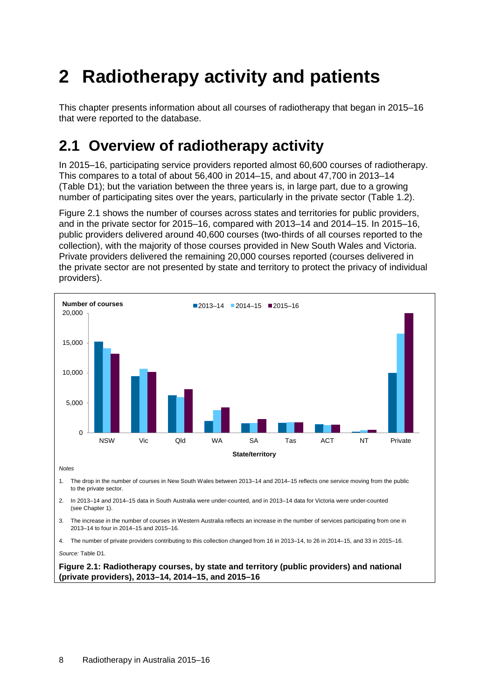# <span id="page-15-0"></span>**2 Radiotherapy activity and patients**

This chapter presents information about all courses of radiotherapy that began in 2015–16 that were reported to the database.

# <span id="page-15-1"></span>**2.1 Overview of radiotherapy activity**

In 2015–16, participating service providers reported almost 60,600 courses of radiotherapy. This compares to a total of about 56,400 in 2014–15, and about 47,700 in 2013–14 [\(Table](#page-47-1) D1); but the variation between the three years is, in large part, due to a growing number of participating sites over the years, particularly in the private sector (Table 1.2).

Figure 2.1 shows the number of courses across states and territories for public providers, and in the private sector for 2015–16, compared with 2013–14 and 2014–15. In 2015–16, public providers delivered around 40,600 courses (two-thirds of all courses reported to the collection), with the majority of those courses provided in New South Wales and Victoria. Private providers delivered the remaining 20,000 courses reported (courses delivered in the private sector are not presented by state and territory to protect the privacy of individual providers).

<span id="page-15-2"></span>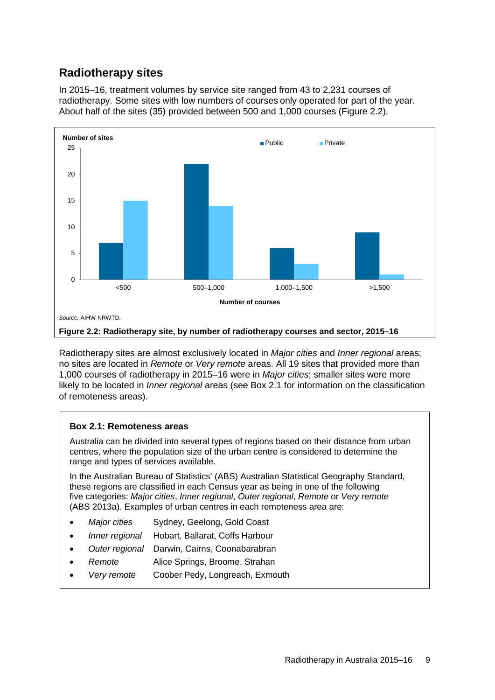## **Radiotherapy sites**

In 2015–16, treatment volumes by service site ranged from 43 to 2,231 courses of radiotherapy. Some sites with low numbers of courses only operated for part of the year. About half of the sites (35) provided between 500 and 1,000 courses (Figure 2.2).



<span id="page-16-1"></span>Radiotherapy sites are almost exclusively located in *Major cities* and *Inner regional* areas; no sites are located in *Remote* or *Very remote* areas. All 19 sites that provided more than 1,000 courses of radiotherapy in 2015–16 were in *Major cities*; smaller sites were more likely to be located in *Inner regional* areas (see Box 2.1 for information on the classification of remoteness areas).

### <span id="page-16-0"></span>**Box 2.1: Remoteness areas**

Australia can be divided into several types of regions based on their distance from urban centres, where the population size of the urban centre is considered to determine the range and types of services available.

In the Australian Bureau of Statistics' (ABS) Australian Statistical Geography Standard, these regions are classified in each Census year as being in one of the following five categories: *Major cities*, *Inner regional*, *Outer regional*, *Remote* or *Very remote* (ABS 2013a). Examples of urban centres in each remoteness area are:

- *Major cities* Sydney, Geelong, Gold Coast
- *Inner regional* Hobart, Ballarat, Coffs Harbour
- *Outer regional* Darwin, Cairns, Coonabarabran
- *Remote* Alice Springs, Broome, Strahan
- *Very remote* Coober Pedy, Longreach, Exmouth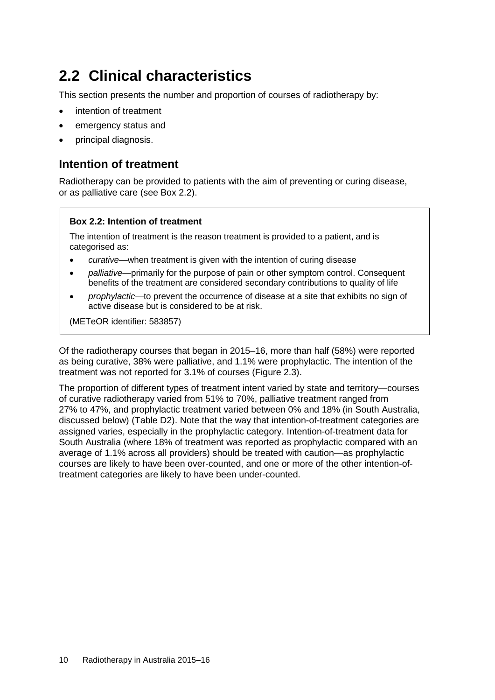# <span id="page-17-0"></span>**2.2 Clinical characteristics**

This section presents the number and proportion of courses of radiotherapy by:

- intention of treatment
- emergency status and
- principal diagnosis.

## **Intention of treatment**

Radiotherapy can be provided to patients with the aim of preventing or curing disease, or as palliative care (see Box 2.2).

### <span id="page-17-1"></span>**Box 2.2: Intention of treatment**

The intention of treatment is the reason treatment is provided to a patient, and is categorised as:

- *curative*—when treatment is given with the intention of curing disease
- *palliative*—primarily for the purpose of pain or other symptom control. Consequent benefits of the treatment are considered secondary contributions to quality of life
- *prophylactic*—to prevent the occurrence of disease at a site that exhibits no sign of active disease but is considered to be at risk.

(METeOR identifier: [583857\)](http://meteor.aihw.gov.au/content/index.phtml/itemId/583857)

Of the radiotherapy courses that began in 2015–16, more than half (58%) were reported as being curative, 38% were palliative, and 1.1% were prophylactic. The intention of the treatment was not reported for 3.1% of courses (Figure 2.3).

The proportion of different types of treatment intent varied by state and territory—courses of curative radiotherapy varied from 51% to 70%, palliative treatment ranged from 27% to 47%, and prophylactic treatment varied between 0% and 18% (in South Australia, discussed below) (Table D2). Note that the way that intention-of-treatment categories are assigned varies, especially in the prophylactic category. Intention-of-treatment data for South Australia (where 18% of treatment was reported as prophylactic compared with an average of 1.1% across all providers) should be treated with caution—as prophylactic courses are likely to have been over-counted, and one or more of the other intention-oftreatment categories are likely to have been under-counted.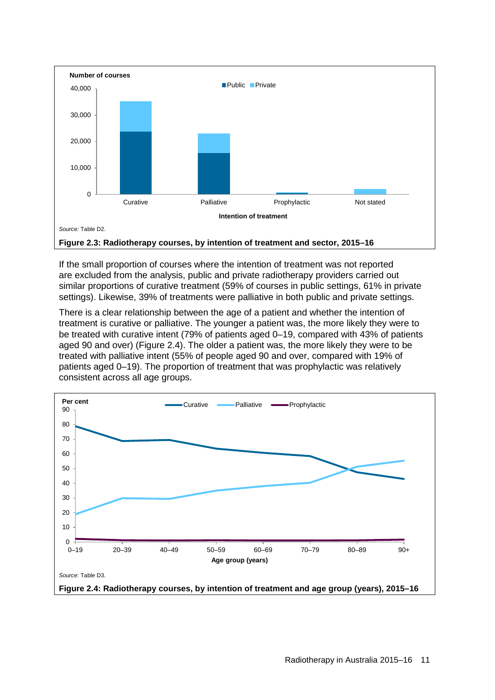

<span id="page-18-0"></span>If the small proportion of courses where the intention of treatment was not reported are excluded from the analysis, public and private radiotherapy providers carried out similar proportions of curative treatment (59% of courses in public settings, 61% in private settings). Likewise, 39% of treatments were palliative in both public and private settings.

There is a clear relationship between the age of a patient and whether the intention of treatment is curative or palliative. The younger a patient was, the more likely they were to be treated with curative intent (79% of patients aged 0–19, compared with 43% of patients aged 90 and over) (Figure 2.4). The older a patient was, the more likely they were to be treated with palliative intent (55% of people aged 90 and over, compared with 19% of patients aged 0–19). The proportion of treatment that was prophylactic was relatively consistent across all age groups.

<span id="page-18-1"></span>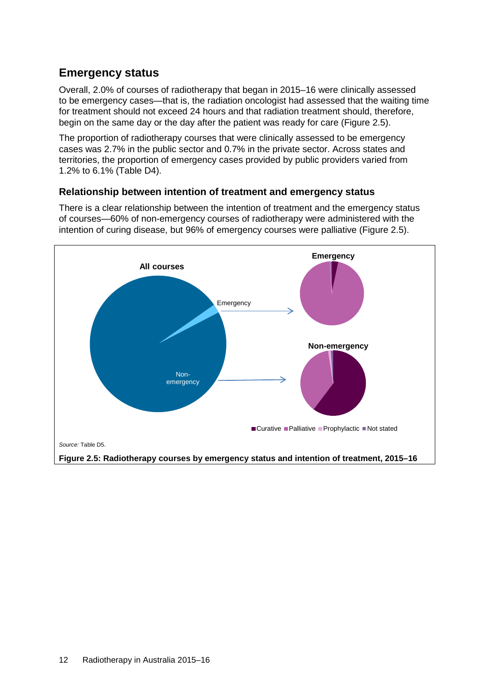## **Emergency status**

Overall, 2.0% of courses of radiotherapy that began in 2015–16 were clinically assessed to be emergency cases—that is, the radiation oncologist had assessed that the waiting time for treatment should not exceed 24 hours and that radiation treatment should, therefore, begin on the same day or the day after the patient was ready for care (Figure 2.5).

The proportion of radiotherapy courses that were clinically assessed to be emergency cases was 2.7% in the public sector and 0.7% in the private sector. Across states and territories, the proportion of emergency cases provided by public providers varied from 1.2% to 6.1% [\(Table](#page-48-1) D4).

### **Relationship between intention of treatment and emergency status**

There is a clear relationship between the intention of treatment and the emergency status of courses—60% of non-emergency courses of radiotherapy were administered with the intention of curing disease, but 96% of emergency courses were palliative (Figure 2.5).

<span id="page-19-0"></span>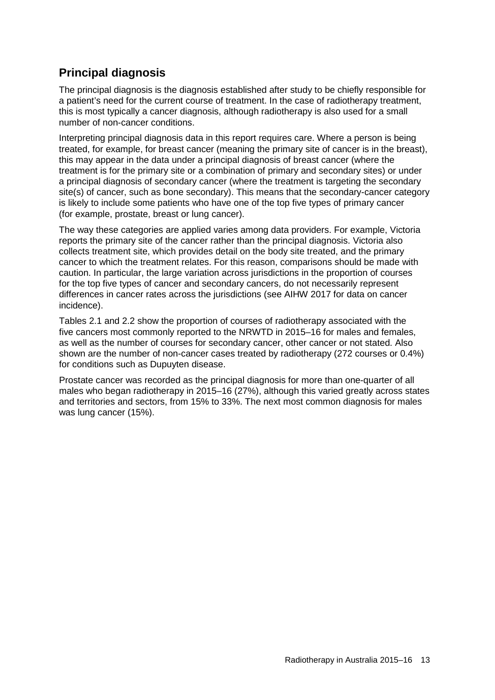## **Principal diagnosis**

The principal diagnosis is the diagnosis established after study to be chiefly responsible for a patient's need for the current course of treatment. In the case of radiotherapy treatment, this is most typically a cancer diagnosis, although radiotherapy is also used for a small number of non-cancer conditions.

Interpreting principal diagnosis data in this report requires care. Where a person is being treated, for example, for breast cancer (meaning the primary site of cancer is in the breast), this may appear in the data under a principal diagnosis of breast cancer (where the treatment is for the primary site or a combination of primary and secondary sites) or under a principal diagnosis of secondary cancer (where the treatment is targeting the secondary site(s) of cancer, such as bone secondary). This means that the secondary-cancer category is likely to include some patients who have one of the top five types of primary cancer (for example, prostate, breast or lung cancer).

The way these categories are applied varies among data providers. For example, Victoria reports the primary site of the cancer rather than the principal diagnosis. Victoria also collects treatment site, which provides detail on the body site treated, and the primary cancer to which the treatment relates. For this reason, comparisons should be made with caution. In particular, the large variation across jurisdictions in the proportion of courses for the top five types of cancer and secondary cancers, do not necessarily represent differences in cancer rates across the jurisdictions (see AIHW 2017 for data on cancer incidence).

Tables 2.1 and 2.2 show the proportion of courses of radiotherapy associated with the five cancers most commonly reported to the NRWTD in 2015–16 for males and females, as well as the number of courses for secondary cancer, other cancer or not stated. Also shown are the number of non-cancer cases treated by radiotherapy (272 courses or 0.4%) for conditions such as Dupuyten disease.

Prostate cancer was recorded as the principal diagnosis for more than one-quarter of all males who began radiotherapy in 2015–16 (27%), although this varied greatly across states and territories and sectors, from 15% to 33%. The next most common diagnosis for males was lung cancer (15%).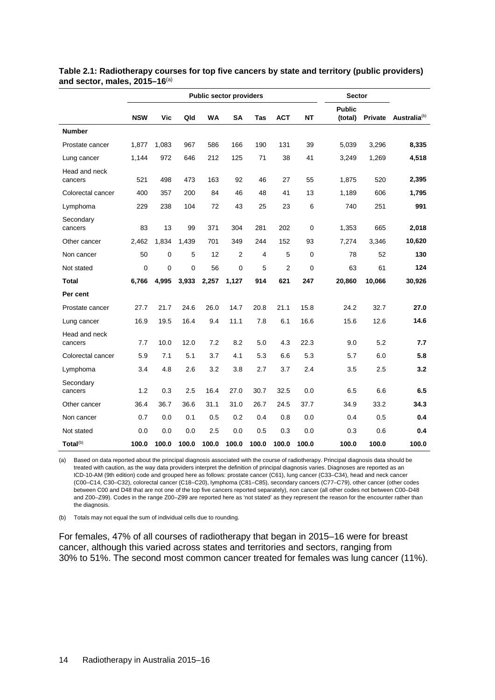|                          |             |       |              | <b>Public sector providers</b> |                |            | <b>Sector</b>  |           |                          |         |                          |
|--------------------------|-------------|-------|--------------|--------------------------------|----------------|------------|----------------|-----------|--------------------------|---------|--------------------------|
|                          | <b>NSW</b>  | Vic   | Qld          | <b>WA</b>                      | SA             | <b>Tas</b> | <b>ACT</b>     | <b>NT</b> | <b>Public</b><br>(total) | Private | Australia <sup>(b)</sup> |
| <b>Number</b>            |             |       |              |                                |                |            |                |           |                          |         |                          |
| Prostate cancer          | 1,877       | 1,083 | 967          | 586                            | 166            | 190        | 131            | 39        | 5,039                    | 3,296   | 8,335                    |
| Lung cancer              | 1.144       | 972   | 646          | 212                            | 125            | 71         | 38             | 41        | 3.249                    | 1,269   | 4,518                    |
| Head and neck<br>cancers | 521         | 498   | 473          | 163                            | 92             | 46         | 27             | 55        | 1,875                    | 520     | 2,395                    |
| Colorectal cancer        | 400         | 357   | 200          | 84                             | 46             | 48         | 41             | 13        | 1,189                    | 606     | 1,795                    |
| Lymphoma                 | 229         | 238   | 104          | 72                             | 43             | 25         | 23             | 6         | 740                      | 251     | 991                      |
| Secondary<br>cancers     | 83          | 13    | 99           | 371                            | 304            | 281        | 202            | 0         | 1,353                    | 665     | 2,018                    |
| Other cancer             | 2,462       | 1,834 | 1,439        | 701                            | 349            | 244        | 152            | 93        | 7,274                    | 3,346   | 10,620                   |
| Non cancer               | 50          | 0     | 5            | 12                             | $\overline{2}$ | 4          | 5              | 0         | 78                       | 52      | 130                      |
| Not stated               | $\mathbf 0$ | 0     | $\mathbf{0}$ | 56                             | $\mathbf{0}$   | 5          | $\overline{2}$ | $\Omega$  | 63                       | 61      | 124                      |
| Total                    | 6,766       | 4.995 | 3,933        | 2,257                          | 1,127          | 914        | 621            | 247       | 20,860                   | 10,066  | 30,926                   |
| Per cent                 |             |       |              |                                |                |            |                |           |                          |         |                          |
| Prostate cancer          | 27.7        | 21.7  | 24.6         | 26.0                           | 14.7           | 20.8       | 21.1           | 15.8      | 24.2                     | 32.7    | 27.0                     |
| Lung cancer              | 16.9        | 19.5  | 16.4         | 9.4                            | 11.1           | 7.8        | 6.1            | 16.6      | 15.6                     | 12.6    | 14.6                     |
| Head and neck<br>cancers | 7.7         | 10.0  | 12.0         | 7.2                            | 8.2            | 5.0        | 4.3            | 22.3      | 9.0                      | 5.2     | 7.7                      |
| Colorectal cancer        | 5.9         | 7.1   | 5.1          | 3.7                            | 4.1            | 5.3        | 6.6            | 5.3       | 5.7                      | 6.0     | 5.8                      |
| Lymphoma                 | 3.4         | 4.8   | 2.6          | 3.2                            | 3.8            | 2.7        | 3.7            | 2.4       | 3.5                      | 2.5     | 3.2                      |
| Secondary<br>cancers     | 1.2         | 0.3   | 2.5          | 16.4                           | 27.0           | 30.7       | 32.5           | 0.0       | 6.5                      | 6.6     | 6.5                      |
| Other cancer             | 36.4        | 36.7  | 36.6         | 31.1                           | 31.0           | 26.7       | 24.5           | 37.7      | 34.9                     | 33.2    | 34.3                     |
| Non cancer               | 0.7         | 0.0   | 0.1          | 0.5                            | 0.2            | 0.4        | 0.8            | 0.0       | 0.4                      | 0.5     | 0.4                      |
| Not stated               | 0.0         | 0.0   | 0.0          | 2.5                            | 0.0            | 0.5        | 0.3            | 0.0       | 0.3                      | 0.6     | 0.4                      |
| Total <sup>(b)</sup>     | 100.0       | 100.0 | 100.0        | 100.0                          | 100.0          | 100.0      | 100.0          | 100.0     | 100.0                    | 100.0   | 100.0                    |

<span id="page-21-0"></span>**Table 2.1: Radiotherapy courses for top five cancers by state and territory (public providers) and sector, males, 2015–16**(a)

(a) Based on data reported about the principal diagnosis associated with the course of radiotherapy. Principal diagnosis data should be treated with caution, as the way data providers interpret the definition of principal diagnosis varies. Diagnoses are reported as an ICD-10-AM (9th edition) code and grouped here as follows: prostate cancer (C61), lung cancer (C33–C34), head and neck cancer (C00–C14, C30–C32), colorectal cancer (C18–C20), lymphoma (C81–C85), secondary cancers (C77–C79), other cancer (other codes between C00 and D48 that are not one of the top five cancers reported separately), non cancer (all other codes not between C00–D48 and Z00–Z99). Codes in the range Z00–Z99 are reported here as 'not stated' as they represent the reason for the encounter rather than the diagnosis.

(b) Totals may not equal the sum of individual cells due to rounding.

For females, 47% of all courses of radiotherapy that began in 2015–16 were for breast cancer, although this varied across states and territories and sectors, ranging from 30% to 51%. The second most common cancer treated for females was lung cancer (11%).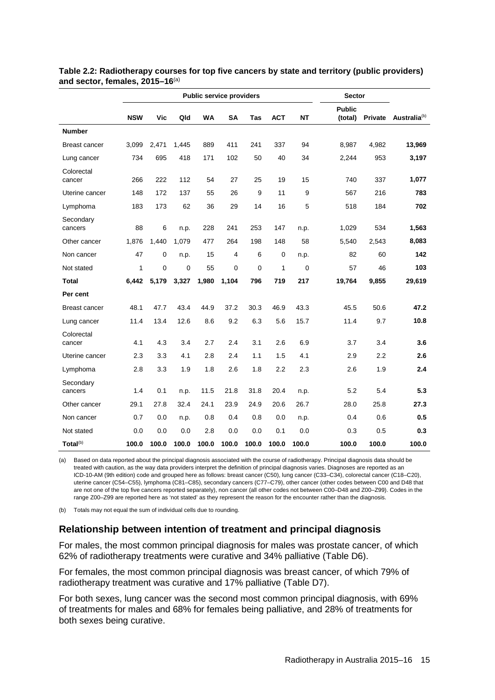|                      | <b>Public service providers</b><br><b>Sector</b> |           |       |       |              |             |            |             |                          |         |                          |
|----------------------|--------------------------------------------------|-----------|-------|-------|--------------|-------------|------------|-------------|--------------------------|---------|--------------------------|
|                      | <b>NSW</b>                                       | Vic       | Qld   | WA    | SA           | Tas         | <b>ACT</b> | <b>NT</b>   | <b>Public</b><br>(total) | Private | Australia <sup>(b)</sup> |
| <b>Number</b>        |                                                  |           |       |       |              |             |            |             |                          |         |                          |
| <b>Breast cancer</b> | 3,099                                            | 2,471     | 1,445 | 889   | 411          | 241         | 337        | 94          | 8,987                    | 4,982   | 13,969                   |
| Lung cancer          | 734                                              | 695       | 418   | 171   | 102          | 50          | 40         | 34          | 2,244                    | 953     | 3,197                    |
| Colorectal<br>cancer | 266                                              | 222       | 112   | 54    | 27           | 25          | 19         | 15          | 740                      | 337     | 1,077                    |
| Uterine cancer       | 148                                              | 172       | 137   | 55    | 26           | 9           | 11         | 9           | 567                      | 216     | 783                      |
| Lymphoma             | 183                                              | 173       | 62    | 36    | 29           | 14          | 16         | 5           | 518                      | 184     | 702                      |
| Secondary<br>cancers | 88                                               | 6         | n.p.  | 228   | 241          | 253         | 147        | n.p.        | 1,029                    | 534     | 1,563                    |
| Other cancer         | 1,876                                            | 1,440     | 1,079 | 477   | 264          | 198         | 148        | 58          | 5,540                    | 2,543   | 8,083                    |
| Non cancer           | 47                                               | $\pmb{0}$ | n.p.  | 15    | 4            | 6           | 0          | n.p.        | 82                       | 60      | 142                      |
| Not stated           | $\mathbf{1}$                                     | 0         | 0     | 55    | $\mathbf{0}$ | $\mathbf 0$ | 1          | $\mathbf 0$ | 57                       | 46      | 103                      |
| <b>Total</b>         | 6,442                                            | 5,179     | 3,327 | 1,980 | 1,104        | 796         | 719        | 217         | 19,764                   | 9,855   | 29,619                   |
| Per cent             |                                                  |           |       |       |              |             |            |             |                          |         |                          |
| <b>Breast cancer</b> | 48.1                                             | 47.7      | 43.4  | 44.9  | 37.2         | 30.3        | 46.9       | 43.3        | 45.5                     | 50.6    | 47.2                     |
| Lung cancer          | 11.4                                             | 13.4      | 12.6  | 8.6   | 9.2          | 6.3         | 5.6        | 15.7        | 11.4                     | 9.7     | 10.8                     |
| Colorectal<br>cancer | 4.1                                              | 4.3       | 3.4   | 2.7   | 2.4          | 3.1         | 2.6        | 6.9         | 3.7                      | 3.4     | 3.6                      |
| Uterine cancer       | 2.3                                              | 3.3       | 4.1   | 2.8   | 2.4          | 1.1         | 1.5        | 4.1         | 2.9                      | 2.2     | 2.6                      |
| Lymphoma             | 2.8                                              | 3.3       | 1.9   | 1.8   | 2.6          | 1.8         | 2.2        | 2.3         | 2.6                      | 1.9     | 2.4                      |
| Secondary<br>cancers | 1.4                                              | 0.1       | n.p.  | 11.5  | 21.8         | 31.8        | 20.4       | n.p.        | 5.2                      | 5.4     | 5.3                      |
| Other cancer         | 29.1                                             | 27.8      | 32.4  | 24.1  | 23.9         | 24.9        | 20.6       | 26.7        | 28.0                     | 25.8    | 27.3                     |
| Non cancer           | 0.7                                              | 0.0       | n.p.  | 0.8   | 0.4          | 0.8         | 0.0        | n.p.        | 0.4                      | 0.6     | 0.5                      |
| Not stated           | 0.0                                              | 0.0       | 0.0   | 2.8   | 0.0          | 0.0         | 0.1        | 0.0         | 0.3                      | 0.5     | 0.3                      |
| Total <sup>(b)</sup> | 100.0                                            | 100.0     | 100.0 | 100.0 | 100.0        | 100.0       | 100.0      | 100.0       | 100.0                    | 100.0   | 100.0                    |

<span id="page-22-0"></span>**Table 2.2: Radiotherapy courses for top five cancers by state and territory (public providers) and sector, females, 2015–16**(a)

(a) Based on data reported about the principal diagnosis associated with the course of radiotherapy. Principal diagnosis data should be treated with caution, as the way data providers interpret the definition of principal diagnosis varies. Diagnoses are reported as an ICD-10-AM (9th edition) code and grouped here as follows: breast cancer (C50), lung cancer (C33–C34), colorectal cancer (C18–C20), uterine cancer (C54–C55), lymphoma (C81–C85), secondary cancers (C77–C79), other cancer (other codes between C00 and D48 that are not one of the top five cancers reported separately), non cancer (all other codes not between C00–D48 and Z00–Z99). Codes in the range Z00–Z99 are reported here as 'not stated' as they represent the reason for the encounter rather than the diagnosis.

(b) Totals may not equal the sum of individual cells due to rounding.

### **Relationship between intention of treatment and principal diagnosis**

For males, the most common principal diagnosis for males was prostate cancer, of which 62% of radiotherapy treatments were curative and 34% palliative [\(Table D6\)](#page-49-1).

For females, the most common principal diagnosis was breast cancer, of which 79% of radiotherapy treatment was curative and 17% palliative [\(Table](#page-50-0) D7).

For both sexes, lung cancer was the second most common principal diagnosis, with 69% of treatments for males and 68% for females being palliative, and 28% of treatments for both sexes being curative.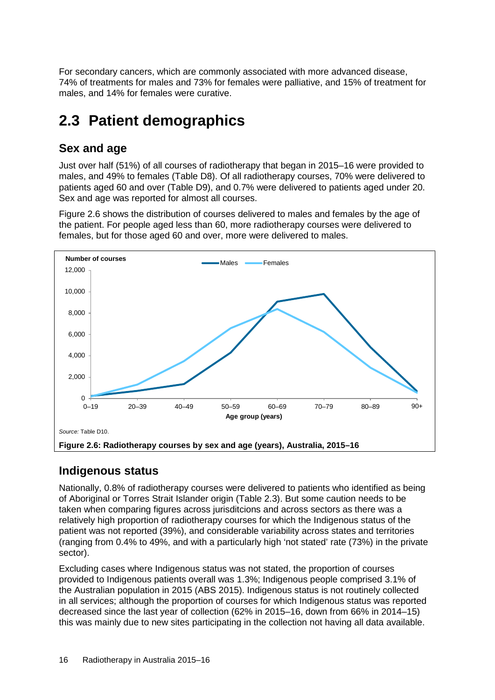For secondary cancers, which are commonly associated with more advanced disease, 74% of treatments for males and 73% for females were palliative, and 15% of treatment for males, and 14% for females were curative.

# <span id="page-23-0"></span>**2.3 Patient demographics**

## **Sex and age**

Just over half (51%) of all courses of radiotherapy that began in 2015–16 were provided to males, and 49% to females [\(Table](#page-50-1) D8). Of all radiotherapy courses, 70% were delivered to patients aged 60 and over [\(Table](#page-50-2) D9), and 0.7% were delivered to patients aged under 20. Sex and age was reported for almost all courses.

Figure 2.6 shows the distribution of courses delivered to males and females by the age of the patient. For people aged less than 60, more radiotherapy courses were delivered to females, but for those aged 60 and over, more were delivered to males.



## <span id="page-23-1"></span>**Indigenous status**

Nationally, 0.8% of radiotherapy courses were delivered to patients who identified as being of Aboriginal or Torres Strait Islander origin (Table 2.3). But some caution needs to be taken when comparing figures across jurisditcions and across sectors as there was a relatively high proportion of radiotherapy courses for which the Indigenous status of the patient was not reported (39%), and considerable variability across states and territories (ranging from 0.4% to 49%, and with a particularly high 'not stated' rate (73%) in the private sector).

Excluding cases where Indigenous status was not stated, the proportion of courses provided to Indigenous patients overall was 1.3%; Indigenous people comprised 3.1% of the Australian population in 2015 (ABS 2015). Indigenous status is not routinely collected in all services; although the proportion of courses for which Indigenous status was reported decreased since the last year of collection (62% in 2015–16, down from 66% in 2014–15) this was mainly due to new sites participating in the collection not having all data available.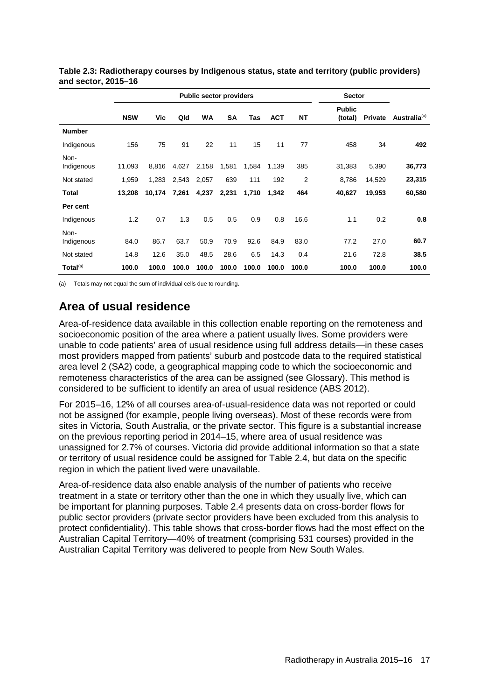|                    |            |        |       | <b>Public sector providers</b> |           |       |            | <b>Sector</b> |                          |         |                          |
|--------------------|------------|--------|-------|--------------------------------|-----------|-------|------------|---------------|--------------------------|---------|--------------------------|
|                    | <b>NSW</b> | Vic    | Qld   | <b>WA</b>                      | <b>SA</b> | Tas   | <b>ACT</b> | <b>NT</b>     | <b>Public</b><br>(total) | Private | Australia <sup>(a)</sup> |
| <b>Number</b>      |            |        |       |                                |           |       |            |               |                          |         |                          |
| Indigenous         | 156        | 75     | 91    | 22                             | 11        | 15    | 11         | 77            | 458                      | 34      | 492                      |
| Non-<br>Indigenous | 11,093     | 8,816  | 4,627 | 2,158                          | 1,581     | 1,584 | 1,139      | 385           | 31,383                   | 5,390   | 36,773                   |
| Not stated         | 1,959      | 1,283  | 2,543 | 2,057                          | 639       | 111   | 192        | 2             | 8,786                    | 14,529  | 23,315                   |
| <b>Total</b>       | 13,208     | 10,174 | 7,261 | 4,237                          | 2,231     | 1,710 | 1,342      | 464           | 40,627                   | 19,953  | 60,580                   |
| Per cent           |            |        |       |                                |           |       |            |               |                          |         |                          |
| Indigenous         | 1.2        | 0.7    | 1.3   | 0.5                            | 0.5       | 0.9   | 0.8        | 16.6          | 1.1                      | 0.2     | 0.8                      |
| Non-<br>Indigenous | 84.0       | 86.7   | 63.7  | 50.9                           | 70.9      | 92.6  | 84.9       | 83.0          | 77.2                     | 27.0    | 60.7                     |
| Not stated         | 14.8       | 12.6   | 35.0  | 48.5                           | 28.6      | 6.5   | 14.3       | 0.4           | 21.6                     | 72.8    | 38.5                     |
| Total $(a)$        | 100.0      | 100.0  | 100.0 | 100.0                          | 100.0     | 100.0 | 100.0      | 100.0         | 100.0                    | 100.0   | 100.0                    |

<span id="page-24-0"></span>**Table 2.3: Radiotherapy courses by Indigenous status, state and territory (public providers) and sector, 2015–16**

(a) Totals may not equal the sum of individual cells due to rounding.

## **Area of usual residence**

Area-of-residence data available in this collection enable reporting on the remoteness and socioeconomic position of the area where a patient usually lives. Some providers were unable to code patients' area of usual residence using full address details—in these cases most providers mapped from patients' suburb and postcode data to the required statistical area level 2 (SA2) code, a geographical mapping code to which the socioeconomic and remoteness characteristics of the area can be assigned (see [Glossary\)](#page-61-0). This method is considered to be sufficient to identify an area of usual residence (ABS 2012).

For 2015–16, 12% of all courses area-of-usual-residence data was not reported or could not be assigned (for example, people living overseas). Most of these records were from sites in Victoria, South Australia, or the private sector. This figure is a substantial increase on the previous reporting period in 2014–15, where area of usual residence was unassigned for 2.7% of courses. Victoria did provide additional information so that a state or territory of usual residence could be assigned for Table 2.4, but data on the specific region in which the patient lived were unavailable.

Area-of-residence data also enable analysis of the number of patients who receive treatment in a state or territory other than the one in which they usually live, which can be important for planning purposes. Table 2.4 presents data on cross-border flows for public sector providers (private sector providers have been excluded from this analysis to protect confidentiality). This table shows that cross-border flows had the most effect on the Australian Capital Territory—40% of treatment (comprising 531 courses) provided in the Australian Capital Territory was delivered to people from New South Wales.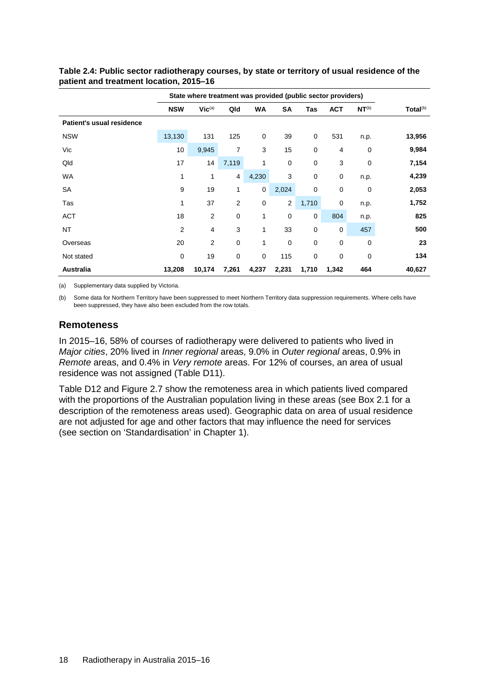|                           |            | State where treatment was provided (public sector providers) |                |              |              |             |             |                   |                      |
|---------------------------|------------|--------------------------------------------------------------|----------------|--------------|--------------|-------------|-------------|-------------------|----------------------|
|                           | <b>NSW</b> | $Vic^{(a)}$                                                  | Qld            | WA           | SA           | Tas         | <b>ACT</b>  | NT <sup>(b)</sup> | Total <sup>(b)</sup> |
| Patient's usual residence |            |                                                              |                |              |              |             |             |                   |                      |
| <b>NSW</b>                | 13,130     | 131                                                          | 125            | $\mathbf 0$  | 39           | $\mathbf 0$ | 531         | n.p.              | 13,956               |
| Vic                       | 10         | 9,945                                                        | 7              | 3            | 15           | 0           | 4           | 0                 | 9,984                |
| Qld                       | 17         | 14                                                           | 7,119          | 1            | $\pmb{0}$    | 0           | 3           | 0                 | 7,154                |
| <b>WA</b>                 | 1          | 1                                                            | $\overline{4}$ | 4,230        | 3            | $\mathbf 0$ | $\mathbf 0$ | n.p.              | 4,239                |
| <b>SA</b>                 | 9          | 19                                                           | 1              | 0            | 2,024        | $\mathbf 0$ | 0           | 0                 | 2,053                |
| Tas                       | 1          | 37                                                           | $\overline{2}$ | $\mathbf 0$  | $\mathbf{2}$ | 1,710       | 0           | n.p.              | 1,752                |
| <b>ACT</b>                | 18         | 2                                                            | $\mathbf 0$    | $\mathbf{1}$ | 0            | $\mathbf 0$ | 804         | n.p.              | 825                  |
| <b>NT</b>                 | 2          | 4                                                            | 3              | 1            | 33           | 0           | $\mathbf 0$ | 457               | 500                  |
| Overseas                  | 20         | 2                                                            | $\mathbf 0$    | $\mathbf{1}$ | 0            | 0           | $\mathbf 0$ | 0                 | 23                   |
| Not stated                | 0          | 19                                                           | $\mathbf 0$    | $\mathbf 0$  | 115          | 0           | $\mathbf 0$ | $\mathbf 0$       | 134                  |
| <b>Australia</b>          | 13,208     | 10,174                                                       | 7,261          | 4,237        | 2,231        | 1,710       | 1,342       | 464               | 40,627               |

### <span id="page-25-0"></span>**Table 2.4: Public sector radiotherapy courses, by state or territory of usual residence of the patient and treatment location, 2015–16**

(a) Supplementary data supplied by Victoria.

(b) Some data for Northern Territory have been suppressed to meet Northern Territory data suppression requirements. Where cells have been suppressed, they have also been excluded from the row totals.

### **Remoteness**

In 2015–16, 58% of courses of radiotherapy were delivered to patients who lived in *Major cities*, 20% lived in *Inner regional* areas, 9.0% in *Outer regional* areas, 0.9% in *Remote* areas, and 0.4% in *Very remote* areas. For 12% of courses, an area of usual residence was not assigned [\(Table](#page-52-0) D11).

Table D12 and Figure 2.7 show the remoteness area in which patients lived compared with the proportions of the Australian population living in these areas (see [Box 2.1](#page-16-0) for a description of the remoteness areas used). Geographic data on area of usual residence are not adjusted for age and other factors that may influence the need for services (see section on 'Standardisation' in Chapter 1).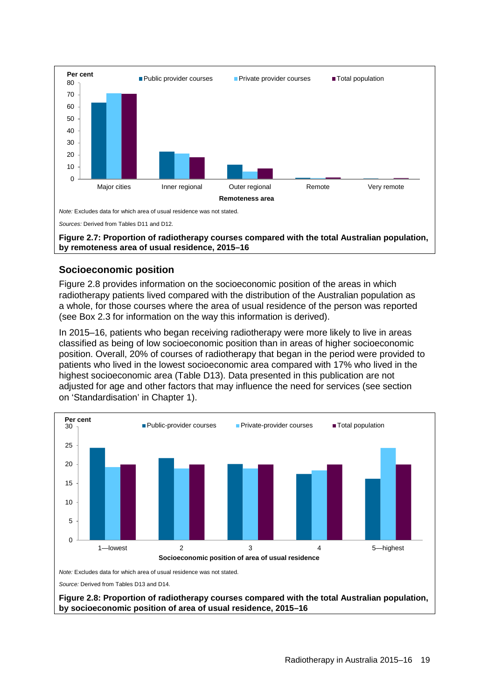

### <span id="page-26-0"></span>**Socioeconomic position**

Figure 2.8 provides information on the socioeconomic position of the areas in which radiotherapy patients lived compared with the distribution of the Australian population as a whole, for those courses where the area of usual residence of the person was reported (see [Box 2.3](#page-27-0) for information on the way this information is derived).

In 2015–16, patients who began receiving radiotherapy were more likely to live in areas classified as being of low socioeconomic position than in areas of higher socioeconomic position. Overall, 20% of courses of radiotherapy that began in the period were provided to patients who lived in the lowest socioeconomic area compared with 17% who lived in the highest socioeconomic area [\(Table D13\)](#page-53-1). Data presented in this publication are not adjusted for age and other factors that may influence the need for services (see section on 'Standardisation' in Chapter 1).

<span id="page-26-1"></span>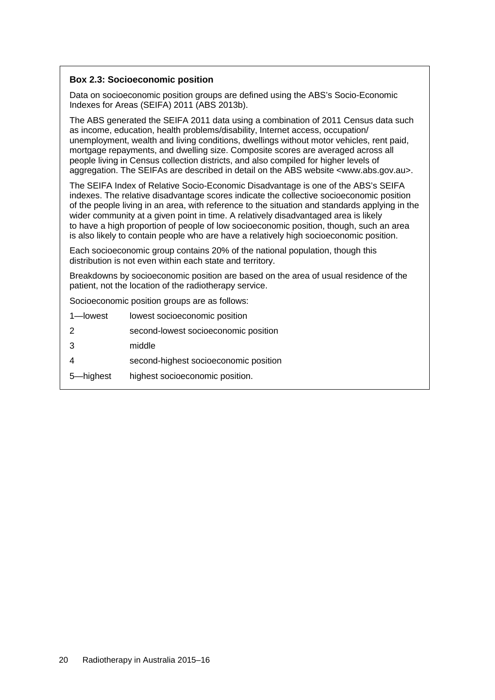### <span id="page-27-0"></span>**Box 2.3: Socioeconomic position**

Data on socioeconomic position groups are defined using the ABS's Socio-Economic Indexes for Areas (SEIFA) 2011 (ABS 2013b).

The ABS generated the SEIFA 2011 data using a combination of 2011 Census data such as income, education, health problems/disability, Internet access, occupation/ unemployment, wealth and living conditions, dwellings without motor vehicles, rent paid, mortgage repayments, and dwelling size. Composite scores are averaged across all people living in Census collection districts, and also compiled for higher levels of aggregation. The SEIFAs are described in detail on the ABS website <www.abs.gov.au>.

The SEIFA Index of Relative Socio-Economic Disadvantage is one of the ABS's SEIFA indexes. The relative disadvantage scores indicate the collective socioeconomic position of the people living in an area, with reference to the situation and standards applying in the wider community at a given point in time. A relatively disadvantaged area is likely to have a high proportion of people of low socioeconomic position, though, such an area is also likely to contain people who are have a relatively high socioeconomic position.

Each socioeconomic group contains 20% of the national population, though this distribution is not even within each state and territory.

Breakdowns by socioeconomic position are based on the area of usual residence of the patient, not the location of the radiotherapy service.

Socioeconomic position groups are as follows:

- 1—lowest lowest socioeconomic position
- 2 second-lowest socioeconomic position
- 3 middle
- 4 second-highest socioeconomic position
- 5—highest highest socioeconomic position.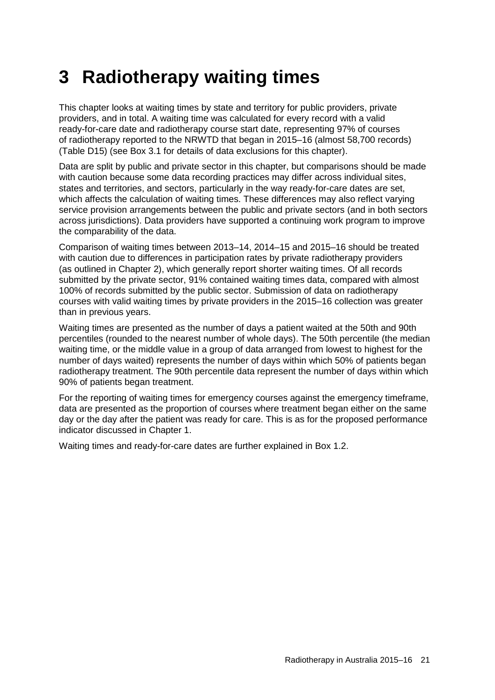# <span id="page-28-0"></span>**3 Radiotherapy waiting times**

This chapter looks at waiting times by state and territory for public providers, private providers, and in total. A waiting time was calculated for every record with a valid ready-for-care date and radiotherapy course start date, representing 97% of courses of radiotherapy reported to the NRWTD that began in 2015–16 (almost 58,700 records) [\(Table D15\)](#page-54-0) (see Box 3.1 for details of data exclusions for this chapter).

Data are split by public and private sector in this chapter, but comparisons should be made with caution because some data recording practices may differ across individual sites, states and territories, and sectors, particularly in the way ready-for-care dates are set, which affects the calculation of waiting times. These differences may also reflect varying service provision arrangements between the public and private sectors (and in both sectors across jurisdictions). Data providers have supported a continuing work program to improve the comparability of the data.

Comparison of waiting times between 2013–14, 2014–15 and 2015–16 should be treated with caution due to differences in participation rates by private radiotherapy providers (as outlined in Chapter 2), which generally report shorter waiting times. Of all records submitted by the private sector, 91% contained waiting times data, compared with almost 100% of records submitted by the public sector. Submission of data on radiotherapy courses with valid waiting times by private providers in the 2015–16 collection was greater than in previous years.

Waiting times are presented as the number of days a patient waited at the 50th and 90th percentiles (rounded to the nearest number of whole days). The 50th percentile (the median waiting time, or the middle value in a group of data arranged from lowest to highest for the number of days waited) represents the number of days within which 50% of patients began radiotherapy treatment. The 90th percentile data represent the number of days within which 90% of patients began treatment.

For the reporting of waiting times for emergency courses against the emergency timeframe, data are presented as the proportion of courses where treatment began either on the same day or the day after the patient was ready for care. This is as for the proposed performance indicator discussed in Chapter 1.

Waiting times and ready-for-care dates are further explained in [Box 1.2.](#page-10-0)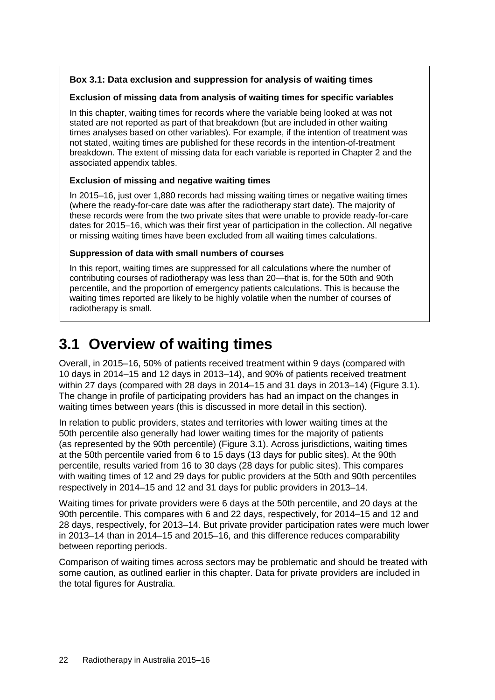### <span id="page-29-1"></span>**Box 3.1: Data exclusion and suppression for analysis of waiting times**

### **Exclusion of missing data from analysis of waiting times for specific variables**

In this chapter, waiting times for records where the variable being looked at was not stated are not reported as part of that breakdown (but are included in other waiting times analyses based on other variables). For example, if the intention of treatment was not stated, waiting times are published for these records in the intention-of-treatment breakdown. The extent of missing data for each variable is reported in Chapter 2 and the associated appendix tables.

### **Exclusion of missing and negative waiting times**

In 2015–16, just over 1,880 records had missing waiting times or negative waiting times (where the ready-for-care date was after the radiotherapy start date)*.* The majority of these records were from the two private sites that were unable to provide ready-for-care dates for 2015–16, which was their first year of participation in the collection. All negative or missing waiting times have been excluded from all waiting times calculations.

### **Suppression of data with small numbers of courses**

In this report, waiting times are suppressed for all calculations where the number of contributing courses of radiotherapy was less than 20—that is, for the 50th and 90th percentile, and the proportion of emergency patients calculations. This is because the waiting times reported are likely to be highly volatile when the number of courses of radiotherapy is small.

# <span id="page-29-0"></span>**3.1 Overview of waiting times**

Overall, in 2015–16, 50% of patients received treatment within 9 days (compared with 10 days in 2014–15 and 12 days in 2013–14), and 90% of patients received treatment within 27 days (compared with 28 days in 2014–15 and 31 days in 2013–14) (Figure 3.1). The change in profile of participating providers has had an impact on the changes in waiting times between years (this is discussed in more detail in this section).

In relation to public providers, states and territories with lower waiting times at the 50th percentile also generally had lower waiting times for the majority of patients (as represented by the 90th percentile) (Figure 3.1). Across jurisdictions, waiting times at the 50th percentile varied from 6 to 15 days (13 days for public sites). At the 90th percentile, results varied from 16 to 30 days (28 days for public sites). This compares with waiting times of 12 and 29 days for public providers at the 50th and 90th percentiles respectively in 2014–15 and 12 and 31 days for public providers in 2013–14.

Waiting times for private providers were 6 days at the 50th percentile, and 20 days at the 90th percentile. This compares with 6 and 22 days, respectively, for 2014–15 and 12 and 28 days, respectively, for 2013–14. But private provider participation rates were much lower in 2013–14 than in 2014–15 and 2015–16, and this difference reduces comparability between reporting periods.

Comparison of waiting times across sectors may be problematic and should be treated with some caution, as outlined earlier in this chapter. Data for private providers are included in the total figures for Australia.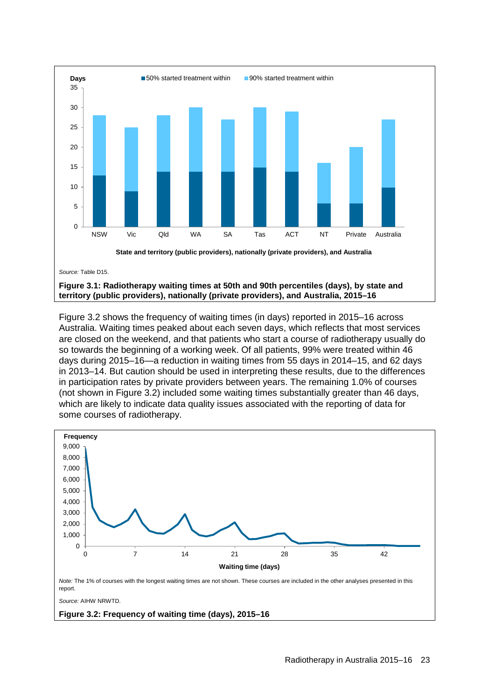

<span id="page-30-0"></span>Figure 3.2 shows the frequency of waiting times (in days) reported in 2015–16 across Australia. Waiting times peaked about each seven days, which reflects that most services are closed on the weekend, and that patients who start a course of radiotherapy usually do so towards the beginning of a working week. Of all patients, 99% were treated within 46 days during 2015–16—a reduction in waiting times from 55 days in 2014–15, and 62 days in 2013–14. But caution should be used in interpreting these results, due to the differences in participation rates by private providers between years. The remaining 1.0% of courses (not shown in Figure 3.2) included some waiting times substantially greater than 46 days, which are likely to indicate data quality issues associated with the reporting of data for some courses of radiotherapy.



<span id="page-30-1"></span>**Figure 3.2: Frequency of waiting time (days), 2015–16**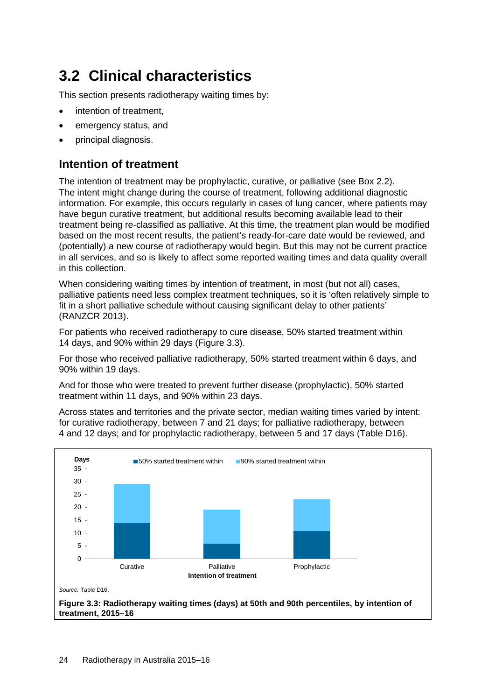# <span id="page-31-0"></span>**3.2 Clinical characteristics**

This section presents radiotherapy waiting times by:

- intention of treatment,
- emergency status, and
- principal diagnosis.

## **Intention of treatment**

The intention of treatment may be prophylactic, curative, or palliative (see [Box 2.2\)](#page-17-1). The intent might change during the course of treatment, following additional diagnostic information. For example, this occurs regularly in cases of lung cancer, where patients may have begun curative treatment, but additional results becoming available lead to their treatment being re-classified as palliative. At this time, the treatment plan would be modified based on the most recent results, the patient's ready-for-care date would be reviewed, and (potentially) a new course of radiotherapy would begin. But this may not be current practice in all services, and so is likely to affect some reported waiting times and data quality overall in this collection.

When considering waiting times by intention of treatment, in most (but not all) cases, palliative patients need less complex treatment techniques, so it is 'often relatively simple to fit in a short palliative schedule without causing significant delay to other patients' (RANZCR 2013).

For patients who received radiotherapy to cure disease, 50% started treatment within 14 days, and 90% within 29 days (Figure 3.3).

For those who received palliative radiotherapy, 50% started treatment within 6 days, and 90% within 19 days.

And for those who were treated to prevent further disease (prophylactic), 50% started treatment within 11 days, and 90% within 23 days.

Across states and territories and the private sector, median waiting times varied by intent: for curative radiotherapy, between 7 and 21 days; for palliative radiotherapy, between 4 and 12 days; and for prophylactic radiotherapy, between 5 and 17 days [\(Table D16\)](#page-55-0).

<span id="page-31-1"></span>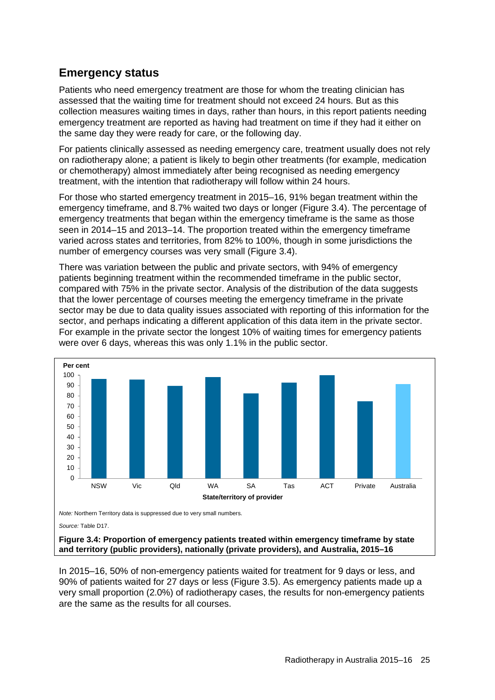## **Emergency status**

Patients who need emergency treatment are those for whom the treating clinician has assessed that the waiting time for treatment should not exceed 24 hours. But as this collection measures waiting times in days, rather than hours, in this report patients needing emergency treatment are reported as having had treatment on time if they had it either on the same day they were ready for care, or the following day.

For patients clinically assessed as needing emergency care, treatment usually does not rely on radiotherapy alone; a patient is likely to begin other treatments (for example, medication or chemotherapy) almost immediately after being recognised as needing emergency treatment, with the intention that radiotherapy will follow within 24 hours.

For those who started emergency treatment in 2015–16, 91% began treatment within the emergency timeframe, and 8.7% waited two days or longer (Figure 3.4). The percentage of emergency treatments that began within the emergency timeframe is the same as those seen in 2014–15 and 2013–14. The proportion treated within the emergency timeframe varied across states and territories, from 82% to 100%, though in some jurisdictions the number of emergency courses was very small (Figure 3.4).

There was variation between the public and private sectors, with 94% of emergency patients beginning treatment within the recommended timeframe in the public sector, compared with 75% in the private sector. Analysis of the distribution of the data suggests that the lower percentage of courses meeting the emergency timeframe in the private sector may be due to data quality issues associated with reporting of this information for the sector, and perhaps indicating a different application of this data item in the private sector. For example in the private sector the longest 10% of waiting times for emergency patients were over 6 days, whereas this was only 1.1% in the public sector.



<span id="page-32-0"></span>**Figure 3.4: Proportion of emergency patients treated within emergency timeframe by state and territory (public providers), nationally (private providers), and Australia, 2015–16**

In 2015–16, 50% of non-emergency patients waited for treatment for 9 days or less, and 90% of patients waited for 27 days or less (Figure 3.5). As emergency patients made up a very small proportion (2.0%) of radiotherapy cases, the results for non-emergency patients are the same as the results for all courses.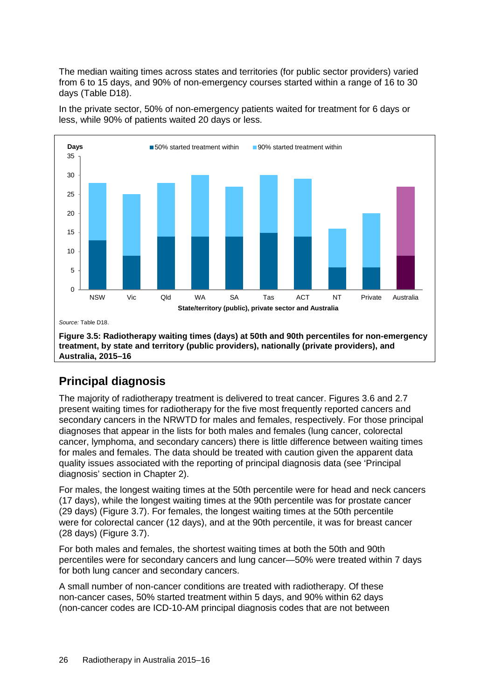The median waiting times across states and territories (for public sector providers) varied from 6 to 15 days, and 90% of non-emergency courses started within a range of 16 to 30 days [\(Table](#page-55-2) D18).



In the private sector, 50% of non-emergency patients waited for treatment for 6 days or less, while 90% of patients waited 20 days or less.

# <span id="page-33-0"></span>**Principal diagnosis**

The majority of radiotherapy treatment is delivered to treat cancer. Figures 3.6 and 2.7 present waiting times for radiotherapy for the five most frequently reported cancers and secondary cancers in the NRWTD for males and females, respectively. For those principal diagnoses that appear in the lists for both males and females (lung cancer, colorectal cancer, lymphoma, and secondary cancers) there is little difference between waiting times for males and females. The data should be treated with caution given the apparent data quality issues associated with the reporting of principal diagnosis data (see 'Principal diagnosis' section in Chapter 2).

For males, the longest waiting times at the 50th percentile were for head and neck cancers (17 days), while the longest waiting times at the 90th percentile was for prostate cancer (29 days) (Figure 3.7). For females, the longest waiting times at the 50th percentile were for colorectal cancer (12 days), and at the 90th percentile, it was for breast cancer (28 days) (Figure 3.7).

For both males and females, the shortest waiting times at both the 50th and 90th percentiles were for secondary cancers and lung cancer—50% were treated within 7 days for both lung cancer and secondary cancers.

A small number of non-cancer conditions are treated with radiotherapy. Of these non-cancer cases, 50% started treatment within 5 days, and 90% within 62 days (non-cancer codes are ICD-10-AM principal diagnosis codes that are not between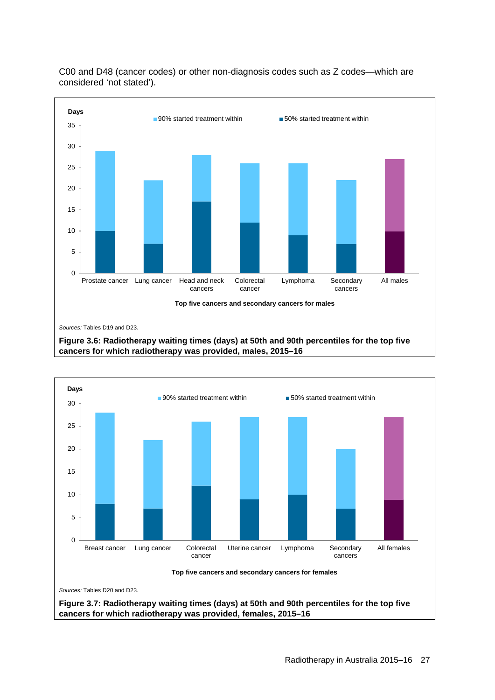

C00 and D48 (cancer codes) or other non-diagnosis codes such as Z codes—which are considered 'not stated').

<span id="page-34-0"></span>

<span id="page-34-1"></span>**Figure 3.7: Radiotherapy waiting times (days) at 50th and 90th percentiles for the top five cancers for which radiotherapy was provided, females, 2015–16**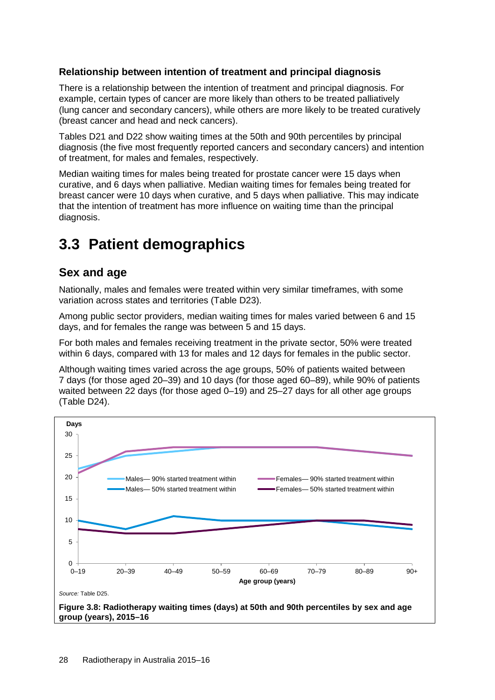### **Relationship between intention of treatment and principal diagnosis**

There is a relationship between the intention of treatment and principal diagnosis. For example, certain types of cancer are more likely than others to be treated palliatively (lung cancer and secondary cancers), while others are more likely to be treated curatively (breast cancer and head and neck cancers).

Tables [D21](#page-56-1) and [D22](#page-57-1) show waiting times at the 50th and 90th percentiles by principal diagnosis (the five most frequently reported cancers and secondary cancers) and intention of treatment, for males and females, respectively.

Median waiting times for males being treated for prostate cancer were 15 days when curative, and 6 days when palliative. Median waiting times for females being treated for breast cancer were 10 days when curative, and 5 days when palliative. This may indicate that the intention of treatment has more influence on waiting time than the principal diagnosis.

# <span id="page-35-0"></span>**3.3 Patient demographics**

## **Sex and age**

Nationally, males and females were treated within very similar timeframes, with some variation across states and territories [\(Table](#page-57-0) D23).

Among public sector providers, median waiting times for males varied between 6 and 15 days, and for females the range was between 5 and 15 days.

For both males and females receiving treatment in the private sector, 50% were treated within 6 days, compared with 13 for males and 12 days for females in the public sector.

Although waiting times varied across the age groups, 50% of patients waited between 7 days (for those aged 20–39) and 10 days (for those aged 60–89), while 90% of patients waited between 22 days (for those aged 0–19) and 25–27 days for all other age groups [\(Table D24\)](#page-58-0).

<span id="page-35-1"></span>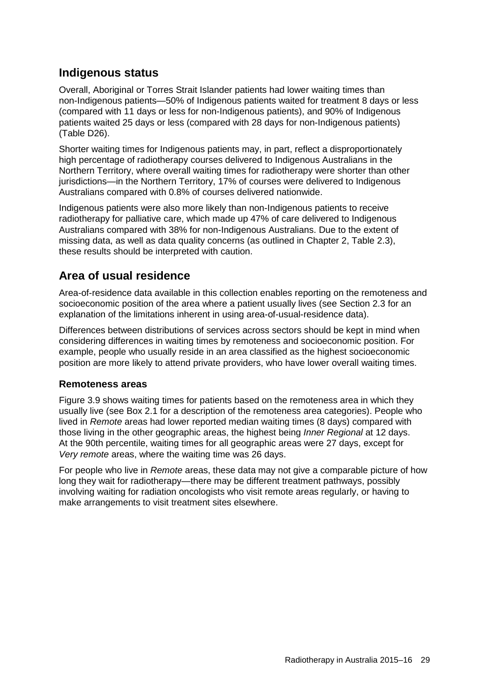## **Indigenous status**

Overall, Aboriginal or Torres Strait Islander patients had lower waiting times than non-Indigenous patients—50% of Indigenous patients waited for treatment 8 days or less (compared with 11 days or less for non-Indigenous patients), and 90% of Indigenous patients waited 25 days or less (compared with 28 days for non-Indigenous patients) [\(Table](#page-59-0) D26).

Shorter waiting times for Indigenous patients may, in part, reflect a disproportionately high percentage of radiotherapy courses delivered to Indigenous Australians in the Northern Territory, where overall waiting times for radiotherapy were shorter than other jurisdictions—in the Northern Territory, 17% of courses were delivered to Indigenous Australians compared with 0.8% of courses delivered nationwide.

Indigenous patients were also more likely than non-Indigenous patients to receive radiotherapy for palliative care, which made up 47% of care delivered to Indigenous Australians compared with 38% for non-Indigenous Australians. Due to the extent of missing data, as well as data quality concerns (as outlined in Chapter 2, Table 2.3), these results should be interpreted with caution.

## **Area of usual residence**

Area-of-residence data available in this collection enables reporting on the remoteness and socioeconomic position of the area where a patient usually lives (see Section 2.3 for an explanation of the limitations inherent in using area-of-usual-residence data).

Differences between distributions of services across sectors should be kept in mind when considering differences in waiting times by remoteness and socioeconomic position. For example, people who usually reside in an area classified as the highest socioeconomic position are more likely to attend private providers, who have lower overall waiting times.

### **Remoteness areas**

Figure 3.9 shows waiting times for patients based on the remoteness area in which they usually live (see [Box 2.1](#page-16-0) for a description of the remoteness area categories). People who lived in *Remote* areas had lower reported median waiting times (8 days) compared with those living in the other geographic areas, the highest being *Inner Regional* at 12 days. At the 90th percentile, waiting times for all geographic areas were 27 days, except for *Very remote* areas, where the waiting time was 26 days.

For people who live in *Remote* areas, these data may not give a comparable picture of how long they wait for radiotherapy—there may be different treatment pathways, possibly involving waiting for radiation oncologists who visit remote areas regularly, or having to make arrangements to visit treatment sites elsewhere.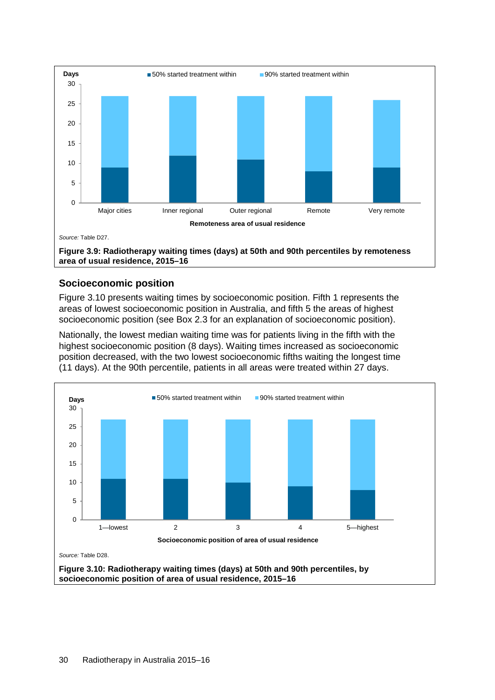

### <span id="page-37-0"></span>**Socioeconomic position**

Figure 3.10 presents waiting times by socioeconomic position. Fifth 1 represents the areas of lowest socioeconomic position in Australia, and fifth 5 the areas of highest socioeconomic position (see [Box 2.3](#page-27-0) for an explanation of socioeconomic position).

Nationally, the lowest median waiting time was for patients living in the fifth with the highest socioeconomic position (8 days). Waiting times increased as socioeconomic position decreased, with the two lowest socioeconomic fifths waiting the longest time (11 days). At the 90th percentile, patients in all areas were treated within 27 days.

<span id="page-37-1"></span>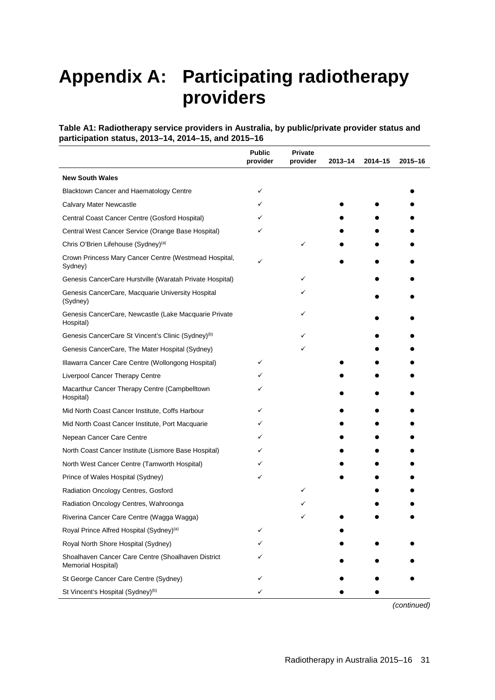# <span id="page-38-0"></span>**Appendix A: Participating radiotherapy providers**

<span id="page-38-1"></span>**Table A1: Radiotherapy service providers in Australia, by public/private provider status and participation status, 2013–14, 2014–15, and 2015–16**

|                                                                          | <b>Public</b><br>provider | <b>Private</b><br>provider | 2013-14 | $2014 - 15$ | 2015-16 |
|--------------------------------------------------------------------------|---------------------------|----------------------------|---------|-------------|---------|
| <b>New South Wales</b>                                                   |                           |                            |         |             |         |
| Blacktown Cancer and Haematology Centre                                  | ✓                         |                            |         |             |         |
| <b>Calvary Mater Newcastle</b>                                           | ✓                         |                            |         |             |         |
| Central Coast Cancer Centre (Gosford Hospital)                           |                           |                            |         |             |         |
| Central West Cancer Service (Orange Base Hospital)                       |                           |                            |         |             |         |
| Chris O'Brien Lifehouse (Sydney) <sup>(a)</sup>                          |                           | ✓                          |         |             |         |
| Crown Princess Mary Cancer Centre (Westmead Hospital,<br>Sydney)         |                           |                            |         |             |         |
| Genesis CancerCare Hurstville (Waratah Private Hospital)                 |                           | ✓                          |         |             |         |
| Genesis CancerCare, Macquarie University Hospital<br>(Sydney)            |                           |                            |         |             |         |
| Genesis CancerCare, Newcastle (Lake Macquarie Private<br>Hospital)       |                           | ✓                          |         |             |         |
| Genesis CancerCare St Vincent's Clinic (Sydney) <sup>(b)</sup>           |                           |                            |         |             |         |
| Genesis CancerCare, The Mater Hospital (Sydney)                          |                           | ✓                          |         |             |         |
| Illawarra Cancer Care Centre (Wollongong Hospital)                       |                           |                            |         |             |         |
| Liverpool Cancer Therapy Centre                                          |                           |                            |         |             |         |
| Macarthur Cancer Therapy Centre (Campbelltown<br>Hospital)               |                           |                            |         |             |         |
| Mid North Coast Cancer Institute, Coffs Harbour                          |                           |                            |         |             |         |
| Mid North Coast Cancer Institute, Port Macquarie                         |                           |                            |         |             |         |
| Nepean Cancer Care Centre                                                |                           |                            |         |             |         |
| North Coast Cancer Institute (Lismore Base Hospital)                     |                           |                            |         |             |         |
| North West Cancer Centre (Tamworth Hospital)                             |                           |                            |         |             |         |
| Prince of Wales Hospital (Sydney)                                        | ✓                         |                            |         |             |         |
| Radiation Oncology Centres, Gosford                                      |                           |                            |         |             |         |
| Radiation Oncology Centres, Wahroonga                                    |                           |                            |         |             |         |
| Riverina Cancer Care Centre (Wagga Wagga)                                |                           |                            |         |             |         |
| Royal Prince Alfred Hospital (Sydney) <sup>(a)</sup>                     |                           |                            |         |             |         |
| Royal North Shore Hospital (Sydney)                                      |                           |                            |         |             |         |
| Shoalhaven Cancer Care Centre (Shoalhaven District<br>Memorial Hospital) |                           |                            |         |             |         |
| St George Cancer Care Centre (Sydney)                                    |                           |                            |         |             |         |
| St Vincent's Hospital (Sydney) <sup>(b)</sup>                            |                           |                            |         |             |         |

*(continued)*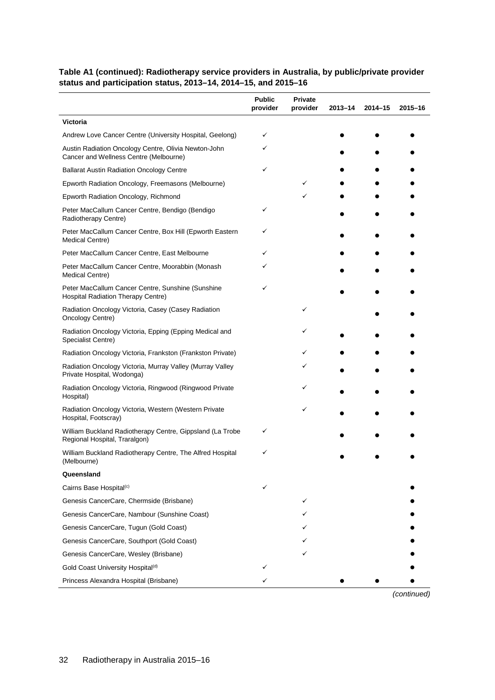### **Table A1 (continued): Radiotherapy service providers in Australia, by public/private provider status and participation status, 2013–14, 2014–15, and 2015–16**

|                                                                                                | <b>Public</b><br>provider | Private<br>provider | $2013 - 14$ | 2014-15 | 2015-16 |
|------------------------------------------------------------------------------------------------|---------------------------|---------------------|-------------|---------|---------|
| <b>Victoria</b>                                                                                |                           |                     |             |         |         |
| Andrew Love Cancer Centre (University Hospital, Geelong)                                       | ✓                         |                     |             |         |         |
| Austin Radiation Oncology Centre, Olivia Newton-John<br>Cancer and Wellness Centre (Melbourne) | ✓                         |                     |             |         |         |
| <b>Ballarat Austin Radiation Oncology Centre</b>                                               | ✓                         |                     |             |         |         |
| Epworth Radiation Oncology, Freemasons (Melbourne)                                             |                           |                     |             |         |         |
| Epworth Radiation Oncology, Richmond                                                           |                           | ✓                   |             |         |         |
| Peter MacCallum Cancer Centre, Bendigo (Bendigo<br>Radiotherapy Centre)                        | ✓                         |                     |             |         |         |
| Peter MacCallum Cancer Centre, Box Hill (Epworth Eastern<br>Medical Centre)                    | ✓                         |                     |             |         |         |
| Peter MacCallum Cancer Centre, East Melbourne                                                  |                           |                     |             |         |         |
| Peter MacCallum Cancer Centre, Moorabbin (Monash<br>Medical Centre)                            |                           |                     |             |         |         |
| Peter MacCallum Cancer Centre, Sunshine (Sunshine<br>Hospital Radiation Therapy Centre)        | ✓                         |                     |             |         |         |
| Radiation Oncology Victoria, Casey (Casey Radiation<br>Oncology Centre)                        |                           |                     |             |         |         |
| Radiation Oncology Victoria, Epping (Epping Medical and<br>Specialist Centre)                  |                           |                     |             |         |         |
| Radiation Oncology Victoria, Frankston (Frankston Private)                                     |                           |                     |             |         |         |
| Radiation Oncology Victoria, Murray Valley (Murray Valley<br>Private Hospital, Wodonga)        |                           |                     |             |         |         |
| Radiation Oncology Victoria, Ringwood (Ringwood Private<br>Hospital)                           |                           | ✓                   |             |         |         |
| Radiation Oncology Victoria, Western (Western Private<br>Hospital, Footscray)                  |                           | ✓                   |             |         |         |
| William Buckland Radiotherapy Centre, Gippsland (La Trobe<br>Regional Hospital, Traralgon)     |                           |                     |             |         |         |
| William Buckland Radiotherapy Centre, The Alfred Hospital<br>(Melbourne)                       | ✓                         |                     |             |         |         |
| Queensland                                                                                     |                           |                     |             |         |         |
| Cairns Base Hospital <sup>(c)</sup>                                                            |                           |                     |             |         |         |
| Genesis CancerCare, Chermside (Brisbane)                                                       |                           | ✓                   |             |         |         |
| Genesis CancerCare, Nambour (Sunshine Coast)                                                   |                           |                     |             |         |         |
| Genesis CancerCare, Tugun (Gold Coast)                                                         |                           |                     |             |         |         |
| Genesis CancerCare, Southport (Gold Coast)                                                     |                           |                     |             |         |         |
| Genesis CancerCare, Wesley (Brisbane)                                                          |                           |                     |             |         |         |
| Gold Coast University Hospital <sup>(d)</sup>                                                  |                           |                     |             |         |         |
| Princess Alexandra Hospital (Brisbane)                                                         |                           |                     |             |         |         |

*(continued)*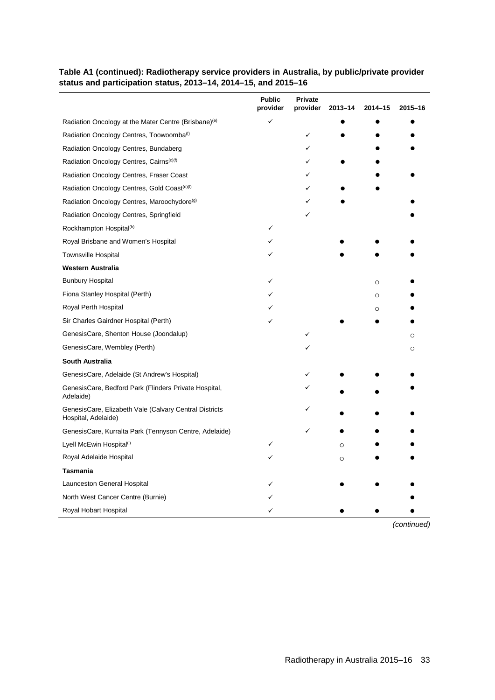|                                                                               | <b>Public</b><br>provider | Private<br>provider | $2013 - 14$ | $2014 - 15$ | $2015 - 16$ |
|-------------------------------------------------------------------------------|---------------------------|---------------------|-------------|-------------|-------------|
| Radiation Oncology at the Mater Centre (Brisbane) <sup>(e)</sup>              | ✓                         |                     |             |             |             |
| Radiation Oncology Centres, Toowoomba <sup>(f)</sup>                          |                           | ✓                   |             |             |             |
| Radiation Oncology Centres, Bundaberg                                         |                           | ✓                   |             |             |             |
| Radiation Oncology Centres, Cairns <sup>(c)(f)</sup>                          |                           |                     |             |             |             |
| Radiation Oncology Centres, Fraser Coast                                      |                           |                     |             |             |             |
| Radiation Oncology Centres, Gold Coast <sup>(d)(f)</sup>                      |                           |                     |             |             |             |
| Radiation Oncology Centres, Maroochydore <sup>(g)</sup>                       |                           |                     |             |             |             |
| Radiation Oncology Centres, Springfield                                       |                           |                     |             |             |             |
| Rockhampton Hospital <sup>(h)</sup>                                           | ✓                         |                     |             |             |             |
| Royal Brisbane and Women's Hospital                                           |                           |                     |             |             |             |
| <b>Townsville Hospital</b>                                                    |                           |                     |             |             |             |
| <b>Western Australia</b>                                                      |                           |                     |             |             |             |
| <b>Bunbury Hospital</b>                                                       |                           |                     |             | $\circ$     |             |
| Fiona Stanley Hospital (Perth)                                                |                           |                     |             | $\circ$     |             |
| Royal Perth Hospital                                                          |                           |                     |             | $\circ$     |             |
| Sir Charles Gairdner Hospital (Perth)                                         |                           |                     |             |             |             |
| GenesisCare, Shenton House (Joondalup)                                        |                           |                     |             |             | O           |
| GenesisCare, Wembley (Perth)                                                  |                           |                     |             |             | O           |
| <b>South Australia</b>                                                        |                           |                     |             |             |             |
| GenesisCare, Adelaide (St Andrew's Hospital)                                  |                           |                     |             |             |             |
| GenesisCare, Bedford Park (Flinders Private Hospital,<br>Adelaide)            |                           |                     |             |             |             |
| GenesisCare, Elizabeth Vale (Calvary Central Districts<br>Hospital, Adelaide) |                           |                     |             |             |             |
| GenesisCare, Kurralta Park (Tennyson Centre, Adelaide)                        |                           |                     |             |             |             |
| Lyell McEwin Hospital <sup>(i)</sup>                                          |                           |                     | $\Omega$    |             |             |
| Royal Adelaide Hospital                                                       |                           |                     | $\circ$     |             |             |
| Tasmania                                                                      |                           |                     |             |             |             |
| Launceston General Hospital                                                   |                           |                     |             |             |             |
| North West Cancer Centre (Burnie)                                             |                           |                     |             |             |             |
| Royal Hobart Hospital                                                         |                           |                     |             |             |             |

### **Table A1 (continued): Radiotherapy service providers in Australia, by public/private provider status and participation status, 2013–14, 2014–15, and 2015–16**

*(continued)*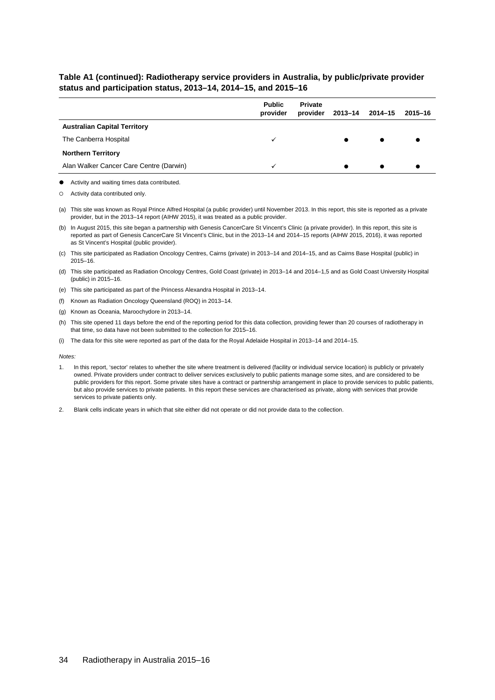#### **Table A1 (continued): Radiotherapy service providers in Australia, by public/private provider status and participation status, 2013–14, 2014–15, and 2015–16**

|                                         | <b>Public</b><br>provider | <b>Private</b><br>provider | 2013-14 | 2014-15 | $2015 - 16$ |
|-----------------------------------------|---------------------------|----------------------------|---------|---------|-------------|
| <b>Australian Capital Territory</b>     |                           |                            |         |         |             |
| The Canberra Hospital                   | ✓                         |                            |         |         |             |
| <b>Northern Territory</b>               |                           |                            |         |         |             |
| Alan Walker Cancer Care Centre (Darwin) | ✓                         |                            |         |         |             |

Activity and waiting times data contributed.

Activity data contributed only.

(a) This site was known as Royal Prince Alfred Hospital (a public provider) until November 2013. In this report, this site is reported as a private provider, but in the 2013–14 report (AIHW 2015), it was treated as a public provider.

(b) In August 2015, this site began a partnership with Genesis CancerCare St Vincent's Clinic (a private provider). In this report, this site is reported as part of Genesis CancerCare St Vincent's Clinic, but in the 2013–14 and 2014–15 reports (AIHW 2015, 2016), it was reported as St Vincent's Hospital (public provider).

(c) This site participated as Radiation Oncology Centres, Cairns (private) in 2013–14 and 2014–15, and as Cairns Base Hospital (public) in 2015–16.

(d) This site participated as Radiation Oncology Centres, Gold Coast (private) in 2013–14 and 2014–1,5 and as Gold Coast University Hospital (public) in 2015–16.

(e) This site participated as part of the Princess Alexandra Hospital in 2013–14.

(f) Known as Radiation Oncology Queensland (ROQ) in 2013–14.

(g) Known as Oceania, Maroochydore in 2013–14.

(h) This site opened 11 days before the end of the reporting period for this data collection, providing fewer than 20 courses of radiotherapy in that time, so data have not been submitted to the collection for 2015–16.

(i) The data for this site were reported as part of the data for the Royal Adelaide Hospital in 2013–14 and 2014–15.

*Notes:* 

- 1. In this report, 'sector' relates to whether the site where treatment is delivered (facility or individual service location) is publicly or privately owned. Private providers under contract to deliver services exclusively to public patients manage some sites, and are considered to be public providers for this report. Some private sites have a contract or partnership arrangement in place to provide services to public patients, but also provide services to private patients. In this report these services are characterised as private, along with services that provide services to private patients only.
- 2. Blank cells indicate years in which that site either did not operate or did not provide data to the collection.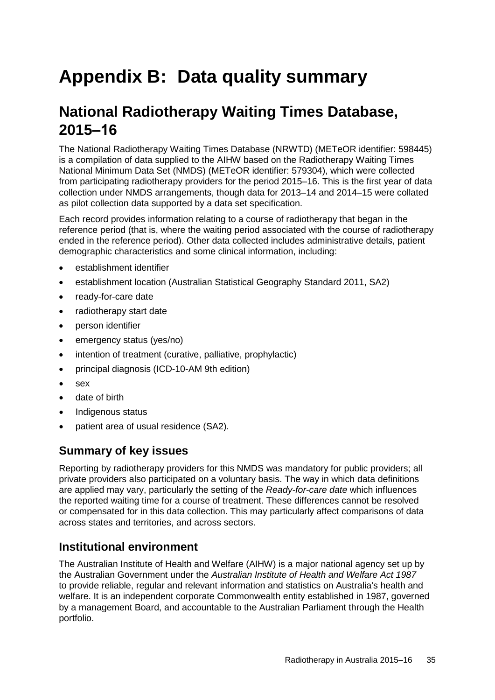# <span id="page-42-0"></span>**Appendix B: Data quality summary**

# **National Radiotherapy Waiting Times Database, 2015‒16**

The National Radiotherapy Waiting Times Database (NRWTD) (METeOR identifier: [598445\)](http://meteor.aihw.gov.au/content/index.phtml/itemId/598445) is a compilation of data supplied to the AIHW based on the Radiotherapy Waiting Times National Minimum Data Set (NMDS) (METeOR identifier: [579304\)](http://meteor.aihw.gov.au/content/index.phtml/itemId/579304), which were collected from participating radiotherapy providers for the period 2015–16. This is the first year of data collection under NMDS arrangements, though data for 2013–14 and 2014–15 were collated as pilot collection data supported by a data set specification.

Each record provides information relating to a course of radiotherapy that began in the reference period (that is, where the waiting period associated with the course of radiotherapy ended in the reference period). Other data collected includes administrative details, patient demographic characteristics and some clinical information, including:

- establishment identifier
- establishment location (Australian Statistical Geography Standard 2011, SA2)
- ready-for-care date
- radiotherapy start date
- person identifier
- emergency status (yes/no)
- intention of treatment (curative, palliative, prophylactic)
- principal diagnosis (ICD-10-AM 9th edition)
- sex
- date of birth
- Indigenous status
- patient area of usual residence (SA2).

### **Summary of key issues**

Reporting by radiotherapy providers for this NMDS was mandatory for public providers; all private providers also participated on a voluntary basis. The way in which data definitions are applied may vary, particularly the setting of the *Ready-for-care date* which influences the reported waiting time for a course of treatment. These differences cannot be resolved or compensated for in this data collection. This may particularly affect comparisons of data across states and territories, and across sectors.

## **Institutional environment**

The Australian Institute of Health and Welfare (AIHW) is a major national agency set up by the Australian Government under the *[Australian Institute of Health and Welfare Act 1987](http://intranet/index.cfm/13%2c591%2c86%2chtml)* to provide reliable, regular and relevant information and statistics on Australia's health and welfare. It is an independent corporate Commonwealth entity established in 1987, governed by a [management Board,](http://www.aihw.gov.au/aihw-board/) and accountable to the Australian Parliament through the Health portfolio.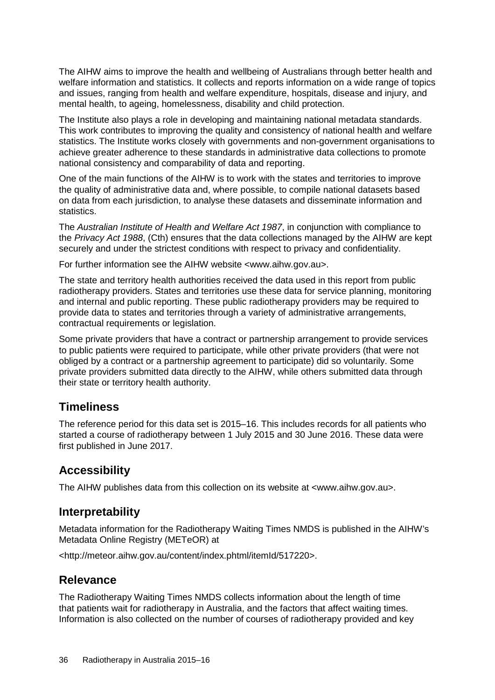The AIHW aims to improve the health and wellbeing of Australians through better health and welfare information and statistics. It collects and reports information on a wide range of topics and issues, ranging from health and welfare expenditure, hospitals, disease and injury, and mental health, to ageing, homelessness, disability and child protection.

The Institute also plays a role in developing and maintaining national metadata standards. This work contributes to improving the quality and consistency of national health and welfare statistics. The Institute works closely with governments and non-government organisations to achieve greater adherence to these standards in administrative data collections to promote national consistency and comparability of data and reporting.

One of the main functions of the AIHW is to work with the states and territories to improve the quality of administrative data and, where possible, to compile national datasets based on data from each jurisdiction, to analyse these datasets and disseminate information and statistics.

The *[Australian Institute of Health and Welfare Act 1987](http://intranet/index.cfm/13%2c591%2c86%2chtml)*, in conjunction with compliance to the *[Privacy Act 1988](http://www.comlaw.gov.au/Details/C2011C00503)*, (Cth) ensures that the data collections managed by the AIHW are kept securely and under the strictest conditions with respect to privacy and confidentiality.

For further information see the AIHW website [<www.aihw.gov.au>](http://www.aihw.gov.au/).

The state and territory health authorities received the data used in this report from public radiotherapy providers. States and territories use these data for service planning, monitoring and internal and public reporting. These public radiotherapy providers may be required to provide data to states and territories through a variety of administrative arrangements, contractual requirements or legislation.

Some private providers that have a contract or partnership arrangement to provide services to public patients were required to participate, while other private providers (that were not obliged by a contract or a partnership agreement to participate) did so voluntarily. Some private providers submitted data directly to the AIHW, while others submitted data through their state or territory health authority.

### **Timeliness**

The reference period for this data set is 2015–16. This includes records for all patients who started a course of radiotherapy between 1 July 2015 and 30 June 2016. These data were first published in June 2017.

### **Accessibility**

The AIHW publishes data from this collection on its website at <www.aihw.gov.au>.

### **Interpretability**

Metadata information for the Radiotherapy Waiting Times NMDS is published in the AIHW's Metadata Online Registry (METeOR) at

<http://meteor.aihw.gov.au/content/index.phtml/itemId/517220>.

## **Relevance**

The Radiotherapy Waiting Times NMDS collects information about the length of time that patients wait for radiotherapy in Australia, and the factors that affect waiting times. Information is also collected on the number of courses of radiotherapy provided and key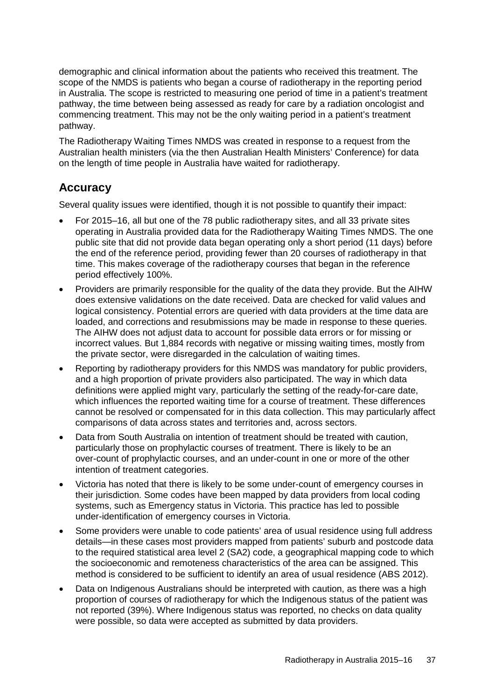demographic and clinical information about the patients who received this treatment. The scope of the NMDS is patients who began a course of radiotherapy in the reporting period in Australia. The scope is restricted to measuring one period of time in a patient's treatment pathway, the time between being assessed as ready for care by a radiation oncologist and commencing treatment. This may not be the only waiting period in a patient's treatment pathway.

The Radiotherapy Waiting Times NMDS was created in response to a request from the Australian health ministers (via the then Australian Health Ministers' Conference) for data on the length of time people in Australia have waited for radiotherapy.

## **Accuracy**

Several quality issues were identified, though it is not possible to quantify their impact:

- For 2015–16, all but one of the 78 public radiotherapy sites, and all 33 private sites operating in Australia provided data for the Radiotherapy Waiting Times NMDS. The one public site that did not provide data began operating only a short period (11 days) before the end of the reference period, providing fewer than 20 courses of radiotherapy in that time. This makes coverage of the radiotherapy courses that began in the reference period effectively 100%.
- Providers are primarily responsible for the quality of the data they provide. But the AIHW does extensive validations on the date received. Data are checked for valid values and logical consistency. Potential errors are queried with data providers at the time data are loaded, and corrections and resubmissions may be made in response to these queries. The AIHW does not adjust data to account for possible data errors or for missing or incorrect values. But 1,884 records with negative or missing waiting times, mostly from the private sector, were disregarded in the calculation of waiting times.
- Reporting by radiotherapy providers for this NMDS was mandatory for public providers, and a high proportion of private providers also participated. The way in which data definitions were applied might vary, particularly the setting of the ready-for-care date, which influences the reported waiting time for a course of treatment. These differences cannot be resolved or compensated for in this data collection. This may particularly affect comparisons of data across states and territories and, across sectors.
- Data from South Australia on intention of treatment should be treated with caution, particularly those on prophylactic courses of treatment. There is likely to be an over-count of prophylactic courses, and an under-count in one or more of the other intention of treatment categories.
- Victoria has noted that there is likely to be some under-count of emergency courses in their jurisdiction. Some codes have been mapped by data providers from local coding systems, such as Emergency status in Victoria. This practice has led to possible under-identification of emergency courses in Victoria.
- Some providers were unable to code patients' area of usual residence using full address details—in these cases most providers mapped from patients' suburb and postcode data to the required statistical area level 2 (SA2) code, a geographical mapping code to which the socioeconomic and remoteness characteristics of the area can be assigned. This method is considered to be sufficient to identify an area of usual residence (ABS 2012).
- Data on Indigenous Australians should be interpreted with caution, as there was a high proportion of courses of radiotherapy for which the Indigenous status of the patient was not reported (39%). Where Indigenous status was reported, no checks on data quality were possible, so data were accepted as submitted by data providers.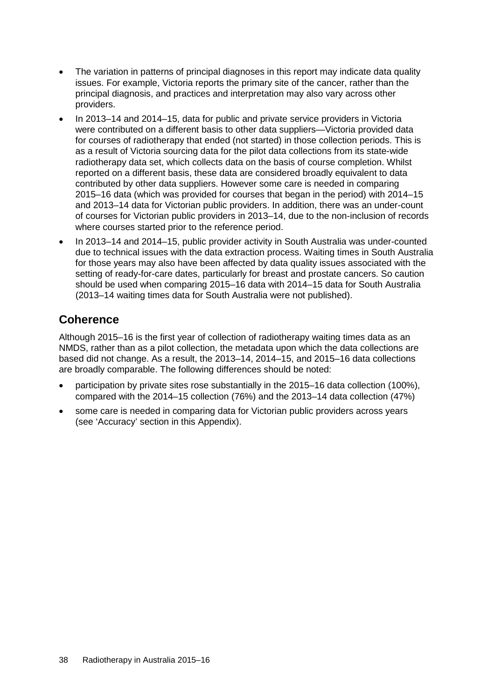- The variation in patterns of principal diagnoses in this report may indicate data quality issues. For example, Victoria reports the primary site of the cancer, rather than the principal diagnosis, and practices and interpretation may also vary across other providers.
- In 2013–14 and 2014–15, data for public and private service providers in Victoria were contributed on a different basis to other data suppliers—Victoria provided data for courses of radiotherapy that ended (not started) in those collection periods. This is as a result of Victoria sourcing data for the pilot data collections from its state-wide radiotherapy data set, which collects data on the basis of course completion. Whilst reported on a different basis, these data are considered broadly equivalent to data contributed by other data suppliers. However some care is needed in comparing 2015–16 data (which was provided for courses that began in the period) with 2014–15 and 2013–14 data for Victorian public providers. In addition, there was an under-count of courses for Victorian public providers in 2013–14, due to the non-inclusion of records where courses started prior to the reference period.
- In 2013–14 and 2014–15, public provider activity in South Australia was under-counted due to technical issues with the data extraction process. Waiting times in South Australia for those years may also have been affected by data quality issues associated with the setting of ready-for-care dates, particularly for breast and prostate cancers. So caution should be used when comparing 2015–16 data with 2014–15 data for South Australia (2013–14 waiting times data for South Australia were not published).

## **Coherence**

Although 2015–16 is the first year of collection of radiotherapy waiting times data as an NMDS, rather than as a pilot collection, the metadata upon which the data collections are based did not change. As a result, the 2013–14, 2014–15, and 2015–16 data collections are broadly comparable. The following differences should be noted:

- participation by private sites rose substantially in the 2015–16 data collection (100%), compared with the 2014–15 collection (76%) and the 2013–14 data collection (47%)
- some care is needed in comparing data for Victorian public providers across years (see 'Accuracy' section in this Appendix).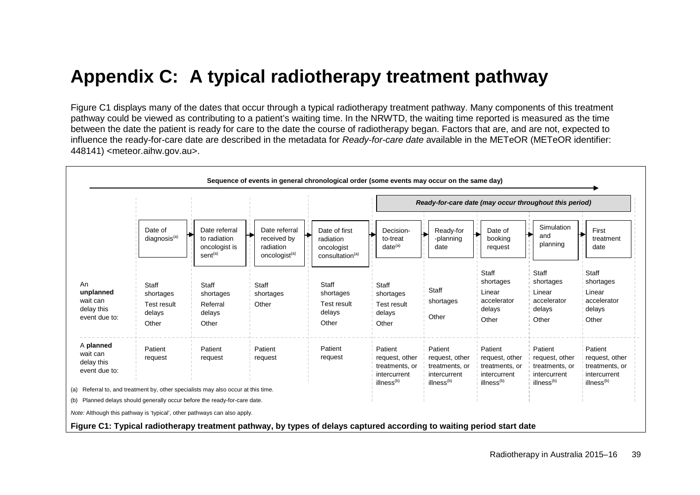# **Appendix C: A typical radiotherapy treatment pathway**

Figure C1 displays many of the dates that occur through a typical radiotherapy treatment pathway. Many components of this treatment pathway could be viewed as contributing to a patient's waiting time. In the NRWTD, the waiting time reported is measured as the time between the date the patient is ready for care to the date the course of radiotherapy began. Factors that are, and are not, expected to influence the ready-for-care date are described in the metadata for *Ready-for-care date* available in the METeOR (METeOR identifier: [448141\)](http://meteor.aihw.gov.au/content/index.phtml/itemId/448141) [<meteor.aihw.gov.au>](http://meteor.aihw.gov.au/).

<span id="page-46-1"></span><span id="page-46-0"></span>

|                                                                                                                                           |                                                             |                                                                       |                                                                        | Sequence of events in general chronological order (some events may occur on the same day) |                                                                                       |                                                                                       |                                                                                       |                                                                                       |                                                                                       |
|-------------------------------------------------------------------------------------------------------------------------------------------|-------------------------------------------------------------|-----------------------------------------------------------------------|------------------------------------------------------------------------|-------------------------------------------------------------------------------------------|---------------------------------------------------------------------------------------|---------------------------------------------------------------------------------------|---------------------------------------------------------------------------------------|---------------------------------------------------------------------------------------|---------------------------------------------------------------------------------------|
|                                                                                                                                           |                                                             |                                                                       |                                                                        |                                                                                           |                                                                                       | Ready-for-care date (may occur throughout this period)                                |                                                                                       |                                                                                       |                                                                                       |
|                                                                                                                                           | Date of<br>diagnosis <sup>(a)</sup>                         | Date referral<br>to radiation<br>oncologist is<br>sent <sup>(a)</sup> | Date referral<br>received by<br>radiation<br>oncologist <sup>(a)</sup> | Date of first<br>radiation<br>oncologist<br>consultation <sup>(a)</sup>                   | Decision-<br>to-treat<br>$date^{(a)}$                                                 | Ready-for<br>-planning<br>date                                                        | Date of<br>booking<br>request                                                         | Simulation<br>and<br>planning                                                         | First<br>treatment<br>date                                                            |
| An<br>unplanned<br>wait can<br>delay this<br>event due to:                                                                                | Staff<br>shortages<br><b>Test result</b><br>delays<br>Other | Staff<br>shortages<br>Referral<br>delays<br>Other                     | Staff<br>shortages<br>Other                                            | Staff<br>shortages<br>Test result<br>delays<br>Other                                      | Staff<br>shortages<br>Test result<br>delays<br>Other                                  | Staff<br>shortages<br>Other                                                           | Staff<br>shortages<br>Linear<br>accelerator<br>delays<br>Other                        | Staff<br>shortages<br>Linear<br>accelerator<br>delays<br>Other                        | Staff<br>shortages<br>Linear<br>accelerator<br>delays<br>Other                        |
| A planned<br>wait can<br>delay this<br>event due to:<br>(a) Referral to, and treatment by, other specialists may also occur at this time. | Patient<br>request                                          | Patient<br>request                                                    | Patient<br>request                                                     | Patient<br>request                                                                        | Patient<br>request, other<br>treatments, or<br>intercurrent<br>illness <sup>(b)</sup> | Patient<br>request, other<br>treatments, or<br>intercurrent<br>illness <sup>(b)</sup> | Patient<br>request, other<br>treatments, or<br>intercurrent<br>illness <sup>(b)</sup> | Patient<br>request, other<br>treatments, or<br>intercurrent<br>illness <sup>(b)</sup> | Patient<br>request, other<br>treatments, or<br>intercurrent<br>illness <sup>(b)</sup> |
| (b) Planned delays should generally occur before the ready-for-care date.                                                                 |                                                             |                                                                       |                                                                        |                                                                                           |                                                                                       |                                                                                       |                                                                                       |                                                                                       |                                                                                       |
| Note: Although this pathway is 'typical', other pathways can also apply.                                                                  |                                                             |                                                                       |                                                                        |                                                                                           |                                                                                       |                                                                                       |                                                                                       |                                                                                       |                                                                                       |
| Figure C1: Typical radiotherapy treatment pathway, by types of delays captured according to waiting period start date                     |                                                             |                                                                       |                                                                        |                                                                                           |                                                                                       |                                                                                       |                                                                                       |                                                                                       |                                                                                       |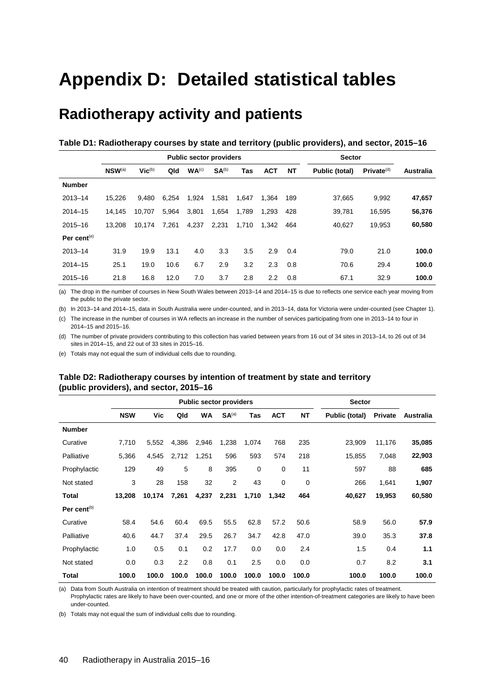# <span id="page-47-0"></span>**Appendix D: Detailed statistical tables**

# **Radiotherapy activity and patients**

<span id="page-47-1"></span>

| Table D1: Radiotherapy courses by state and territory (public providers), and sector, 2015–16 |  |  |  |
|-----------------------------------------------------------------------------------------------|--|--|--|
|-----------------------------------------------------------------------------------------------|--|--|--|

|                |             |             |       | <b>Public sector providers</b> |                   |       |            |           | <b>Sector</b>  |                        |                  |
|----------------|-------------|-------------|-------|--------------------------------|-------------------|-------|------------|-----------|----------------|------------------------|------------------|
|                | $NSW^{(a)}$ | $Vic^{(b)}$ | Qld   | WA <sup>(c)</sup>              | SA <sup>(b)</sup> | Tas   | <b>ACT</b> | <b>NT</b> | Public (total) | Private <sup>(d)</sup> | <b>Australia</b> |
| <b>Number</b>  |             |             |       |                                |                   |       |            |           |                |                        |                  |
| $2013 - 14$    | 15.226      | 9.480       | 6.254 | 1,924                          | 1,581             | 1,647 | 1.364      | 189       | 37.665         | 9.992                  | 47,657           |
| $2014 - 15$    | 14,145      | 10.707      | 5,964 | 3,801                          | 1,654             | 1,789 | 1,293      | 428       | 39,781         | 16,595                 | 56,376           |
| $2015 - 16$    | 13.208      | 10.174      | 7.261 | 4,237                          | 2.231             | 1,710 | 1.342      | 464       | 40.627         | 19.953                 | 60,580           |
| Per cent $(e)$ |             |             |       |                                |                   |       |            |           |                |                        |                  |
| $2013 - 14$    | 31.9        | 19.9        | 13.1  | 4.0                            | 3.3               | 3.5   | 2.9        | 0.4       | 79.0           | 21.0                   | 100.0            |
| $2014 - 15$    | 25.1        | 19.0        | 10.6  | 6.7                            | 2.9               | 3.2   | 2.3        | 0.8       | 70.6           | 29.4                   | 100.0            |
| $2015 - 16$    | 21.8        | 16.8        | 12.0  | 7.0                            | 3.7               | 2.8   | 2.2        | 0.8       | 67.1           | 32.9                   | 100.0            |

(a) The drop in the number of courses in New South Wales between 2013–14 and 2014–15 is due to reflects one service each year moving from the public to the private sector.

(b) In 2013–14 and 2014–15, data in South Australia were under-counted, and in 2013–14, data for Victoria were under-counted (see Chapter 1).

(c) The increase in the number of courses in WA reflects an increase in the number of services participating from one in 2013–14 to four in 2014–15 and 2015–16.

(d) The number of private providers contributing to this collection has varied between years from 16 out of 34 sites in 2013–14, to 26 out of 34 sites in 2014–15, and 22 out of 33 sites in 2015–16.

<span id="page-47-2"></span>(e) Totals may not equal the sum of individual cells due to rounding.

#### **Table D2: Radiotherapy courses by intention of treatment by state and territory (public providers), and sector, 2015–16**

|                         |            |        |       | <b>Public sector providers</b> |                   |       |            |           | <b>Sector</b>  |                |           |
|-------------------------|------------|--------|-------|--------------------------------|-------------------|-------|------------|-----------|----------------|----------------|-----------|
|                         | <b>NSW</b> | Vic    | Qld   | WA                             | SA <sup>(a)</sup> | Tas   | <b>ACT</b> | <b>NT</b> | Public (total) | <b>Private</b> | Australia |
| <b>Number</b>           |            |        |       |                                |                   |       |            |           |                |                |           |
| Curative                | 7,710      | 5,552  | 4,386 | 2,946                          | 1,238             | 1,074 | 768        | 235       | 23,909         | 11,176         | 35,085    |
| Palliative              | 5,366      | 4,545  | 2,712 | 1,251                          | 596               | 593   | 574        | 218       | 15,855         | 7,048          | 22,903    |
| Prophylactic            | 129        | 49     | 5     | 8                              | 395               | 0     | 0          | 11        | 597            | 88             | 685       |
| Not stated              | 3          | 28     | 158   | 32                             | 2                 | 43    | 0          | 0         | 266            | 1,641          | 1,907     |
| Total                   | 13,208     | 10,174 | 7,261 | 4,237                          | 2,231             | 1,710 | 1,342      | 464       | 40,627         | 19,953         | 60,580    |
| Per cent <sup>(b)</sup> |            |        |       |                                |                   |       |            |           |                |                |           |
| Curative                | 58.4       | 54.6   | 60.4  | 69.5                           | 55.5              | 62.8  | 57.2       | 50.6      | 58.9           | 56.0           | 57.9      |
| Palliative              | 40.6       | 44.7   | 37.4  | 29.5                           | 26.7              | 34.7  | 42.8       | 47.0      | 39.0           | 35.3           | 37.8      |
| Prophylactic            | 1.0        | 0.5    | 0.1   | 0.2                            | 17.7              | 0.0   | 0.0        | 2.4       | 1.5            | 0.4            | 1.1       |
| Not stated              | 0.0        | 0.3    | 2.2   | 0.8                            | 0.1               | 2.5   | 0.0        | 0.0       | 0.7            | 8.2            | 3.1       |
| Total                   | 100.0      | 100.0  | 100.0 | 100.0                          | 100.0             | 100.0 | 100.0      | 100.0     | 100.0          | 100.0          | 100.0     |

(a) Data from South Australia on intention of treatment should be treated with caution, particularly for prophylactic rates of treatment.

Prophylactic rates are likely to have been over-counted, and one or more of the other intention-of-treatment categories are likely to have been under-counted.

(b) Totals may not equal the sum of individual cells due to rounding.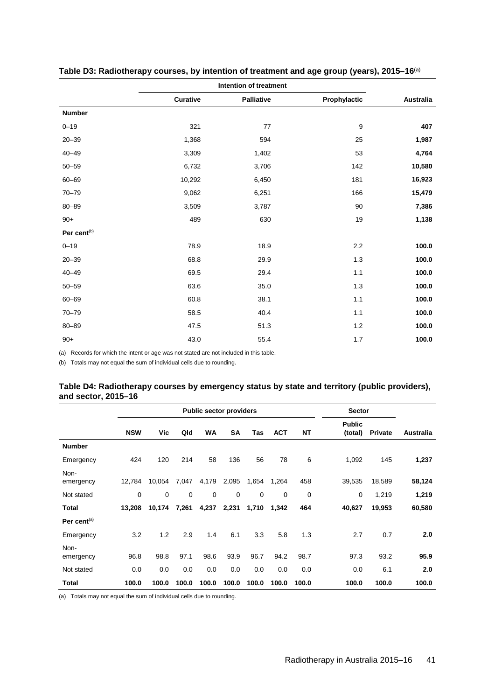|                         |          | Intention of treatment |                  |           |
|-------------------------|----------|------------------------|------------------|-----------|
|                         | Curative | <b>Palliative</b>      | Prophylactic     | Australia |
| <b>Number</b>           |          |                        |                  |           |
| $0 - 19$                | 321      | 77                     | $\boldsymbol{9}$ | 407       |
| $20 - 39$               | 1,368    | 594                    | 25               | 1,987     |
| $40 - 49$               | 3,309    | 1,402                  | 53               | 4,764     |
| $50 - 59$               | 6,732    | 3,706                  | 142              | 10,580    |
| $60 - 69$               | 10,292   | 6,450                  | 181              | 16,923    |
| $70 - 79$               | 9,062    | 6,251                  | 166              | 15,479    |
| $80 - 89$               | 3,509    | 3,787                  | $90\,$           | 7,386     |
| $90+$                   | 489      | 630                    | $19$             | 1,138     |
| Per cent <sup>(b)</sup> |          |                        |                  |           |
| $0 - 19$                | 78.9     | 18.9                   | 2.2              | 100.0     |
| $20 - 39$               | 68.8     | 29.9                   | $1.3$            | 100.0     |
| $40 - 49$               | 69.5     | 29.4                   | 1.1              | 100.0     |
| $50 - 59$               | 63.6     | 35.0                   | $1.3$            | 100.0     |
| $60 - 69$               | 60.8     | 38.1                   | 1.1              | 100.0     |
| $70 - 79$               | 58.5     | 40.4                   | 1.1              | 100.0     |
| $80 - 89$               | 47.5     | 51.3                   | $1.2$            | 100.0     |
| $90+$                   | 43.0     | 55.4                   | 1.7              | 100.0     |

<span id="page-48-0"></span>**Table D3: Radiotherapy courses, by intention of treatment and age group (years), 2015–16**(a)

(a) Records for which the intent or age was not stated are not included in this table.

<span id="page-48-1"></span>(b) Totals may not equal the sum of individual cells due to rounding.

| Table D4: Radiotherapy courses by emergency status by state and territory (public providers), |  |  |
|-----------------------------------------------------------------------------------------------|--|--|
| and sector, 2015–16                                                                           |  |  |

|                   |            |             |       | <b>Public sector providers</b> |           |             |            |       | <b>Sector</b>            |                |           |
|-------------------|------------|-------------|-------|--------------------------------|-----------|-------------|------------|-------|--------------------------|----------------|-----------|
|                   | <b>NSW</b> | Vic         | Qld   | <b>WA</b>                      | <b>SA</b> | Tas         | <b>ACT</b> | NΤ    | <b>Public</b><br>(total) | <b>Private</b> | Australia |
| <b>Number</b>     |            |             |       |                                |           |             |            |       |                          |                |           |
| Emergency         | 424        | 120         | 214   | 58                             | 136       | 56          | 78         | 6     | 1,092                    | 145            | 1,237     |
| Non-<br>emergency | 12,784     | 10,054      | 7,047 | 4,179                          | 2,095     | 1,654       | 1,264      | 458   | 39,535                   | 18,589         | 58,124    |
| Not stated        | 0          | $\mathbf 0$ | 0     | 0                              | 0         | $\mathbf 0$ | 0          | 0     | 0                        | 1,219          | 1,219     |
| Total             | 13,208     | 10,174      | 7,261 | 4,237                          | 2,231     | 1,710       | 1,342      | 464   | 40,627                   | 19,953         | 60,580    |
| Per cent $(a)$    |            |             |       |                                |           |             |            |       |                          |                |           |
| Emergency         | 3.2        | 1.2         | 2.9   | 1.4                            | 6.1       | 3.3         | 5.8        | 1.3   | 2.7                      | 0.7            | 2.0       |
| Non-<br>emergency | 96.8       | 98.8        | 97.1  | 98.6                           | 93.9      | 96.7        | 94.2       | 98.7  | 97.3                     | 93.2           | 95.9      |
| Not stated        | 0.0        | 0.0         | 0.0   | 0.0                            | 0.0       | 0.0         | 0.0        | 0.0   | 0.0                      | 6.1            | 2.0       |
| Total             | 100.0      | 100.0       | 100.0 | 100.0                          | 100.0     | 100.0       | 100.0      | 100.0 | 100.0                    | 100.0          | 100.0     |

(a) Totals may not equal the sum of individual cells due to rounding.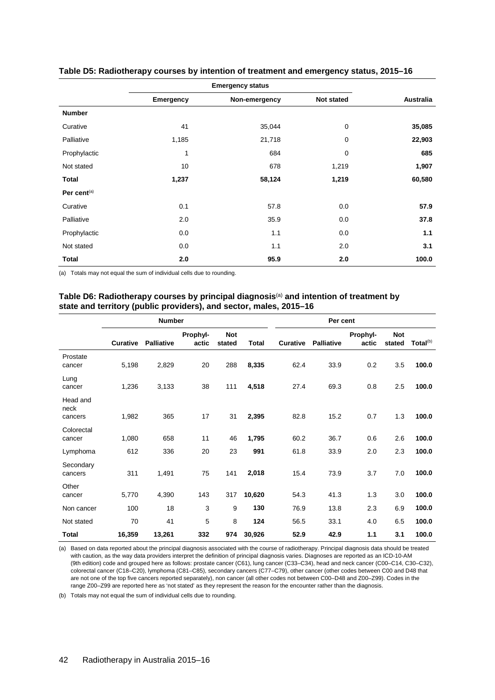|                |                  | <b>Emergency status</b> |            |                  |
|----------------|------------------|-------------------------|------------|------------------|
|                | <b>Emergency</b> | Non-emergency           | Not stated | <b>Australia</b> |
| <b>Number</b>  |                  |                         |            |                  |
| Curative       | 41               | 35,044                  | 0          | 35,085           |
| Palliative     | 1,185            | 21,718                  | 0          | 22,903           |
| Prophylactic   | 1                | 684                     | 0          | 685              |
| Not stated     | 10               | 678                     | 1,219      | 1,907            |
| Total          | 1,237            | 58,124                  | 1,219      | 60,580           |
| Per cent $(a)$ |                  |                         |            |                  |
| Curative       | 0.1              | 57.8                    | 0.0        | 57.9             |
| Palliative     | 2.0              | 35.9                    | 0.0        | 37.8             |
| Prophylactic   | 0.0              | 1.1                     | 0.0        | 1.1              |
| Not stated     | 0.0              | 1.1                     | 2.0        | 3.1              |
| <b>Total</b>   | 2.0              | 95.9                    | 2.0        | 100.0            |

#### <span id="page-49-0"></span>**Table D5: Radiotherapy courses by intention of treatment and emergency status, 2015–16**

<span id="page-49-1"></span>(a) Totals may not equal the sum of individual cells due to rounding.

### **Table D6: Radiotherapy courses by principal diagnosis**(a) **and intention of treatment by state and territory (public providers), and sector, males, 2015–16**

|                             |                 | <b>Number</b>     |                   |                      |              |          | Per cent          |                   |                      |                      |
|-----------------------------|-----------------|-------------------|-------------------|----------------------|--------------|----------|-------------------|-------------------|----------------------|----------------------|
|                             | <b>Curative</b> | <b>Palliative</b> | Prophyl-<br>actic | <b>Not</b><br>stated | <b>Total</b> | Curative | <b>Palliative</b> | Prophyl-<br>actic | <b>Not</b><br>stated | Total <sup>(b)</sup> |
| Prostate<br>cancer          | 5,198           | 2,829             | 20                | 288                  | 8,335        | 62.4     | 33.9              | 0.2               | 3.5                  | 100.0                |
| Lung<br>cancer              | 1,236           | 3,133             | 38                | 111                  | 4,518        | 27.4     | 69.3              | 0.8               | 2.5                  | 100.0                |
| Head and<br>neck<br>cancers | 1,982           | 365               | 17                | 31                   | 2,395        | 82.8     | 15.2              | 0.7               | 1.3                  | 100.0                |
| Colorectal<br>cancer        | 1,080           | 658               | 11                | 46                   | 1,795        | 60.2     | 36.7              | 0.6               | 2.6                  | 100.0                |
| Lymphoma                    | 612             | 336               | 20                | 23                   | 991          | 61.8     | 33.9              | 2.0               | 2.3                  | 100.0                |
| Secondary<br>cancers        | 311             | 1,491             | 75                | 141                  | 2,018        | 15.4     | 73.9              | 3.7               | 7.0                  | 100.0                |
| Other<br>cancer             | 5,770           | 4,390             | 143               | 317                  | 10,620       | 54.3     | 41.3              | 1.3               | 3.0                  | 100.0                |
| Non cancer                  | 100             | 18                | 3                 | 9                    | 130          | 76.9     | 13.8              | 2.3               | 6.9                  | 100.0                |
| Not stated                  | 70              | 41                | 5                 | 8                    | 124          | 56.5     | 33.1              | 4.0               | 6.5                  | 100.0                |
| Total                       | 16,359          | 13,261            | 332               | 974                  | 30,926       | 52.9     | 42.9              | 1.1               | 3.1                  | 100.0                |

(a) Based on data reported about the principal diagnosis associated with the course of radiotherapy. Principal diagnosis data should be treated with caution, as the way data providers interpret the definition of principal diagnosis varies. Diagnoses are reported as an ICD-10-AM (9th edition) code and grouped here as follows: prostate cancer (C61), lung cancer (C33–C34), head and neck cancer (C00–C14, C30–C32), colorectal cancer (C18–C20), lymphoma (C81–C85), secondary cancers (C77–C79), other cancer (other codes between C00 and D48 that are not one of the top five cancers reported separately), non cancer (all other codes not between C00–D48 and Z00–Z99). Codes in the range Z00–Z99 are reported here as 'not stated' as they represent the reason for the encounter rather than the diagnosis.

(b) Totals may not equal the sum of individual cells due to rounding.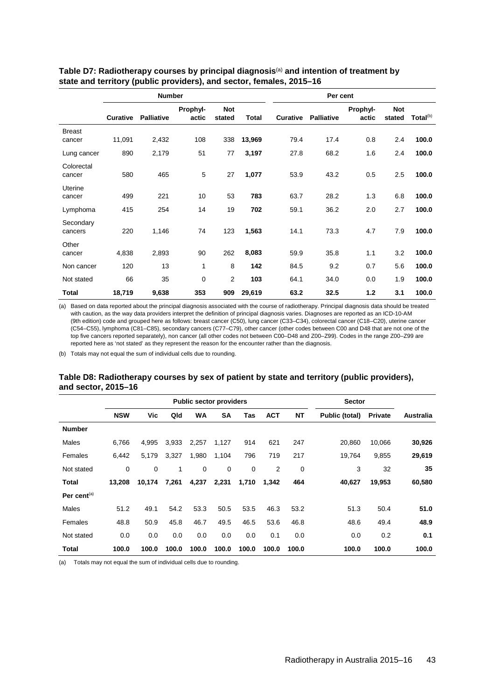|                         |                 | <b>Number</b>     |                   |                      |              |                 | Per cent          |                   |                      |                      |
|-------------------------|-----------------|-------------------|-------------------|----------------------|--------------|-----------------|-------------------|-------------------|----------------------|----------------------|
|                         | <b>Curative</b> | <b>Palliative</b> | Prophyl-<br>actic | <b>Not</b><br>stated | <b>Total</b> | <b>Curative</b> | <b>Palliative</b> | Prophyl-<br>actic | <b>Not</b><br>stated | Total <sup>(b)</sup> |
| <b>Breast</b><br>cancer | 11,091          | 2,432             | 108               | 338                  | 13,969       | 79.4            | 17.4              | 0.8               | 2.4                  | 100.0                |
| Lung cancer             | 890             | 2,179             | 51                | 77                   | 3,197        | 27.8            | 68.2              | 1.6               | 2.4                  | 100.0                |
| Colorectal<br>cancer    | 580             | 465               | 5                 | 27                   | 1,077        | 53.9            | 43.2              | 0.5               | 2.5                  | 100.0                |
| Uterine<br>cancer       | 499             | 221               | 10                | 53                   | 783          | 63.7            | 28.2              | 1.3               | 6.8                  | 100.0                |
| Lymphoma                | 415             | 254               | 14                | 19                   | 702          | 59.1            | 36.2              | 2.0               | 2.7                  | 100.0                |
| Secondary<br>cancers    | 220             | 1,146             | 74                | 123                  | 1,563        | 14.1            | 73.3              | 4.7               | 7.9                  | 100.0                |
| Other<br>cancer         | 4,838           | 2,893             | 90                | 262                  | 8,083        | 59.9            | 35.8              | 1.1               | 3.2                  | 100.0                |
| Non cancer              | 120             | 13                | 1                 | 8                    | 142          | 84.5            | 9.2               | 0.7               | 5.6                  | 100.0                |
| Not stated              | 66              | 35                | 0                 | $\overline{2}$       | 103          | 64.1            | 34.0              | 0.0               | 1.9                  | 100.0                |
| Total                   | 18,719          | 9,638             | 353               | 909                  | 29,619       | 63.2            | 32.5              | 1.2               | 3.1                  | 100.0                |

#### <span id="page-50-0"></span>**Table D7: Radiotherapy courses by principal diagnosis**(a) **and intention of treatment by state and territory (public providers), and sector, females, 2015–16**

(a) Based on data reported about the principal diagnosis associated with the course of radiotherapy. Principal diagnosis data should be treated with caution, as the way data providers interpret the definition of principal diagnosis varies. Diagnoses are reported as an ICD-10-AM (9th edition) code and grouped here as follows: breast cancer (C50), lung cancer (C33–C34), colorectal cancer (C18–C20), uterine cancer (C54–C55), lymphoma (C81–C85), secondary cancers (C77–C79), other cancer (other codes between C00 and D48 that are not one of the top five cancers reported separately), non cancer (all other codes not between C00–D48 and Z00–Z99). Codes in the range Z00–Z99 are reported here as 'not stated' as they represent the reason for the encounter rather than the diagnosis.

<span id="page-50-1"></span>(b) Totals may not equal the sum of individual cells due to rounding.

#### **Table D8: Radiotherapy courses by sex of patient by state and territory (public providers), and sector, 2015–16**

|                |            |        |       | <b>Public sector providers</b> |           |       |            |             | <b>Sector</b>  |                |           |
|----------------|------------|--------|-------|--------------------------------|-----------|-------|------------|-------------|----------------|----------------|-----------|
|                | <b>NSW</b> | Vic    | Qld   | <b>WA</b>                      | <b>SA</b> | Tas   | <b>ACT</b> | <b>NT</b>   | Public (total) | <b>Private</b> | Australia |
| <b>Number</b>  |            |        |       |                                |           |       |            |             |                |                |           |
| Males          | 6.766      | 4.995  | 3,933 | 2,257                          | 1,127     | 914   | 621        | 247         | 20,860         | 10,066         | 30,926    |
| Females        | 6,442      | 5,179  | 3,327 | 1,980                          | 1,104     | 796   | 719        | 217         | 19,764         | 9,855          | 29,619    |
| Not stated     | 0          | 0      | 1     | $\mathbf 0$                    | 0         | 0     | 2          | $\mathbf 0$ | 3              | 32             | 35        |
| Total          | 13,208     | 10,174 | 7,261 | 4,237                          | 2,231     | 1,710 | 1,342      | 464         | 40,627         | 19,953         | 60,580    |
| Per cent $(a)$ |            |        |       |                                |           |       |            |             |                |                |           |
| Males          | 51.2       | 49.1   | 54.2  | 53.3                           | 50.5      | 53.5  | 46.3       | 53.2        | 51.3           | 50.4           | 51.0      |
| Females        | 48.8       | 50.9   | 45.8  | 46.7                           | 49.5      | 46.5  | 53.6       | 46.8        | 48.6           | 49.4           | 48.9      |
| Not stated     | 0.0        | 0.0    | 0.0   | 0.0                            | 0.0       | 0.0   | 0.1        | 0.0         | 0.0            | 0.2            | 0.1       |
| Total          | 100.0      | 100.0  | 100.0 | 100.0                          | 100.0     | 100.0 | 100.0      | 100.0       | 100.0          | 100.0          | 100.0     |

<span id="page-50-3"></span><span id="page-50-2"></span>(a) Totals may not equal the sum of individual cells due to rounding.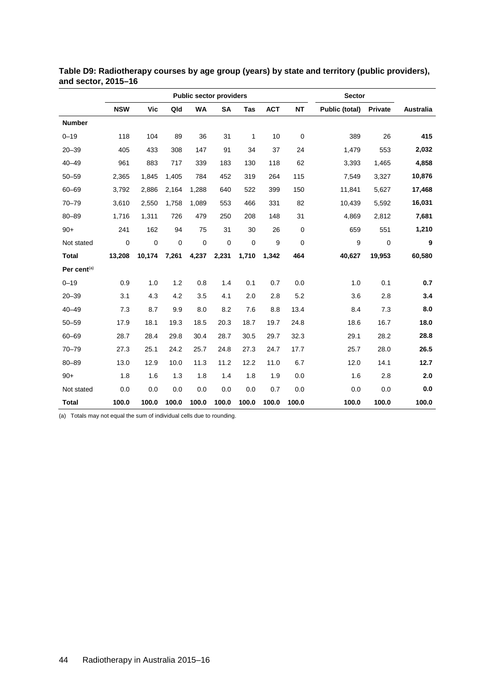|                         |             |            |             | <b>Public sector providers</b> |             |       |            |           | <b>Sector</b>  |             |                  |
|-------------------------|-------------|------------|-------------|--------------------------------|-------------|-------|------------|-----------|----------------|-------------|------------------|
|                         | <b>NSW</b>  | <b>Vic</b> | Qld         | <b>WA</b>                      | <b>SA</b>   | Tas   | <b>ACT</b> | <b>NT</b> | Public (total) | Private     | <b>Australia</b> |
| <b>Number</b>           |             |            |             |                                |             |       |            |           |                |             |                  |
| $0 - 19$                | 118         | 104        | 89          | 36                             | 31          | 1     | 10         | 0         | 389            | 26          | 415              |
| $20 - 39$               | 405         | 433        | 308         | 147                            | 91          | 34    | 37         | 24        | 1,479          | 553         | 2,032            |
| $40 - 49$               | 961         | 883        | 717         | 339                            | 183         | 130   | 118        | 62        | 3,393          | 1,465       | 4,858            |
| $50 - 59$               | 2,365       | 1.845      | 1,405       | 784                            | 452         | 319   | 264        | 115       | 7,549          | 3,327       | 10,876           |
| $60 - 69$               | 3,792       | 2,886      | 2,164       | 1,288                          | 640         | 522   | 399        | 150       | 11,841         | 5,627       | 17,468           |
| $70 - 79$               | 3,610       | 2,550      | 1,758       | 1,089                          | 553         | 466   | 331        | 82        | 10,439         | 5.592       | 16,031           |
| $80 - 89$               | 1,716       | 1,311      | 726         | 479                            | 250         | 208   | 148        | 31        | 4,869          | 2,812       | 7,681            |
| $90+$                   | 241         | 162        | 94          | 75                             | 31          | 30    | 26         | $\pmb{0}$ | 659            | 551         | 1,210            |
| Not stated              | $\mathbf 0$ | 0          | $\mathbf 0$ | $\mathbf 0$                    | $\mathbf 0$ | 0     | 9          | 0         | 9              | $\mathbf 0$ | 9                |
| <b>Total</b>            | 13,208      | 10.174     | 7,261       | 4,237                          | 2,231       | 1,710 | 1.342      | 464       | 40,627         | 19,953      | 60,580           |
| Per cent <sup>(a)</sup> |             |            |             |                                |             |       |            |           |                |             |                  |
| $0 - 19$                | 0.9         | 1.0        | 1.2         | 0.8                            | 1.4         | 0.1   | 0.7        | 0.0       | 1.0            | 0.1         | 0.7              |
| $20 - 39$               | 3.1         | 4.3        | 4.2         | 3.5                            | 4.1         | 2.0   | 2.8        | 5.2       | 3.6            | 2.8         | 3.4              |
| $40 - 49$               | 7.3         | 8.7        | 9.9         | 8.0                            | 8.2         | 7.6   | 8.8        | 13.4      | 8.4            | 7.3         | 8.0              |
| $50 - 59$               | 17.9        | 18.1       | 19.3        | 18.5                           | 20.3        | 18.7  | 19.7       | 24.8      | 18.6           | 16.7        | 18.0             |
| $60 - 69$               | 28.7        | 28.4       | 29.8        | 30.4                           | 28.7        | 30.5  | 29.7       | 32.3      | 29.1           | 28.2        | 28.8             |
| $70 - 79$               | 27.3        | 25.1       | 24.2        | 25.7                           | 24.8        | 27.3  | 24.7       | 17.7      | 25.7           | 28.0        | 26.5             |
| $80 - 89$               | 13.0        | 12.9       | 10.0        | 11.3                           | 11.2        | 12.2  | 11.0       | 6.7       | 12.0           | 14.1        | 12.7             |
| $90+$                   | 1.8         | 1.6        | 1.3         | 1.8                            | 1.4         | 1.8   | 1.9        | 0.0       | 1.6            | 2.8         | 2.0              |
| Not stated              | 0.0         | 0.0        | 0.0         | 0.0                            | 0.0         | 0.0   | 0.7        | 0.0       | 0.0            | 0.0         | 0.0              |
| <b>Total</b>            | 100.0       | 100.0      | 100.0       | 100.0                          | 100.0       | 100.0 | 100.0      | 100.0     | 100.0          | 100.0       | 100.0            |

**Table D9: Radiotherapy courses by age group (years) by state and territory (public providers), and sector, 2015–16**

(a) Totals may not equal the sum of individual cells due to rounding.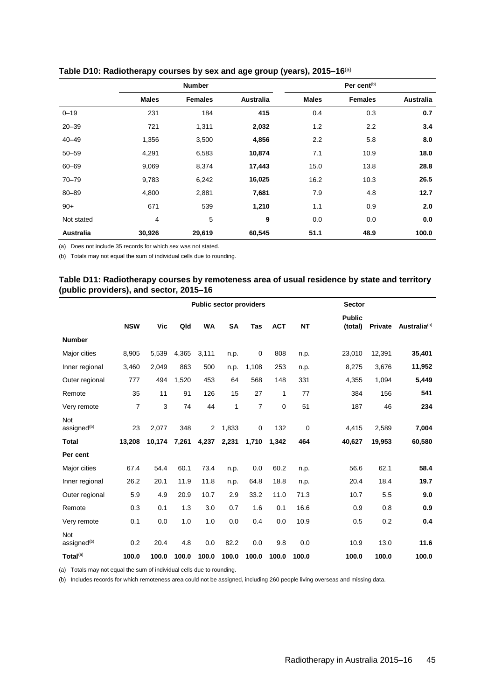|            |                | <b>Number</b>  |                  |              | Per cent $(b)$ |                  |
|------------|----------------|----------------|------------------|--------------|----------------|------------------|
|            | <b>Males</b>   | <b>Females</b> | <b>Australia</b> | <b>Males</b> | <b>Females</b> | <b>Australia</b> |
| $0 - 19$   | 231            | 184            | 415              | 0.4          | 0.3            | 0.7              |
| $20 - 39$  | 721            | 1,311          | 2,032            | 1.2          | 2.2            | 3.4              |
| $40 - 49$  | 1,356          | 3,500          | 4,856            | 2.2          | 5.8            | 8.0              |
| $50 - 59$  | 4,291          | 6,583          | 10,874           | 7.1          | 10.9           | 18.0             |
| $60 - 69$  | 9,069          | 8,374          | 17,443           | 15.0         | 13.8           | 28.8             |
| $70 - 79$  | 9,783          | 6,242          | 16,025           | 16.2         | 10.3           | 26.5             |
| $80 - 89$  | 4,800          | 2,881          | 7,681            | 7.9          | 4.8            | 12.7             |
| $90+$      | 671            | 539            | 1,210            | 1.1          | 0.9            | 2.0              |
| Not stated | $\overline{4}$ | 5              | 9                | 0.0          | 0.0            | 0.0              |
| Australia  | 30,926         | 29,619         | 60,545           | 51.1         | 48.9           | 100.0            |

### <span id="page-52-1"></span>**Table D10: Radiotherapy courses by sex and age group (years), 2015–16**(a)

(a) Does not include 35 records for which sex was not stated.

<span id="page-52-0"></span>(b) Totals may not equal the sum of individual cells due to rounding.

#### **Table D11: Radiotherapy courses by remoteness area of usual residence by state and territory (public providers), and sector, 2015–16**

|                                |                |        |       | <b>Public sector providers</b> |           |                |            |             | <b>Sector</b>            |                |                          |
|--------------------------------|----------------|--------|-------|--------------------------------|-----------|----------------|------------|-------------|--------------------------|----------------|--------------------------|
|                                | <b>NSW</b>     | Vic    | Qld   | <b>WA</b>                      | <b>SA</b> | Tas            | <b>ACT</b> | <b>NT</b>   | <b>Public</b><br>(total) | <b>Private</b> | Australia <sup>(a)</sup> |
| <b>Number</b>                  |                |        |       |                                |           |                |            |             |                          |                |                          |
| Major cities                   | 8,905          | 5,539  | 4,365 | 3,111                          | n.p.      | 0              | 808        | n.p.        | 23,010                   | 12,391         | 35,401                   |
| Inner regional                 | 3,460          | 2,049  | 863   | 500                            | n.p.      | 1,108          | 253        | n.p.        | 8,275                    | 3,676          | 11,952                   |
| Outer regional                 | 777            | 494    | 1,520 | 453                            | 64        | 568            | 148        | 331         | 4,355                    | 1,094          | 5,449                    |
| Remote                         | 35             | 11     | 91    | 126                            | 15        | 27             | 1          | 77          | 384                      | 156            | 541                      |
| Very remote                    | $\overline{7}$ | 3      | 74    | 44                             | 1         | $\overline{7}$ | 0          | 51          | 187                      | 46             | 234                      |
| Not<br>assigned <sup>(b)</sup> | 23             | 2,077  | 348   | 2                              | 1,833     | $\mathbf 0$    | 132        | $\mathbf 0$ | 4,415                    | 2,589          | 7,004                    |
| <b>Total</b>                   | 13.208         | 10.174 | 7.261 | 4.237                          | 2.231     | 1.710          | 1,342      | 464         | 40.627                   | 19.953         | 60,580                   |
| Per cent                       |                |        |       |                                |           |                |            |             |                          |                |                          |
| Major cities                   | 67.4           | 54.4   | 60.1  | 73.4                           | n.p.      | 0.0            | 60.2       | n.p.        | 56.6                     | 62.1           | 58.4                     |
| Inner regional                 | 26.2           | 20.1   | 11.9  | 11.8                           | n.p.      | 64.8           | 18.8       | n.p.        | 20.4                     | 18.4           | 19.7                     |
| Outer regional                 | 5.9            | 4.9    | 20.9  | 10.7                           | 2.9       | 33.2           | 11.0       | 71.3        | 10.7                     | 5.5            | 9.0                      |
| Remote                         | 0.3            | 0.1    | 1.3   | 3.0                            | 0.7       | 1.6            | 0.1        | 16.6        | 0.9                      | 0.8            | 0.9                      |
| Very remote                    | 0.1            | 0.0    | 1.0   | 1.0                            | 0.0       | 0.4            | 0.0        | 10.9        | 0.5                      | 0.2            | 0.4                      |
| Not<br>assigned <sup>(b)</sup> | 0.2            | 20.4   | 4.8   | 0.0                            | 82.2      | 0.0            | 9.8        | 0.0         | 10.9                     | 13.0           | 11.6                     |
| Total $^{(a)}$                 | 100.0          | 100.0  | 100.0 | 100.0                          | 100.0     | 100.0          | 100.0      | 100.0       | 100.0                    | 100.0          | 100.0                    |

(a) Totals may not equal the sum of individual cells due to rounding.

(b) Includes records for which remoteness area could not be assigned, including 260 people living overseas and missing data.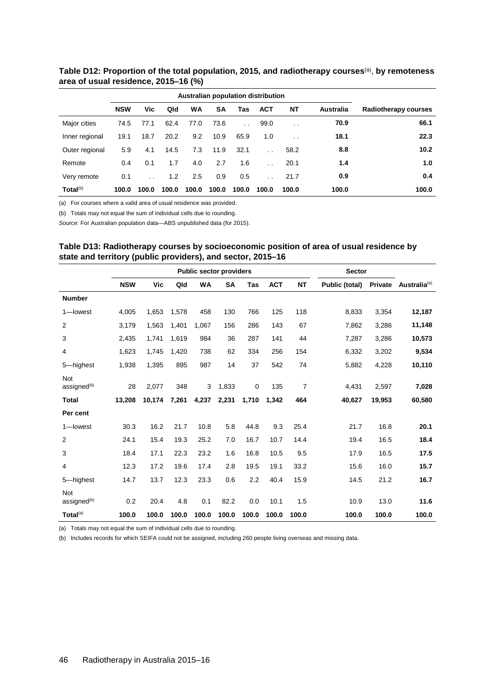|                      |            |       |       |           |           |                      | Australian population distribution |                      |           |                             |
|----------------------|------------|-------|-------|-----------|-----------|----------------------|------------------------------------|----------------------|-----------|-----------------------------|
|                      | <b>NSW</b> | Vic.  | Qld   | <b>WA</b> | <b>SA</b> | Tas                  | <b>ACT</b>                         | <b>NT</b>            | Australia | <b>Radiotherapy courses</b> |
| Major cities         | 74.5       | 77.1  | 62.4  | 77.0      | 73.6      | $\ddot{\phantom{a}}$ | 99.0                               | $\ddot{\phantom{0}}$ | 70.9      | 66.1                        |
| Inner regional       | 19.1       | 18.7  | 20.2  | 9.2       | 10.9      | 65.9                 | 1.0                                | $\cdot$ .            | 18.1      | 22.3                        |
| Outer regional       | 5.9        | 4.1   | 14.5  | 7.3       | 11.9      | 32.1                 |                                    | 58.2                 | 8.8       | 10.2                        |
| Remote               | 0.4        | 0.1   | 1.7   | 4.0       | 2.7       | 1.6                  |                                    | 20.1                 | 1.4       | 1.0                         |
| Very remote          | 0.1        |       | 1.2   | 2.5       | 0.9       | 0.5                  |                                    | 21.7                 | 0.9       | 0.4                         |
| Total <sup>(b)</sup> | 100.0      | 100.0 | 100.0 | 100.0     | 100.0     | 100.0                | 100.0                              | 100.0                | 100.0     | 100.0                       |

<span id="page-53-0"></span>**Table D12: Proportion of the total population, 2015, and radiotherapy courses**(a), **by remoteness area of usual residence, 2015‒16 (%)**

(a) For courses where a valid area of usual residence was provided.

(b) Totals may not equal the sum of individual cells due to rounding.

<span id="page-53-1"></span>*Source:* For Australian population data—ABS unpublished data (for 2015).

| Table D13: Radiotherapy courses by socioeconomic position of area of usual residence by |
|-----------------------------------------------------------------------------------------|
| state and territory (public providers), and sector, 2015–16                             |

|                                |            |        |       |           | <b>Public sector providers</b> |            |            | <b>Sector</b>  |                       |                |                          |
|--------------------------------|------------|--------|-------|-----------|--------------------------------|------------|------------|----------------|-----------------------|----------------|--------------------------|
|                                | <b>NSW</b> | Vic    | Qld   | <b>WA</b> | <b>SA</b>                      | <b>Tas</b> | <b>ACT</b> | <b>NT</b>      | <b>Public (total)</b> | <b>Private</b> | Australia <sup>(a)</sup> |
| <b>Number</b>                  |            |        |       |           |                                |            |            |                |                       |                |                          |
| 1-lowest                       | 4,005      | 1,653  | 1,578 | 458       | 130                            | 766        | 125        | 118            | 8,833                 | 3,354          | 12,187                   |
| 2                              | 3,179      | 1,563  | 1,401 | 1,067     | 156                            | 286        | 143        | 67             | 7,862                 | 3,286          | 11,148                   |
| 3                              | 2,435      | 1,741  | 1.619 | 984       | 36                             | 287        | 141        | 44             | 7,287                 | 3,286          | 10,573                   |
| 4                              | 1,623      | 1,745  | 1.420 | 738       | 62                             | 334        | 256        | 154            | 6,332                 | 3,202          | 9,534                    |
| 5-highest                      | 1,938      | 1,395  | 895   | 987       | 14                             | 37         | 542        | 74             | 5,882                 | 4,228          | 10,110                   |
| Not<br>assigned <sup>(b)</sup> | 28         | 2,077  | 348   | 3         | 1,833                          | $\pmb{0}$  | 135        | $\overline{7}$ | 4,431                 | 2,597          | 7,028                    |
| <b>Total</b>                   | 13,208     | 10,174 | 7,261 | 4,237     | 2,231                          | 1,710      | 1,342      | 464            | 40,627                | 19,953         | 60,580                   |
| Per cent                       |            |        |       |           |                                |            |            |                |                       |                |                          |
| 1-lowest                       | 30.3       | 16.2   | 21.7  | 10.8      | 5.8                            | 44.8       | 9.3        | 25.4           | 21.7                  | 16.8           | 20.1                     |
| 2                              | 24.1       | 15.4   | 19.3  | 25.2      | 7.0                            | 16.7       | 10.7       | 14.4           | 19.4                  | 16.5           | 18.4                     |
| 3                              | 18.4       | 17.1   | 22.3  | 23.2      | 1.6                            | 16.8       | 10.5       | 9.5            | 17.9                  | 16.5           | 17.5                     |
| 4                              | 12.3       | 17.2   | 19.6  | 17.4      | 2.8                            | 19.5       | 19.1       | 33.2           | 15.6                  | 16.0           | 15.7                     |
| 5-highest                      | 14.7       | 13.7   | 12.3  | 23.3      | 0.6                            | 2.2        | 40.4       | 15.9           | 14.5                  | 21.2           | 16.7                     |
| Not<br>assigned <sup>(b)</sup> | 0.2        | 20.4   | 4.8   | 0.1       | 82.2                           | 0.0        | 10.1       | 1.5            | 10.9                  | 13.0           | 11.6                     |
| Total $(a)$                    | 100.0      | 100.0  | 100.0 | 100.0     | 100.0                          | 100.0      | 100.0      | 100.0          | 100.0                 | 100.0          | 100.0                    |

(a) Totals may not equal the sum of individual cells due to rounding.

<span id="page-53-2"></span>(b) Includes records for which SEIFA could not be assigned, including 260 people living overseas and missing data.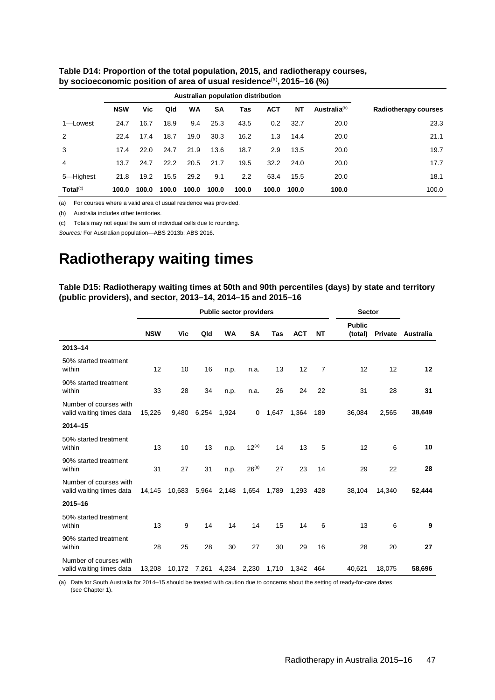|                      |            |       | Australian population distribution |           |       |               |            |           |                          |                      |
|----------------------|------------|-------|------------------------------------|-----------|-------|---------------|------------|-----------|--------------------------|----------------------|
|                      | <b>NSW</b> | Vic   | Qld                                | <b>WA</b> | SA    | Tas           | <b>ACT</b> | <b>NT</b> | Australia <sup>(b)</sup> | Radiotherapy courses |
| 1-Lowest             | 24.7       | 16.7  | 18.9                               | 9.4       | 25.3  | 43.5          | 0.2        | 32.7      | 20.0                     | 23.3                 |
| 2                    | 22.4       | 17.4  | 18.7                               | 19.0      | 30.3  | 16.2          | 1.3        | 14.4      | 20.0                     | 21.1                 |
| 3                    | 17.4       | 22.0  | 24.7                               | 21.9      | 13.6  | 18.7          | 2.9        | 13.5      | 20.0                     | 19.7                 |
| 4                    | 13.7       | 24.7  | 22.2                               | 20.5      | 21.7  | 19.5          | 32.2       | 24.0      | 20.0                     | 17.7                 |
| 5-Highest            | 21.8       | 19.2  | 15.5                               | 29.2      | 9.1   | $2.2^{\circ}$ | 63.4       | 15.5      | 20.0                     | 18.1                 |
| Total <sup>(c)</sup> | 100.0      | 100.0 | 100.0                              | 100.0     | 100.0 | 100.0         | 100.0      | 100.0     | 100.0                    | 100.0                |

<span id="page-54-1"></span>**Table D14: Proportion of the total population, 2015, and radiotherapy courses, by socioeconomic position of area of usual residence**(a)**, 2015–16 (%)**

(a) For courses where a valid area of usual residence was provided.

(b) Australia includes other territories.

(c) Totals may not equal the sum of individual cells due to rounding.

*Sources:* For Australian population—ABS 2013b; ABS 2016.

# **Radiotherapy waiting times**

<span id="page-54-0"></span>**Table D15: Radiotherapy waiting times at 50th and 90th percentiles (days) by state and territory (public providers), and sector, 2013–14, 2014–15 and 2015–16**

|                                                    |            |              |       | <b>Public sector providers</b> |                   |       |            |                | <b>Sector</b>            |                |           |
|----------------------------------------------------|------------|--------------|-------|--------------------------------|-------------------|-------|------------|----------------|--------------------------|----------------|-----------|
|                                                    | <b>NSW</b> | Vic          | Qld   | <b>WA</b>                      | <b>SA</b>         | Tas   | <b>ACT</b> | <b>NT</b>      | <b>Public</b><br>(total) | <b>Private</b> | Australia |
| $2013 - 14$                                        |            |              |       |                                |                   |       |            |                |                          |                |           |
| 50% started treatment<br>within                    | 12         | 10           | 16    | n.p.                           | n.a.              | 13    | 12         | $\overline{7}$ | 12                       | 12             | 12        |
| 90% started treatment<br>within                    | 33         | 28           | 34    | n.p.                           | n.a.              | 26    | 24         | 22             | 31                       | 28             | 31        |
| Number of courses with<br>valid waiting times data | 15,226     | 9,480        | 6,254 | 1,924                          | 0                 | 1,647 | 1,364      | 189            | 36,084                   | 2,565          | 38,649    |
| $2014 - 15$                                        |            |              |       |                                |                   |       |            |                |                          |                |           |
| 50% started treatment<br>within                    | 13         | 10           | 13    | n.p.                           | $12^{(a)}$        | 14    | 13         | 5              | 12                       | 6              | 10        |
| 90% started treatment<br>within                    | 31         | 27           | 31    | n.p.                           | 26 <sup>(a)</sup> | 27    | 23         | 14             | 29                       | 22             | 28        |
| Number of courses with<br>valid waiting times data | 14,145     | 10,683       | 5,964 | 2,148                          | 1,654             | 1,789 | 1,293      | 428            | 38,104                   | 14,340         | 52.444    |
| 2015-16                                            |            |              |       |                                |                   |       |            |                |                          |                |           |
| 50% started treatment<br>within                    | 13         | 9            | 14    | 14                             | 14                | 15    | 14         | 6              | 13                       | 6              | 9         |
| 90% started treatment<br>within                    | 28         | 25           | 28    | 30                             | 27                | 30    | 29         | 16             | 28                       | 20             | 27        |
| Number of courses with<br>valid waiting times data | 13,208     | 10,172 7,261 |       | 4,234 2,230                    |                   | 1,710 | 1,342      | 464            | 40,621                   | 18,075         | 58,696    |

(a) Data for South Australia for 2014–15 should be treated with caution due to concerns about the setting of ready-for-care dates (see Chapter 1).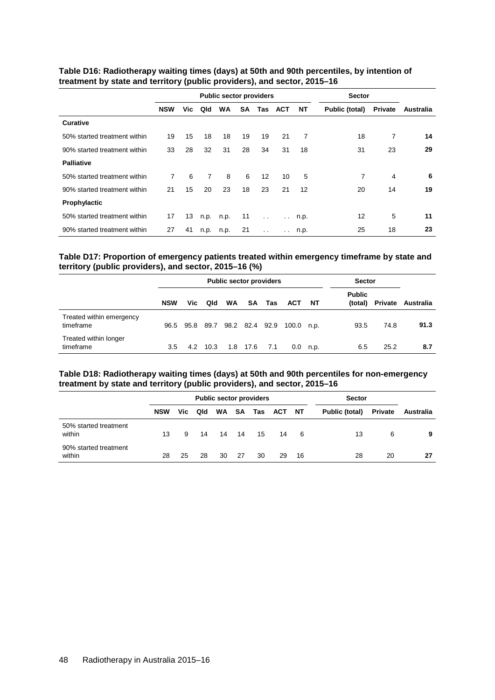|                              |            |     |                | <b>Public sector providers</b> |           |                      |            | <b>Sector</b> |                |         |                  |
|------------------------------|------------|-----|----------------|--------------------------------|-----------|----------------------|------------|---------------|----------------|---------|------------------|
|                              | <b>NSW</b> | Vic | Qld            | WA                             | <b>SA</b> | Tas                  | <b>ACT</b> | NT            | Public (total) | Private | <b>Australia</b> |
| <b>Curative</b>              |            |     |                |                                |           |                      |            |               |                |         |                  |
| 50% started treatment within | 19         | 15  | 18             | 18                             | 19        | 19                   | 21         | 7             | 18             | 7       | 14               |
| 90% started treatment within | 33         | 28  | 32             | 31                             | 28        | 34                   | 31         | 18            | 31             | 23      | 29               |
| <b>Palliative</b>            |            |     |                |                                |           |                      |            |               |                |         |                  |
| 50% started treatment within | 7          | 6   | $\overline{7}$ | 8                              | 6         | $12 \overline{ }$    | 10         | 5             | 7              | 4       | 6                |
| 90% started treatment within | 21         | 15  | 20             | 23                             | 18        | 23                   | 21         | 12            | 20             | 14      | 19               |
| Prophylactic                 |            |     |                |                                |           |                      |            |               |                |         |                  |
| 50% started treatment within | 17         | 13  | n.p.           | n.p.                           | 11        | $\ddot{\phantom{a}}$ |            | $\ldots$ n.p. | 12             | 5       | 11               |
| 90% started treatment within | 27         | 41  | n.p.           | n.p.                           | 21        | $\sim$ $\sim$        |            | $\ldots$ n.p. | 25             | 18      | 23               |

<span id="page-55-0"></span>**Table D16: Radiotherapy waiting times (days) at 50th and 90th percentiles, by intention of treatment by state and territory (public providers), and sector, 2015–16**

#### <span id="page-55-1"></span>**Table D17: Proportion of emergency patients treated within emergency timeframe by state and territory (public providers), and sector, 2015–16 (%)**

|                                       |            |      |          | <b>Public sector providers</b> |                |     | <b>Sector</b> |           |                          |         |           |
|---------------------------------------|------------|------|----------|--------------------------------|----------------|-----|---------------|-----------|--------------------------|---------|-----------|
|                                       | <b>NSW</b> | Vic. | Qld      | <b>WA</b>                      | SA             | Tas | <b>ACT</b>    | <b>NT</b> | <b>Public</b><br>(total) | Private | Australia |
| Treated within emergency<br>timeframe | 96.5       | 95.8 | 89.7     |                                | 98.2 82.4 92.9 |     | $100.0$ n.p.  |           | 93.5                     | 74.8    | 91.3      |
| Treated within longer<br>timeframe    | 3.5        |      | 4.2 10.3 |                                | 1.8 17.6       | 7.1 | 0.0           | n.p.      | 6.5                      | 25.2    | 8.7       |

#### <span id="page-55-2"></span>**Table D18: Radiotherapy waiting times (days) at 50th and 90th percentiles for non-emergency treatment by state and territory (public providers), and sector, 2015–16**

<span id="page-55-3"></span>

|                                 |            |     |     | <b>Public sector providers</b> |    |        | <b>Sector</b> |     |                |         |           |
|---------------------------------|------------|-----|-----|--------------------------------|----|--------|---------------|-----|----------------|---------|-----------|
|                                 | <b>NSW</b> | Vic | Qld | WA                             |    | SA Tas | ACT NT        |     | Public (total) | Private | Australia |
| 50% started treatment<br>within | 13         | 9   | 14  | 14 14                          |    | 15     | 14            | - 6 | 13             | 6       | 9         |
| 90% started treatment<br>within | 28         | 25  | 28  | 30                             | 27 | 30     | 29            | 16  | 28             | 20      | 27        |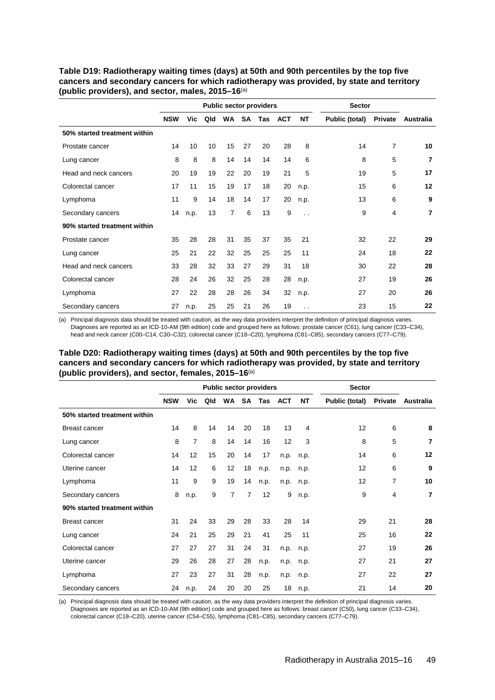|                              |            |      |                 |                |           | <b>Public sector providers</b> |            |                      | <b>Sector</b>  |                |                |
|------------------------------|------------|------|-----------------|----------------|-----------|--------------------------------|------------|----------------------|----------------|----------------|----------------|
|                              | <b>NSW</b> | Vic  | Qld             | <b>WA</b>      | <b>SA</b> | Tas                            | <b>ACT</b> | <b>NT</b>            | Public (total) | Private        | Australia      |
| 50% started treatment within |            |      |                 |                |           |                                |            |                      |                |                |                |
| Prostate cancer              | 14         | 10   | 10 <sup>1</sup> | 15             | 27        | 20                             | 28         | 8                    | 14             | $\overline{7}$ | 10             |
| Lung cancer                  | 8          | 8    | 8               | 14             | 14        | 14                             | 14         | 6                    | 8              | 5              | 7              |
| Head and neck cancers        | 20         | 19   | 19              | 22             | 20        | 19                             | 21         | 5                    | 19             | 5              | 17             |
| Colorectal cancer            | 17         | 11   | 15              | 19             | 17        | 18                             | 20         | n.p.                 | 15             | 6              | 12             |
| Lymphoma                     | 11         | 9    | 14              | 18             | 14        | 17                             | 20         | n.p.                 | 13             | 6              | 9              |
| Secondary cancers            | 14         | n.p. | 13              | $\overline{7}$ | 6         | 13                             | 9          | $\ddot{\phantom{0}}$ | 9              | 4              | $\overline{7}$ |
| 90% started treatment within |            |      |                 |                |           |                                |            |                      |                |                |                |
| Prostate cancer              | 35         | 28   | 28              | 31             | 35        | 37                             | 35         | 21                   | 32             | 22             | 29             |
| Lung cancer                  | 25         | 21   | 22              | 32             | 25        | 25                             | 25         | 11                   | 24             | 18             | 22             |
| Head and neck cancers        | 33         | 28   | 32              | 33             | 27        | 29                             | 31         | 18                   | 30             | 22             | 28             |
| Colorectal cancer            | 28         | 24   | 26              | 32             | 25        | 28                             | 28         | n.p.                 | 27             | 19             | 26             |
| Lymphoma                     | 27         | 22   | 28              | 28             | 26        | 34                             | 32         | n.p.                 | 27             | 20             | 26             |
| Secondary cancers            | 27         | n.p. | 25              | 25             | 21        | 26                             | 19         | $\ddot{\phantom{0}}$ | 23             | 15             | 22             |

<span id="page-56-2"></span>**Table D19: Radiotherapy waiting times (days) at 50th and 90th percentiles by the top five cancers and secondary cancers for which radiotherapy was provided, by state and territory (public providers), and sector, males, 2015–16**(a)

(a) Principal diagnosis data should be treated with caution, as the way data providers interpret the definition of principal diagnosis varies. Diagnoses are reported as an ICD-10-AM (9th edition) code and grouped here as follows: prostate cancer (C61), lung cancer (C33–C34), head and neck cancer (C00–C14, C30–C32), colorectal cancer (C18–C20), lymphoma (C81–C85), secondary cancers (C77–C79).

### <span id="page-56-0"></span>**Table D20: Radiotherapy waiting times (days) at 50th and 90th percentiles by the top five cancers and secondary cancers for which radiotherapy was provided, by state and territory (public providers), and sector, females, 2015–16**(a)

|                              | <b>Public sector providers</b> |                |     |                |           |      |            |      | <b>Sector</b>  |         |                |
|------------------------------|--------------------------------|----------------|-----|----------------|-----------|------|------------|------|----------------|---------|----------------|
|                              | <b>NSW</b>                     | Vic            | Qld | <b>WA</b>      | <b>SA</b> | Tas  | <b>ACT</b> | ΝT   | Public (total) | Private | Australia      |
| 50% started treatment within |                                |                |     |                |           |      |            |      |                |         |                |
| <b>Breast cancer</b>         | 14                             | 8              | 14  | 14             | 20        | 18   | 13         | 4    | 12             | 6       | 8              |
| Lung cancer                  | 8                              | $\overline{7}$ | 8   | 14             | 14        | 16   | 12         | 3    | 8              | 5       | 7              |
| Colorectal cancer            | 14                             | 12             | 15  | 20             | 14        | 17   | n.p.       | n.p. | 14             | 6       | 12             |
| Uterine cancer               | 14                             | 12             | 6   | 12             | 18        | n.p. | n.p.       | n.p. | 12             | 6       | 9              |
| Lymphoma                     | 11                             | 9              | 9   | 19             | 14        | n.p. | n.p.       | n.p. | 12             | 7       | 10             |
| Secondary cancers            | 8                              | n.p.           | 9   | $\overline{7}$ | 7         | 12   | 9          | n.p. | 9              | 4       | $\overline{7}$ |
| 90% started treatment within |                                |                |     |                |           |      |            |      |                |         |                |
| <b>Breast cancer</b>         | 31                             | 24             | 33  | 29             | 28        | 33   | 28         | 14   | 29             | 21      | 28             |
| Lung cancer                  | 24                             | 21             | 25  | 29             | 21        | 41   | 25         | 11   | 25             | 16      | 22             |
| Colorectal cancer            | 27                             | 27             | 27  | 31             | 24        | 31   | n.p.       | n.p. | 27             | 19      | 26             |
| Uterine cancer               | 29                             | 26             | 28  | 27             | 28        | n.p. | n.p.       | n.p. | 27             | 21      | 27             |
| Lymphoma                     | 27                             | 23             | 27  | 31             | 28        | n.p. | n.p.       | n.p. | 27             | 22      | 27             |
| Secondary cancers            | 24                             | n.p.           | 24  | 20             | 20        | 25   | 18         | n.p. | 21             | 14      | 20             |

<span id="page-56-1"></span>(a) Principal diagnosis data should be treated with caution, as the way data providers interpret the definition of principal diagnosis varies. Diagnoses are reported as an ICD-10-AM (9th edition) code and grouped here as follows: breast cancer (C50), lung cancer (C33–C34), colorectal cancer (C18–C20), uterine cancer (C54–C55), lymphoma (C81–C85), secondary cancers (C77–C79).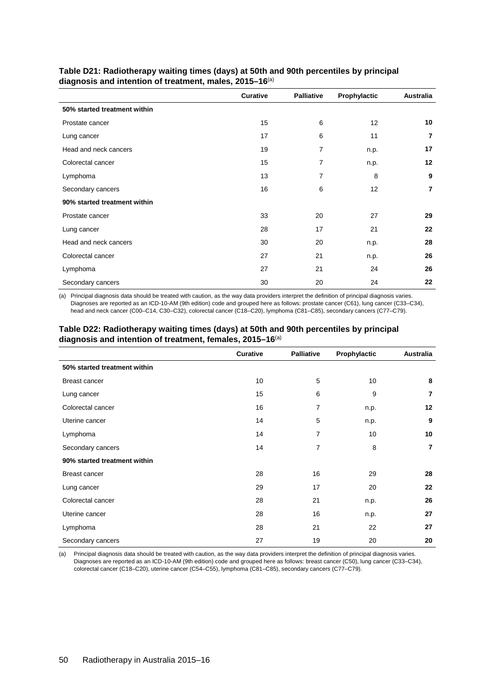|                              | Curative | <b>Palliative</b> | Prophylactic | <b>Australia</b> |
|------------------------------|----------|-------------------|--------------|------------------|
| 50% started treatment within |          |                   |              |                  |
| Prostate cancer              | 15       | 6                 | 12           | 10               |
| Lung cancer                  | 17       | 6                 | 11           | $\overline{7}$   |
| Head and neck cancers        | 19       | 7                 | n.p.         | 17               |
| Colorectal cancer            | 15       | 7                 | n.p.         | 12               |
| Lymphoma                     | 13       | 7                 | 8            | 9                |
| Secondary cancers            | 16       | 6                 | 12           | $\overline{7}$   |
| 90% started treatment within |          |                   |              |                  |
| Prostate cancer              | 33       | 20                | 27           | 29               |
| Lung cancer                  | 28       | 17                | 21           | 22               |
| Head and neck cancers        | 30       | 20                | n.p.         | 28               |
| Colorectal cancer            | 27       | 21                | n.p.         | 26               |
| Lymphoma                     | 27       | 21                | 24           | 26               |
| Secondary cancers            | 30       | 20                | 24           | 22               |

<span id="page-57-2"></span>**Table D21: Radiotherapy waiting times (days) at 50th and 90th percentiles by principal diagnosis and intention of treatment, males, 2015–16**(a)

(a) Principal diagnosis data should be treated with caution, as the way data providers interpret the definition of principal diagnosis varies. Diagnoses are reported as an ICD-10-AM (9th edition) code and grouped here as follows: prostate cancer (C61), lung cancer (C33–C34), head and neck cancer (C00–C14, C30–C32), colorectal cancer (C18–C20), lymphoma (C81–C85), secondary cancers (C77–C79).

#### <span id="page-57-1"></span>**Table D22: Radiotherapy waiting times (days) at 50th and 90th percentiles by principal diagnosis and intention of treatment, females, 2015–16**(a)

|                              | <b>Curative</b> | <b>Palliative</b> | Prophylactic | Australia      |
|------------------------------|-----------------|-------------------|--------------|----------------|
| 50% started treatment within |                 |                   |              |                |
| <b>Breast cancer</b>         | 10              | 5                 | 10           | 8              |
| Lung cancer                  | 15              | 6                 | 9            | 7              |
| Colorectal cancer            | 16              | 7                 | n.p.         | 12             |
| Uterine cancer               | 14              | 5                 | n.p.         | 9              |
| Lymphoma                     | 14              | 7                 | 10           | 10             |
| Secondary cancers            | 14              | $\overline{7}$    | 8            | $\overline{7}$ |
| 90% started treatment within |                 |                   |              |                |
| <b>Breast cancer</b>         | 28              | 16                | 29           | 28             |
| Lung cancer                  | 29              | 17                | 20           | 22             |
| Colorectal cancer            | 28              | 21                | n.p.         | 26             |
| Uterine cancer               | 28              | 16                | n.p.         | 27             |
| Lymphoma                     | 28              | 21                | 22           | 27             |
| Secondary cancers            | 27              | 19                | 20           | 20             |

<span id="page-57-3"></span><span id="page-57-0"></span>(a) Principal diagnosis data should be treated with caution, as the way data providers interpret the definition of principal diagnosis varies. Diagnoses are reported as an ICD-10-AM (9th edition) code and grouped here as follows: breast cancer (C50), lung cancer (C33–C34), colorectal cancer (C18–C20), uterine cancer (C54–C55), lymphoma (C81–C85), secondary cancers (C77–C79).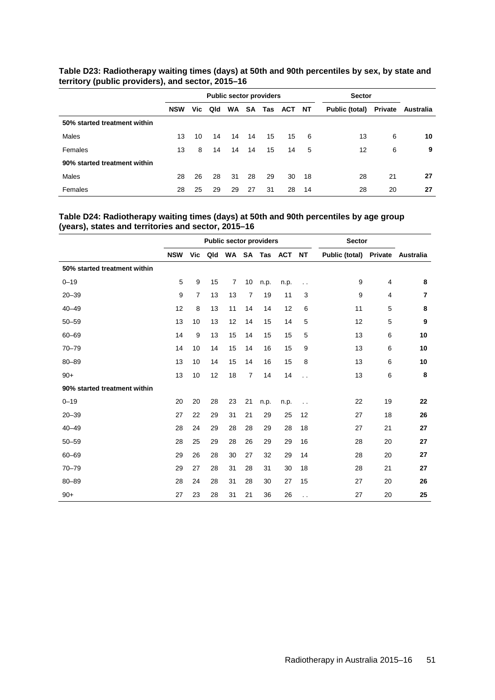|                              |            |     |     | <b>Public sector providers</b> |    | <b>Sector</b> |        |    |                |         |           |
|------------------------------|------------|-----|-----|--------------------------------|----|---------------|--------|----|----------------|---------|-----------|
|                              | <b>NSW</b> | Vic | Qld | <b>WA</b>                      | SA | Tas           | ACT NT |    | Public (total) | Private | Australia |
| 50% started treatment within |            |     |     |                                |    |               |        |    |                |         |           |
| Males                        | 13         | 10  | 14  | 14                             | 14 | 15            | 15     | 6  | 13             | 6       | 10        |
| Females                      | 13         | 8   | 14  | 14                             | 14 | 15            | 14     | 5  | 12             | 6       | 9         |
| 90% started treatment within |            |     |     |                                |    |               |        |    |                |         |           |
| Males                        | 28         | 26  | 28  | 31                             | 28 | 29            | 30     | 18 | 28             | 21      | 27        |
| Females                      | 28         | 25  | 29  | 29                             | 27 | 31            | 28     | 14 | 28             | 20      | 27        |

**Table D23: Radiotherapy waiting times (days) at 50th and 90th percentiles by sex, by state and territory (public providers), and sector, 2015–16**

### <span id="page-58-0"></span>**Table D24: Radiotherapy waiting times (days) at 50th and 90th percentiles by age group (years), states and territories and sector, 2015–16**

<span id="page-58-1"></span>

|                              | <b>Public sector providers</b> |                |     |    |                |      |               |                      | <b>Sector</b>          |    |                |
|------------------------------|--------------------------------|----------------|-----|----|----------------|------|---------------|----------------------|------------------------|----|----------------|
|                              | <b>NSW</b>                     | Vic            | Qld |    |                |      | WA SA Tas ACT | <b>NT</b>            | Public (total) Private |    | Australia      |
| 50% started treatment within |                                |                |     |    |                |      |               |                      |                        |    |                |
| $0 - 19$                     | 5                              | 9              | 15  | 7  | 10             | n.p. | n.p.          | $\ddot{\phantom{0}}$ | 9                      | 4  | 8              |
| $20 - 39$                    | 9                              | $\overline{7}$ | 13  | 13 | $\overline{7}$ | 19   | 11            | 3                    | 9                      | 4  | $\overline{7}$ |
| $40 - 49$                    | 12                             | 8              | 13  | 11 | 14             | 14   | 12            | 6                    | 11                     | 5  | 8              |
| $50 - 59$                    | 13                             | 10             | 13  | 12 | 14             | 15   | 14            | 5                    | 12                     | 5  | 9              |
| $60 - 69$                    | 14                             | 9              | 13  | 15 | 14             | 15   | 15            | 5                    | 13                     | 6  | 10             |
| $70 - 79$                    | 14                             | 10             | 14  | 15 | 14             | 16   | 15            | 9                    | 13                     | 6  | 10             |
| $80 - 89$                    | 13                             | 10             | 14  | 15 | 14             | 16   | 15            | 8                    | 13                     | 6  | 10             |
| $90+$                        | 13                             | 10             | 12  | 18 | $\overline{7}$ | 14   | 14            | $\ddotsc$            | 13                     | 6  | 8              |
| 90% started treatment within |                                |                |     |    |                |      |               |                      |                        |    |                |
| $0 - 19$                     | 20                             | 20             | 28  | 23 | 21             | n.p. | n.p.          | $\ddot{\phantom{0}}$ | 22                     | 19 | 22             |
| $20 - 39$                    | 27                             | 22             | 29  | 31 | 21             | 29   | 25            | 12                   | 27                     | 18 | 26             |
| $40 - 49$                    | 28                             | 24             | 29  | 28 | 28             | 29   | 28            | 18                   | 27                     | 21 | 27             |
| $50 - 59$                    | 28                             | 25             | 29  | 28 | 26             | 29   | 29            | 16                   | 28                     | 20 | 27             |
| $60 - 69$                    | 29                             | 26             | 28  | 30 | 27             | 32   | 29            | 14                   | 28                     | 20 | 27             |
| $70 - 79$                    | 29                             | 27             | 28  | 31 | 28             | 31   | 30            | 18                   | 28                     | 21 | 27             |
| $80 - 89$                    | 28                             | 24             | 28  | 31 | 28             | 30   | 27            | 15                   | 27                     | 20 | 26             |
| $90+$                        | 27                             | 23             | 28  | 31 | 21             | 36   | 26            | $\ddot{\phantom{0}}$ | 27                     | 20 | 25             |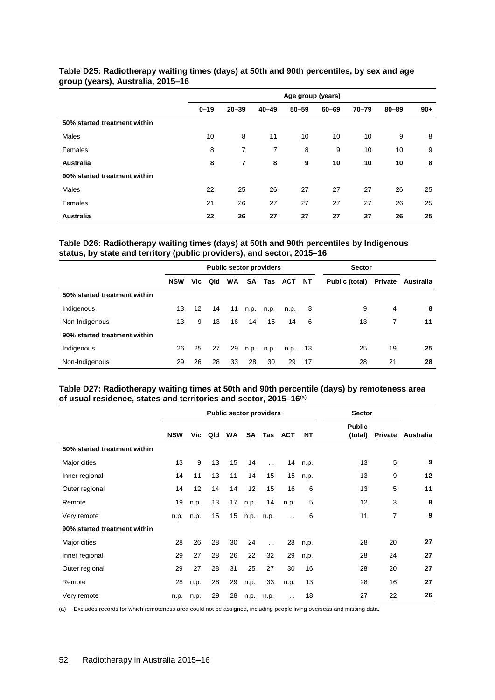|                              |          |                |                | Age group (years) |       |           |           |       |
|------------------------------|----------|----------------|----------------|-------------------|-------|-----------|-----------|-------|
|                              | $0 - 19$ | $20 - 39$      | $40 - 49$      | $50 - 59$         | 60-69 | $70 - 79$ | $80 - 89$ | $90+$ |
| 50% started treatment within |          |                |                |                   |       |           |           |       |
| <b>Males</b>                 | 10       | 8              | 11             | 10                | 10    | 10        | 9         | 8     |
| Females                      | 8        | $\overline{7}$ | $\overline{7}$ | 8                 | 9     | 10        | 10        | 9     |
| <b>Australia</b>             | 8        | 7              | 8              | 9                 | 10    | 10        | 10        | 8     |
| 90% started treatment within |          |                |                |                   |       |           |           |       |
| Males                        | 22       | 25             | 26             | 27                | 27    | 27        | 26        | 25    |
| Females                      | 21       | 26             | 27             | 27                | 27    | 27        | 26        | 25    |
| <b>Australia</b>             | 22       | 26             | 27             | 27                | 27    | 27        | 26        | 25    |

### **Table D25: Radiotherapy waiting times (days) at 50th and 90th percentiles, by sex and age group (years), Australia, 2015–16**

### <span id="page-59-0"></span>**Table D26: Radiotherapy waiting times (days) at 50th and 90th percentiles by Indigenous status, by state and territory (public providers), and sector, 2015–16**

|                              |            |    |         | <b>Public sector providers</b> |      | <b>Sector</b> |        |     |                |         |           |
|------------------------------|------------|----|---------|--------------------------------|------|---------------|--------|-----|----------------|---------|-----------|
|                              | <b>NSW</b> |    | Vic Qld | <b>WA</b>                      | SA   | Tas           | ACT NT |     | Public (total) | Private | Australia |
| 50% started treatment within |            |    |         |                                |      |               |        |     |                |         |           |
| Indigenous                   | 13         | 12 | 14      | 11                             | n.p. | n.p.          | n.p.   | -3  | 9              | 4       | 8         |
| Non-Indigenous               | 13         | 9  | 13      | 16                             | 14   | 15            | 14     | 6   | 13             | 7       | 11        |
| 90% started treatment within |            |    |         |                                |      |               |        |     |                |         |           |
| Indigenous                   | 26         | 25 | 27      | 29                             | n.p. | n.p.          | n.p.   | -13 | 25             | 19      | 25        |
| Non-Indigenous               | 29         | 26 | 28      | 33                             | 28   | 30            | 29     | 17  | 28             | 21      | 28        |

### <span id="page-59-1"></span>**Table D27: Radiotherapy waiting times at 50th and 90th percentile (days) by remoteness area of usual residence, states and territories and sector, 2015–16**(a)

|                              |            |      |     |           | <b>Public sector providers</b> | <b>Sector</b>        |                      |      |                          |         |           |
|------------------------------|------------|------|-----|-----------|--------------------------------|----------------------|----------------------|------|--------------------------|---------|-----------|
|                              | <b>NSW</b> | Vic  | Qld | <b>WA</b> | <b>SA</b>                      | Tas                  | ACT                  | NΤ   | <b>Public</b><br>(total) | Private | Australia |
| 50% started treatment within |            |      |     |           |                                |                      |                      |      |                          |         |           |
| Major cities                 | 13         | 9    | 13  | 15        | 14                             | $\ddot{\phantom{a}}$ | 14                   | n.p. | 13                       | 5       | 9         |
| Inner regional               | 14         | 11   | 13  | 11        | 14                             | 15                   | 15                   | n.p. | 13                       | 9       | 12        |
| Outer regional               | 14         | 12   | 14  | 14        | 12                             | 15                   | 16                   | 6    | 13                       | 5       | 11        |
| Remote                       | 19         | n.p. | 13  | 17        | n.p.                           | 14                   | n.p.                 | 5    | 12                       | 3       | 8         |
| Very remote                  | n.p.       | n.p. | 15  | 15        | n.p.                           | n.p.                 | $\ddot{\phantom{0}}$ | 6    | 11                       | 7       | 9         |
| 90% started treatment within |            |      |     |           |                                |                      |                      |      |                          |         |           |
| Major cities                 | 28         | 26   | 28  | 30        | 24                             | $\ddot{\phantom{a}}$ | 28                   | n.p. | 28                       | 20      | 27        |
| Inner regional               | 29         | 27   | 28  | 26        | 22                             | 32                   | 29                   | n.p. | 28                       | 24      | 27        |
| Outer regional               | 29         | 27   | 28  | 31        | 25                             | 27                   | 30                   | 16   | 28                       | 20      | 27        |
| Remote                       | 28         | n.p. | 28  | 29        | n.p.                           | 33                   | n.p.                 | 13   | 28                       | 16      | 27        |
| Very remote                  | n.p.       | n.p. | 29  | 28        | n.p.                           | n.p.                 | $\ddot{\phantom{0}}$ | 18   | 27                       | 22      | 26        |

<span id="page-59-2"></span>(a) Excludes records for which remoteness area could not be assigned, including people living overseas and missing data.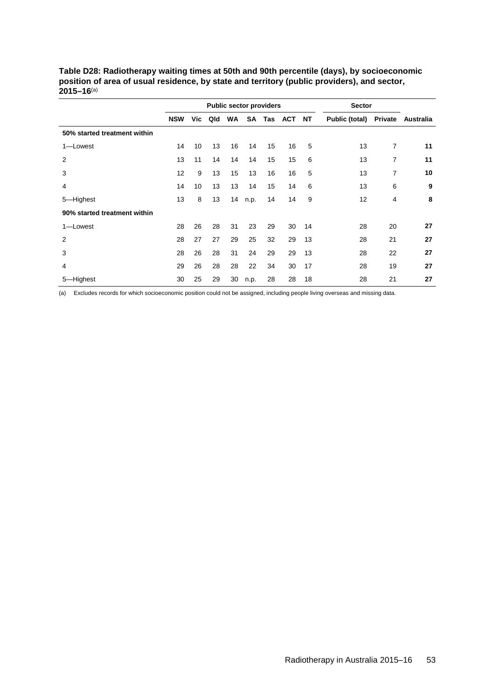|                              | <b>Public sector providers</b> |     |     |    |      |     |     |    | <b>Sector</b>          |    |           |
|------------------------------|--------------------------------|-----|-----|----|------|-----|-----|----|------------------------|----|-----------|
|                              | <b>NSW</b>                     | Vic | Qld | WA | SA   | Tas | ACT | NT | Public (total) Private |    | Australia |
| 50% started treatment within |                                |     |     |    |      |     |     |    |                        |    |           |
| 1-Lowest                     | 14                             | 10  | 13  | 16 | 14   | 15  | 16  | 5  | 13                     | 7  | 11        |
| 2                            | 13                             | 11  | 14  | 14 | 14   | 15  | 15  | 6  | 13                     | 7  | 11        |
| 3                            | 12                             | 9   | 13  | 15 | 13   | 16  | 16  | 5  | 13                     | 7  | 10        |
| 4                            | 14                             | 10  | 13  | 13 | 14   | 15  | 14  | 6  | 13                     | 6  | 9         |
| 5-Highest                    | 13                             | 8   | 13  | 14 | n.p. | 14  | 14  | 9  | 12                     | 4  | 8         |
| 90% started treatment within |                                |     |     |    |      |     |     |    |                        |    |           |
| 1-Lowest                     | 28                             | 26  | 28  | 31 | 23   | 29  | 30  | 14 | 28                     | 20 | 27        |
| 2                            | 28                             | 27  | 27  | 29 | 25   | 32  | 29  | 13 | 28                     | 21 | 27        |
| 3                            | 28                             | 26  | 28  | 31 | 24   | 29  | 29  | 13 | 28                     | 22 | 27        |
| 4                            | 29                             | 26  | 28  | 28 | 22   | 34  | 30  | 17 | 28                     | 19 | 27        |
| 5-Highest                    | 30                             | 25  | 29  | 30 | n.p. | 28  | 28  | 18 | 28                     | 21 | 27        |

<span id="page-60-0"></span>**Table D28: Radiotherapy waiting times at 50th and 90th percentile (days), by socioeconomic position of area of usual residence, by state and territory (public providers), and sector, 2015–16**(a)

(a) Excludes records for which socioeconomic position could not be assigned, including people living overseas and missing data.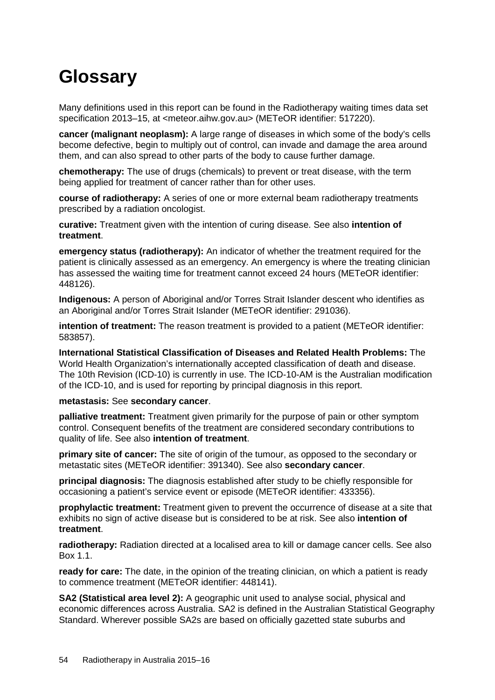# <span id="page-61-0"></span>**Glossary**

Many definitions used in this report can be found in the Radiotherapy waiting times data set specification 2013–15, at [<meteor.aihw.gov.au>](http://meteor.aihw.gov.au/) (METeOR identifier: [517220\)](http://meteor.aihw.gov.au/content/index.phtml/itemId/517220).

**cancer (malignant neoplasm):** A large range of diseases in which some of the body's cells become defective, begin to multiply out of control, can invade and damage the area around them, and can also spread to other parts of the body to cause further damage.

**chemotherapy:** The use of drugs (chemicals) to prevent or treat disease, with the term being applied for treatment of cancer rather than for other uses.

**course of radiotherapy:** A series of one or more external beam radiotherapy treatments prescribed by a radiation oncologist.

**curative:** Treatment given with the intention of curing disease. See also **intention of treatment**.

**emergency status (radiotherapy):** An indicator of whether the treatment required for the patient is clinically assessed as an emergency. An emergency is where the treating clinician has assessed the waiting time for treatment cannot exceed 24 hours (METeOR identifier: [448126\)](http://meteor.aihw.gov.au/content/index.phtml/itemId/448126).

**Indigenous:** A person of Aboriginal and/or Torres Strait Islander descent who identifies as an Aboriginal and/or Torres Strait Islander (METeOR identifier: [291036\)](http://meteor.aihw.gov.au/content/index.phtml/itemId/291036).

**intention of treatment:** The reason treatment is provided to a patient (METeOR identifier: [583857\)](http://meteor.aihw.gov.au/content/index.phtml/itemId/583857).

**International Statistical Classification of Diseases and Related Health Problems:** The World Health Organization's internationally accepted classification of death and disease. The 10th Revision (ICD-10) is currently in use. The ICD-10-AM is the Australian modification of the ICD-10, and is used for reporting by principal diagnosis in this report.

### **metastasis:** See **secondary cancer**.

**palliative treatment:** Treatment given primarily for the purpose of pain or other symptom control. Consequent benefits of the treatment are considered secondary contributions to quality of life. See also **intention of treatment**.

**primary site of cancer:** The site of origin of the tumour, as opposed to the secondary or metastatic sites (METeOR identifier: [391340\)](http://meteor.aihw.gov.au/content/index.phtml/itemId/391340). See also **secondary cancer**.

**principal diagnosis:** The diagnosis established after study to be chiefly responsible for occasioning a patient's service event or episode (METeOR identifier: [433356\)](http://meteor.aihw.gov.au/content/index.phtml/itemId/433356).

**prophylactic treatment:** Treatment given to prevent the occurrence of disease at a site that exhibits no sign of active disease but is considered to be at risk. See also **intention of treatment**.

**radiotherapy:** Radiation directed at a localised area to kill or damage cancer cells. See also [Box 1.1.](#page-8-2)

**ready for care:** The date, in the opinion of the treating clinician, on which a patient is ready to commence treatment (METeOR identifier: [448141\)](http://meteor.aihw.gov.au/content/index.phtml/itemId/448141).

**SA2 (Statistical area level 2):** A geographic unit used to analyse social, physical and economic differences across Australia. SA2 is defined in the Australian Statistical Geography Standard. Wherever possible SA2s are based on officially gazetted state suburbs and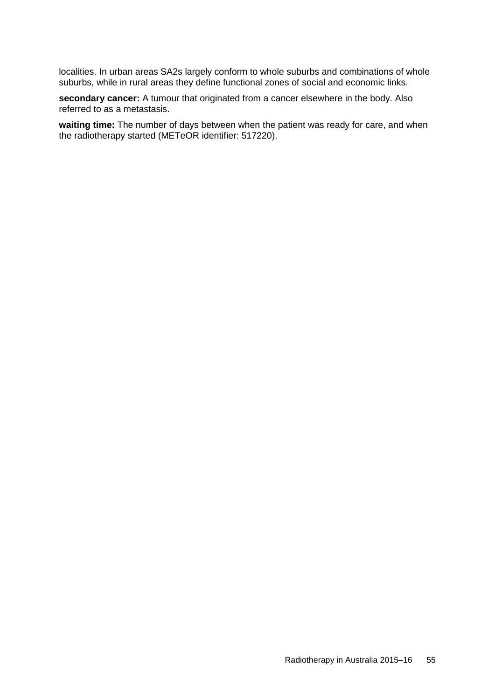localities. In urban areas SA2s largely conform to whole suburbs and combinations of whole suburbs, while in rural areas they define functional zones of social and economic links.

**secondary cancer:** A tumour that originated from a cancer elsewhere in the body. Also referred to as a metastasis.

**waiting time:** The number of days between when the patient was ready for care, and when the radiotherapy started (METeOR identifier: [517220\)](http://meteor.aihw.gov.au/content/index.phtml/itemId/517220).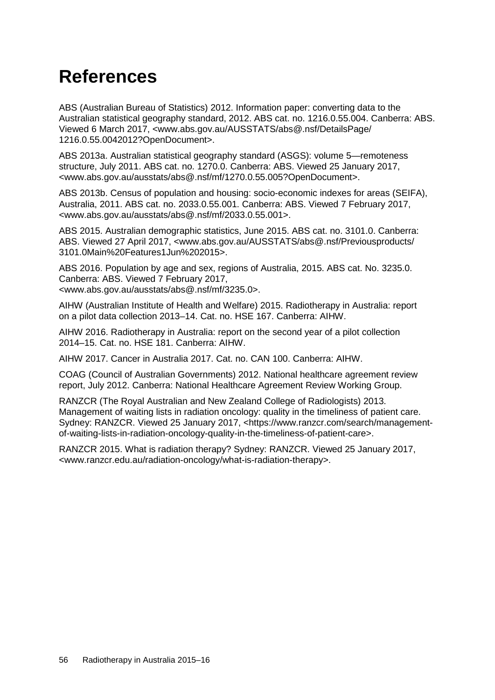# <span id="page-63-0"></span>**References**

ABS (Australian Bureau of Statistics) 2012. Information paper: converting data to the Australian statistical geography standard, 2012. ABS cat. no. 1216.0.55.004. Canberra: ABS. Viewed 6 March 2017, <www.abs.gov.au/AUSSTATS/abs@.nsf/DetailsPage/ 1216.0.55.0042012?OpenDocument>.

ABS 2013a. Australian statistical geography standard (ASGS): volume 5—remoteness structure, July 2011. ABS cat. no. 1270.0. Canberra: ABS. Viewed 25 January 2017, [<www.abs.gov.au/ausstats/abs@.nsf/mf/1270.0.55.005?OpenDocument>](http://www.abs.gov.au/ausstats/abs@.nsf/mf/1270.0.55.005?OpenDocument).

ABS 2013b. Census of population and housing: socio-economic indexes for areas (SEIFA), Australia, 2011. ABS cat. no. 2033.0.55.001. Canberra: ABS. Viewed 7 February 2017, [<www.abs.gov.au/ausstats/abs@.nsf/mf/2033.0.55.001>](http://www.abs.gov.au/ausstats/abs@.nsf/mf/2033.0.55.001).

ABS 2015. Australian demographic statistics, June 2015. ABS cat. no. 3101.0. Canberra: ABS. Viewed 27 April 2017, <www.abs.gov.au/AUSSTATS/abs@.nsf/Previousproducts/ 3101.0Main%20Features1Jun%202015>.

ABS 2016. Population by age and sex, regions of Australia, 2015. ABS cat. No. 3235.0. Canberra: ABS. Viewed 7 February 2017,

[<www.abs.gov.au/ausstats/abs@.nsf/mf/3235.0>](http://www.abs.gov.au/ausstats/abs@.nsf/mf/3235.0).

AIHW (Australian Institute of Health and Welfare) 2015. Radiotherapy in Australia: report on a pilot data collection 2013–14. Cat. no. HSE 167. Canberra: AIHW.

AIHW 2016. Radiotherapy in Australia: report on the second year of a pilot collection 2014–15. Cat. no. HSE 181. Canberra: AIHW.

AIHW 2017. Cancer in Australia 2017. Cat. no. CAN 100. Canberra: AIHW.

COAG (Council of Australian Governments) 2012. National healthcare agreement review report, July 2012. Canberra: National Healthcare Agreement Review Working Group.

RANZCR (The Royal Australian and New Zealand College of Radiologists) 2013. Management of waiting lists in radiation oncology: quality in the timeliness of patient care. Sydney: RANZCR. Viewed 25 January 2017, [<https://www.ranzcr.com/search/management](https://www.ranzcr.com/search/management-of-waiting-lists-in-radiation-oncology-quality-in-the-timeliness-of-patient-care)[of-waiting-lists-in-radiation-oncology-quality-in-the-timeliness-of-patient-care>](https://www.ranzcr.com/search/management-of-waiting-lists-in-radiation-oncology-quality-in-the-timeliness-of-patient-care).

RANZCR 2015. What is radiation therapy? Sydney: RANZCR. Viewed 25 January 2017, [<www.ranzcr.edu.au/radiation-oncology/what-is-radiation-therapy>](http://www.ranzcr.edu.au/radiation-oncology/what-is-radiation-therapy).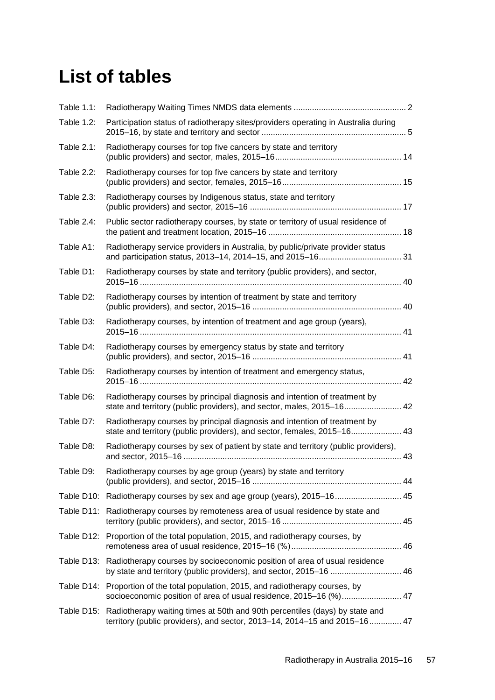# <span id="page-64-0"></span>**List of tables**

| Table 1.1:        |                                                                                                                                                                     |  |
|-------------------|---------------------------------------------------------------------------------------------------------------------------------------------------------------------|--|
| <b>Table 1.2:</b> | Participation status of radiotherapy sites/providers operating in Australia during                                                                                  |  |
| Table 2.1:        | Radiotherapy courses for top five cancers by state and territory                                                                                                    |  |
| Table 2.2:        | Radiotherapy courses for top five cancers by state and territory                                                                                                    |  |
| Table 2.3:        | Radiotherapy courses by Indigenous status, state and territory                                                                                                      |  |
| Table 2.4:        | Public sector radiotherapy courses, by state or territory of usual residence of                                                                                     |  |
| Table A1:         | Radiotherapy service providers in Australia, by public/private provider status                                                                                      |  |
| Table D1:         | Radiotherapy courses by state and territory (public providers), and sector,                                                                                         |  |
| Table D2:         | Radiotherapy courses by intention of treatment by state and territory                                                                                               |  |
| Table D3:         | Radiotherapy courses, by intention of treatment and age group (years),                                                                                              |  |
| Table D4:         | Radiotherapy courses by emergency status by state and territory                                                                                                     |  |
| Table D5:         | Radiotherapy courses by intention of treatment and emergency status,                                                                                                |  |
| Table D6:         | Radiotherapy courses by principal diagnosis and intention of treatment by<br>state and territory (public providers), and sector, males, 2015-16 42                  |  |
| Table D7:         | Radiotherapy courses by principal diagnosis and intention of treatment by<br>state and territory (public providers), and sector, females, 2015-16 43                |  |
| Table D8:         | Radiotherapy courses by sex of patient by state and territory (public providers),                                                                                   |  |
| Table D9:         | Radiotherapy courses by age group (years) by state and territory                                                                                                    |  |
|                   | Table D10: Radiotherapy courses by sex and age group (years), 2015-16 45                                                                                            |  |
|                   | Table D11: Radiotherapy courses by remoteness area of usual residence by state and                                                                                  |  |
|                   | Table D12: Proportion of the total population, 2015, and radiotherapy courses, by                                                                                   |  |
|                   | Table D13: Radiotherapy courses by socioeconomic position of area of usual residence<br>by state and territory (public providers), and sector, 2015–16  46          |  |
|                   | Table D14: Proportion of the total population, 2015, and radiotherapy courses, by<br>socioeconomic position of area of usual residence, 2015-16 (%) 47              |  |
|                   | Table D15: Radiotherapy waiting times at 50th and 90th percentiles (days) by state and<br>territory (public providers), and sector, 2013–14, 2014–15 and 2015–16 47 |  |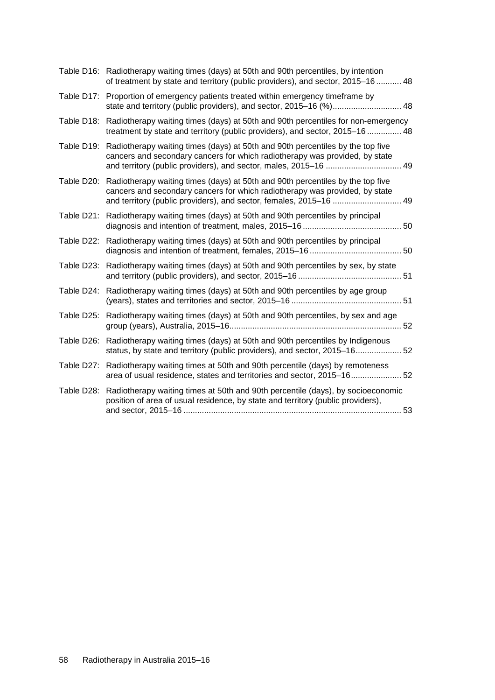|            | Table D16: Radiotherapy waiting times (days) at 50th and 90th percentiles, by intention<br>of treatment by state and territory (public providers), and sector, 2015–16  48                                                                     |
|------------|------------------------------------------------------------------------------------------------------------------------------------------------------------------------------------------------------------------------------------------------|
|            | Table D17: Proportion of emergency patients treated within emergency timeframe by                                                                                                                                                              |
|            | Table D18: Radiotherapy waiting times (days) at 50th and 90th percentiles for non-emergency<br>treatment by state and territory (public providers), and sector, 2015–16  48                                                                    |
| Table D19: | Radiotherapy waiting times (days) at 50th and 90th percentiles by the top five<br>cancers and secondary cancers for which radiotherapy was provided, by state                                                                                  |
|            | Table D20: Radiotherapy waiting times (days) at 50th and 90th percentiles by the top five<br>cancers and secondary cancers for which radiotherapy was provided, by state<br>and territory (public providers), and sector, females, 2015-16  49 |
|            | Table D21: Radiotherapy waiting times (days) at 50th and 90th percentiles by principal                                                                                                                                                         |
| Table D22: | Radiotherapy waiting times (days) at 50th and 90th percentiles by principal                                                                                                                                                                    |
|            | Table D23: Radiotherapy waiting times (days) at 50th and 90th percentiles by sex, by state                                                                                                                                                     |
|            | Table D24: Radiotherapy waiting times (days) at 50th and 90th percentiles by age group                                                                                                                                                         |
| Table D25: | Radiotherapy waiting times (days) at 50th and 90th percentiles, by sex and age                                                                                                                                                                 |
|            | Table D26: Radiotherapy waiting times (days) at 50th and 90th percentiles by Indigenous<br>status, by state and territory (public providers), and sector, 2015–16 52                                                                           |
|            | Table D27: Radiotherapy waiting times at 50th and 90th percentile (days) by remoteness<br>area of usual residence, states and territories and sector, 2015-16 52                                                                               |
| Table D28: | Radiotherapy waiting times at 50th and 90th percentile (days), by socioeconomic<br>position of area of usual residence, by state and territory (public providers),                                                                             |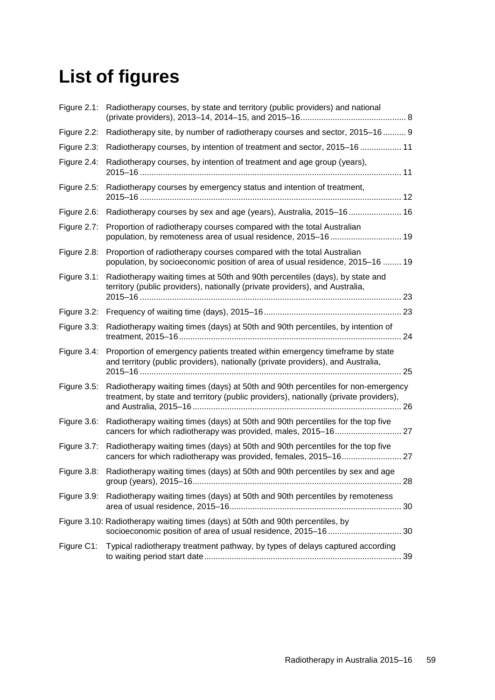# <span id="page-66-0"></span>**List of figures**

|                | Figure 2.1: Radiotherapy courses, by state and territory (public providers) and national                                                                                     |
|----------------|------------------------------------------------------------------------------------------------------------------------------------------------------------------------------|
|                | Figure 2.2: Radiotherapy site, by number of radiotherapy courses and sector, 2015-16  9                                                                                      |
| Figure 2.3:    | Radiotherapy courses, by intention of treatment and sector, 2015–16  11                                                                                                      |
| Figure 2.4:    | Radiotherapy courses, by intention of treatment and age group (years),                                                                                                       |
| Figure 2.5:    | Radiotherapy courses by emergency status and intention of treatment,                                                                                                         |
|                | Figure 2.6: Radiotherapy courses by sex and age (years), Australia, 2015–16 16                                                                                               |
| Figure 2.7:    | Proportion of radiotherapy courses compared with the total Australian<br>population, by remoteness area of usual residence, 2015-16 19                                       |
|                | Figure 2.8: Proportion of radiotherapy courses compared with the total Australian<br>population, by socioeconomic position of area of usual residence, 2015-16  19           |
| Figure $3.1$ : | Radiotherapy waiting times at 50th and 90th percentiles (days), by state and<br>territory (public providers), nationally (private providers), and Australia,                 |
|                |                                                                                                                                                                              |
| Figure 3.3:    | Radiotherapy waiting times (days) at 50th and 90th percentiles, by intention of                                                                                              |
|                | Figure 3.4: Proportion of emergency patients treated within emergency timeframe by state<br>and territory (public providers), nationally (private providers), and Australia, |
| Figure 3.5:    | Radiotherapy waiting times (days) at 50th and 90th percentiles for non-emergency<br>treatment, by state and territory (public providers), nationally (private providers),    |
|                | Figure 3.6: Radiotherapy waiting times (days) at 50th and 90th percentiles for the top five                                                                                  |
| Figure 3.7:    | Radiotherapy waiting times (days) at 50th and 90th percentiles for the top five<br>cancers for which radiotherapy was provided, females, 2015-16 27                          |
|                | Figure 3.8: Radiotherapy waiting times (days) at 50th and 90th percentiles by sex and age                                                                                    |
|                | Figure 3.9: Radiotherapy waiting times (days) at 50th and 90th percentiles by remoteness                                                                                     |
|                | Figure 3.10: Radiotherapy waiting times (days) at 50th and 90th percentiles, by                                                                                              |
|                | Figure C1: Typical radiotherapy treatment pathway, by types of delays captured according                                                                                     |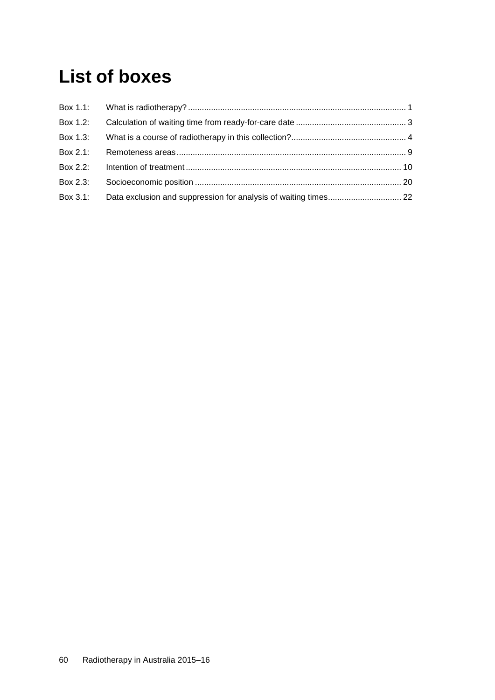# <span id="page-67-0"></span>**List of boxes**

| Box 1.3: |  |
|----------|--|
|          |  |
| Box 2.2: |  |
| Box 2.3: |  |
| Box 3.1: |  |